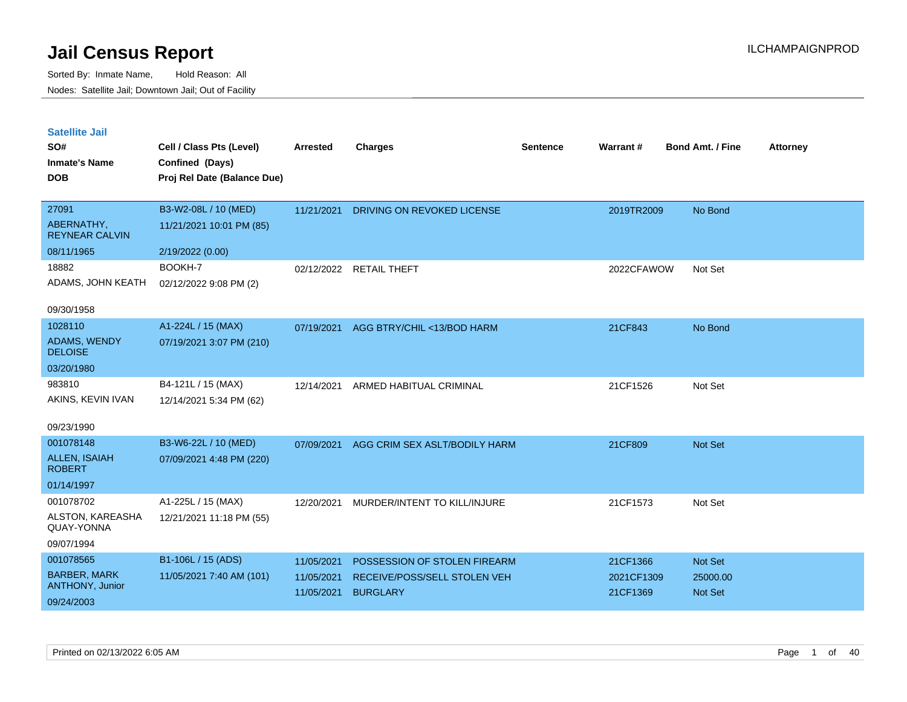| <b>Satellite Jail</b><br>SO#<br><b>Inmate's Name</b><br><b>DOB</b> | Cell / Class Pts (Level)<br>Confined (Days)<br>Proj Rel Date (Balance Due) | <b>Arrested</b> | <b>Charges</b>                | <b>Sentence</b> | Warrant #  | <b>Bond Amt. / Fine</b> | <b>Attorney</b> |
|--------------------------------------------------------------------|----------------------------------------------------------------------------|-----------------|-------------------------------|-----------------|------------|-------------------------|-----------------|
| 27091                                                              | B3-W2-08L / 10 (MED)                                                       | 11/21/2021      | DRIVING ON REVOKED LICENSE    |                 | 2019TR2009 | No Bond                 |                 |
| ABERNATHY,<br><b>REYNEAR CALVIN</b>                                | 11/21/2021 10:01 PM (85)                                                   |                 |                               |                 |            |                         |                 |
| 08/11/1965                                                         | 2/19/2022 (0.00)                                                           |                 |                               |                 |            |                         |                 |
| 18882                                                              | BOOKH-7                                                                    | 02/12/2022      | <b>RETAIL THEFT</b>           |                 | 2022CFAWOW | Not Set                 |                 |
| ADAMS, JOHN KEATH                                                  | 02/12/2022 9:08 PM (2)                                                     |                 |                               |                 |            |                         |                 |
| 09/30/1958                                                         |                                                                            |                 |                               |                 |            |                         |                 |
| 1028110                                                            | A1-224L / 15 (MAX)                                                         | 07/19/2021      | AGG BTRY/CHIL <13/BOD HARM    |                 | 21CF843    | No Bond                 |                 |
| <b>ADAMS, WENDY</b><br><b>DELOISE</b>                              | 07/19/2021 3:07 PM (210)                                                   |                 |                               |                 |            |                         |                 |
| 03/20/1980                                                         |                                                                            |                 |                               |                 |            |                         |                 |
| 983810                                                             | B4-121L / 15 (MAX)                                                         | 12/14/2021      | ARMED HABITUAL CRIMINAL       |                 | 21CF1526   | Not Set                 |                 |
| AKINS, KEVIN IVAN                                                  | 12/14/2021 5:34 PM (62)                                                    |                 |                               |                 |            |                         |                 |
| 09/23/1990                                                         |                                                                            |                 |                               |                 |            |                         |                 |
| 001078148                                                          | B3-W6-22L / 10 (MED)                                                       | 07/09/2021      | AGG CRIM SEX ASLT/BODILY HARM |                 | 21CF809    | Not Set                 |                 |
| <b>ALLEN, ISAIAH</b><br><b>ROBERT</b>                              | 07/09/2021 4:48 PM (220)                                                   |                 |                               |                 |            |                         |                 |
| 01/14/1997                                                         |                                                                            |                 |                               |                 |            |                         |                 |
| 001078702                                                          | A1-225L / 15 (MAX)                                                         | 12/20/2021      | MURDER/INTENT TO KILL/INJURE  |                 | 21CF1573   | Not Set                 |                 |
| ALSTON, KAREASHA<br>QUAY-YONNA                                     | 12/21/2021 11:18 PM (55)                                                   |                 |                               |                 |            |                         |                 |
| 09/07/1994                                                         |                                                                            |                 |                               |                 |            |                         |                 |
| 001078565                                                          | B1-106L / 15 (ADS)                                                         | 11/05/2021      | POSSESSION OF STOLEN FIREARM  |                 | 21CF1366   | Not Set                 |                 |
| <b>BARBER, MARK</b><br><b>ANTHONY, Junior</b>                      | 11/05/2021 7:40 AM (101)                                                   | 11/05/2021      | RECEIVE/POSS/SELL STOLEN VEH  |                 | 2021CF1309 | 25000.00                |                 |
| 09/24/2003                                                         |                                                                            | 11/05/2021      | <b>BURGLARY</b>               |                 | 21CF1369   | <b>Not Set</b>          |                 |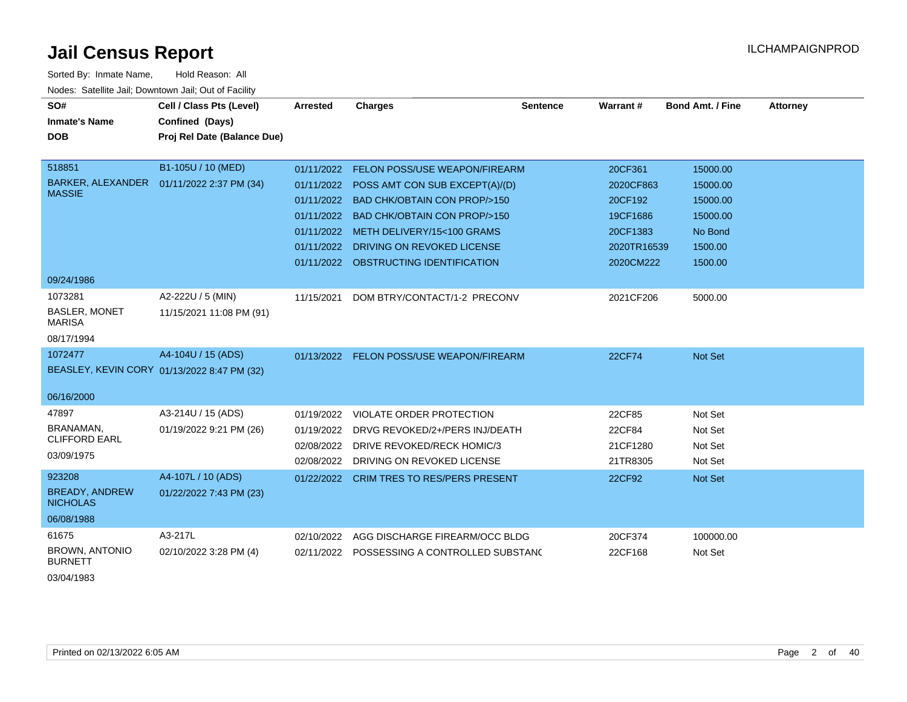| Hold Reason: All<br>Sorted By: Inmate Name,<br>Nodes: Satellite Jail; Downtown Jail; Out of Facility |                                                                            |                                                                    |                                                                                                                                                                                                                                                                     |                 |                                                                                     |                                                                               |          |  |  |  |
|------------------------------------------------------------------------------------------------------|----------------------------------------------------------------------------|--------------------------------------------------------------------|---------------------------------------------------------------------------------------------------------------------------------------------------------------------------------------------------------------------------------------------------------------------|-----------------|-------------------------------------------------------------------------------------|-------------------------------------------------------------------------------|----------|--|--|--|
| SO#<br><b>Inmate's Name</b><br><b>DOB</b>                                                            | Cell / Class Pts (Level)<br>Confined (Days)<br>Proj Rel Date (Balance Due) | <b>Arrested</b>                                                    | <b>Charges</b>                                                                                                                                                                                                                                                      | <b>Sentence</b> | Warrant#                                                                            | Bond Amt. / Fine                                                              | Attorney |  |  |  |
| 518851<br>BARKER, ALEXANDER<br><b>MASSIE</b>                                                         | B1-105U / 10 (MED)<br>01/11/2022 2:37 PM (34)                              | 01/11/2022<br>01/11/2022<br>01/11/2022<br>01/11/2022<br>01/11/2022 | 01/11/2022 FELON POSS/USE WEAPON/FIREARM<br>POSS AMT CON SUB EXCEPT(A)/(D)<br><b>BAD CHK/OBTAIN CON PROP/&gt;150</b><br><b>BAD CHK/OBTAIN CON PROP/&gt;150</b><br>METH DELIVERY/15<100 GRAMS<br>DRIVING ON REVOKED LICENSE<br>01/11/2022 OBSTRUCTING IDENTIFICATION |                 | 20CF361<br>2020CF863<br>20CF192<br>19CF1686<br>20CF1383<br>2020TR16539<br>2020CM222 | 15000.00<br>15000.00<br>15000.00<br>15000.00<br>No Bond<br>1500.00<br>1500.00 |          |  |  |  |
| 09/24/1986<br>1073281<br><b>BASLER, MONET</b><br><b>MARISA</b><br>08/17/1994                         | A2-222U / 5 (MIN)<br>11/15/2021 11:08 PM (91)                              | 11/15/2021                                                         | DOM BTRY/CONTACT/1-2 PRECONV                                                                                                                                                                                                                                        |                 | 2021CF206                                                                           | 5000.00                                                                       |          |  |  |  |
| 1072477<br>06/16/2000                                                                                | A4-104U / 15 (ADS)<br>BEASLEY, KEVIN CORY 01/13/2022 8:47 PM (32)          |                                                                    | 01/13/2022 FELON POSS/USE WEAPON/FIREARM                                                                                                                                                                                                                            |                 | 22CF74                                                                              | Not Set                                                                       |          |  |  |  |
| 47897<br>BRANAMAN,<br><b>CLIFFORD EARL</b><br>03/09/1975                                             | A3-214U / 15 (ADS)<br>01/19/2022 9:21 PM (26)                              | 01/19/2022<br>01/19/2022<br>02/08/2022<br>02/08/2022               | VIOLATE ORDER PROTECTION<br>DRVG REVOKED/2+/PERS INJ/DEATH<br>DRIVE REVOKED/RECK HOMIC/3<br>DRIVING ON REVOKED LICENSE                                                                                                                                              |                 | 22CF85<br>22CF84<br>21CF1280<br>21TR8305                                            | Not Set<br>Not Set<br>Not Set<br>Not Set                                      |          |  |  |  |
| 923208<br><b>BREADY, ANDREW</b><br><b>NICHOLAS</b><br>06/08/1988                                     | A4-107L / 10 (ADS)<br>01/22/2022 7:43 PM (23)                              | 01/22/2022                                                         | <b>CRIM TRES TO RES/PERS PRESENT</b>                                                                                                                                                                                                                                |                 | 22CF92                                                                              | Not Set                                                                       |          |  |  |  |
| 61675<br><b>BROWN, ANTONIO</b>                                                                       | A3-217L<br>02/10/2022 3:28 PM (4)                                          | 02/10/2022<br>02/11/2022                                           | AGG DISCHARGE FIREARM/OCC BLDG<br>POSSESSING A CONTROLLED SUBSTANC                                                                                                                                                                                                  |                 | 20CF374<br>22CF168                                                                  | 100000.00<br>Not Set                                                          |          |  |  |  |

BURNETT 03/04/1983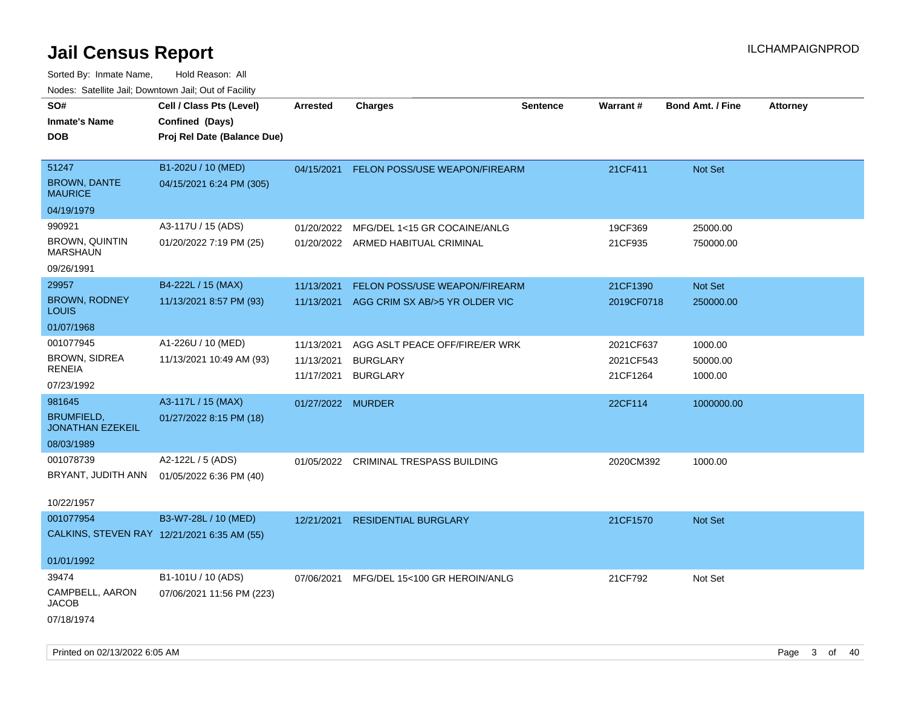| <b>Noute:</b> Catoline Jan, Downtown Jan, Out of Fability        |                                                                            |                                        |                                                                      |                 |                                    |                                |                 |
|------------------------------------------------------------------|----------------------------------------------------------------------------|----------------------------------------|----------------------------------------------------------------------|-----------------|------------------------------------|--------------------------------|-----------------|
| SO#<br><b>Inmate's Name</b><br><b>DOB</b>                        | Cell / Class Pts (Level)<br>Confined (Days)<br>Proj Rel Date (Balance Due) | <b>Arrested</b>                        | <b>Charges</b>                                                       | <b>Sentence</b> | <b>Warrant#</b>                    | <b>Bond Amt. / Fine</b>        | <b>Attorney</b> |
| 51247<br><b>BROWN, DANTE</b><br><b>MAURICE</b>                   | B1-202U / 10 (MED)<br>04/15/2021 6:24 PM (305)                             | 04/15/2021                             | FELON POSS/USE WEAPON/FIREARM                                        |                 | 21CF411                            | Not Set                        |                 |
| 04/19/1979                                                       |                                                                            |                                        |                                                                      |                 |                                    |                                |                 |
| 990921<br><b>BROWN, QUINTIN</b><br><b>MARSHAUN</b>               | A3-117U / 15 (ADS)<br>01/20/2022 7:19 PM (25)                              | 01/20/2022                             | MFG/DEL 1<15 GR COCAINE/ANLG<br>01/20/2022 ARMED HABITUAL CRIMINAL   |                 | 19CF369<br>21CF935                 | 25000.00<br>750000.00          |                 |
| 09/26/1991                                                       |                                                                            |                                        |                                                                      |                 |                                    |                                |                 |
| 29957<br><b>BROWN, RODNEY</b><br><b>LOUIS</b>                    | B4-222L / 15 (MAX)<br>11/13/2021 8:57 PM (93)                              | 11/13/2021<br>11/13/2021               | FELON POSS/USE WEAPON/FIREARM<br>AGG CRIM SX AB/>5 YR OLDER VIC      |                 | 21CF1390<br>2019CF0718             | Not Set<br>250000.00           |                 |
| 01/07/1968                                                       |                                                                            |                                        |                                                                      |                 |                                    |                                |                 |
| 001077945<br><b>BROWN, SIDREA</b><br><b>RENEIA</b><br>07/23/1992 | A1-226U / 10 (MED)<br>11/13/2021 10:49 AM (93)                             | 11/13/2021<br>11/13/2021<br>11/17/2021 | AGG ASLT PEACE OFF/FIRE/ER WRK<br><b>BURGLARY</b><br><b>BURGLARY</b> |                 | 2021CF637<br>2021CF543<br>21CF1264 | 1000.00<br>50000.00<br>1000.00 |                 |
| 981645                                                           | A3-117L / 15 (MAX)                                                         | 01/27/2022 MURDER                      |                                                                      |                 | 22CF114                            | 1000000.00                     |                 |
| <b>BRUMFIELD,</b><br><b>JONATHAN EZEKEIL</b>                     | 01/27/2022 8:15 PM (18)                                                    |                                        |                                                                      |                 |                                    |                                |                 |
| 08/03/1989                                                       |                                                                            |                                        |                                                                      |                 |                                    |                                |                 |
| 001078739<br>BRYANT, JUDITH ANN<br>10/22/1957                    | A2-122L / 5 (ADS)<br>01/05/2022 6:36 PM (40)                               | 01/05/2022                             | <b>CRIMINAL TRESPASS BUILDING</b>                                    |                 | 2020CM392                          | 1000.00                        |                 |
| 001077954                                                        | B3-W7-28L / 10 (MED)                                                       | 12/21/2021                             | <b>RESIDENTIAL BURGLARY</b>                                          |                 | 21CF1570                           | Not Set                        |                 |
| CALKINS, STEVEN RAY 12/21/2021 6:35 AM (55)                      |                                                                            |                                        |                                                                      |                 |                                    |                                |                 |
| 01/01/1992                                                       |                                                                            |                                        |                                                                      |                 |                                    |                                |                 |
| 39474                                                            | B1-101U / 10 (ADS)                                                         | 07/06/2021                             | MFG/DEL 15<100 GR HEROIN/ANLG                                        |                 | 21CF792                            | Not Set                        |                 |
| CAMPBELL, AARON<br><b>JACOB</b>                                  | 07/06/2021 11:56 PM (223)                                                  |                                        |                                                                      |                 |                                    |                                |                 |
| 07/18/1974                                                       |                                                                            |                                        |                                                                      |                 |                                    |                                |                 |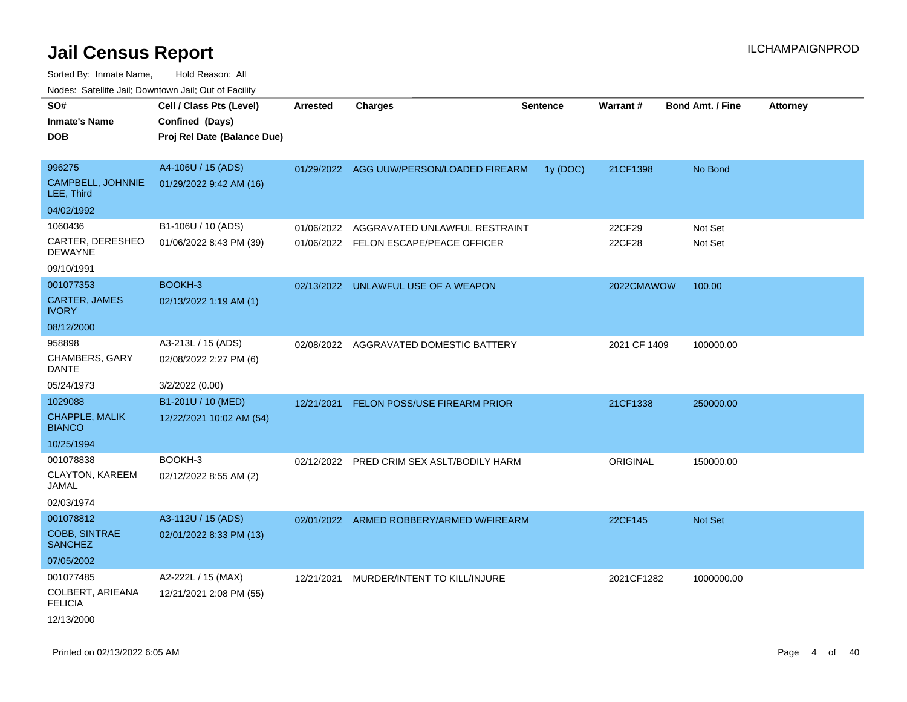| rougs. Calcing Jan, Downtown Jan, Out of Facility |                             |            |                                           |                 |              |                         |                 |
|---------------------------------------------------|-----------------------------|------------|-------------------------------------------|-----------------|--------------|-------------------------|-----------------|
| SO#                                               | Cell / Class Pts (Level)    | Arrested   | <b>Charges</b>                            | <b>Sentence</b> | Warrant#     | <b>Bond Amt. / Fine</b> | <b>Attorney</b> |
| <b>Inmate's Name</b>                              | Confined (Days)             |            |                                           |                 |              |                         |                 |
| <b>DOB</b>                                        | Proj Rel Date (Balance Due) |            |                                           |                 |              |                         |                 |
|                                                   |                             |            |                                           |                 |              |                         |                 |
| 996275                                            | A4-106U / 15 (ADS)          |            | 01/29/2022 AGG UUW/PERSON/LOADED FIREARM  | 1y(DOC)         | 21CF1398     | No Bond                 |                 |
| CAMPBELL, JOHNNIE<br>LEE, Third                   | 01/29/2022 9:42 AM (16)     |            |                                           |                 |              |                         |                 |
| 04/02/1992                                        |                             |            |                                           |                 |              |                         |                 |
| 1060436                                           | B1-106U / 10 (ADS)          | 01/06/2022 | AGGRAVATED UNLAWFUL RESTRAINT             |                 | 22CF29       | Not Set                 |                 |
| CARTER, DERESHEO<br>DEWAYNE                       | 01/06/2022 8:43 PM (39)     |            | 01/06/2022 FELON ESCAPE/PEACE OFFICER     |                 | 22CF28       | Not Set                 |                 |
| 09/10/1991                                        |                             |            |                                           |                 |              |                         |                 |
| 001077353                                         | BOOKH-3                     |            | 02/13/2022 UNLAWFUL USE OF A WEAPON       |                 | 2022CMAWOW   | 100.00                  |                 |
| CARTER, JAMES<br><b>IVORY</b>                     | 02/13/2022 1:19 AM (1)      |            |                                           |                 |              |                         |                 |
| 08/12/2000                                        |                             |            |                                           |                 |              |                         |                 |
| 958898                                            | A3-213L / 15 (ADS)          |            | 02/08/2022 AGGRAVATED DOMESTIC BATTERY    |                 | 2021 CF 1409 | 100000.00               |                 |
| CHAMBERS, GARY<br>DANTE                           | 02/08/2022 2:27 PM (6)      |            |                                           |                 |              |                         |                 |
| 05/24/1973                                        | 3/2/2022 (0.00)             |            |                                           |                 |              |                         |                 |
| 1029088                                           | B1-201U / 10 (MED)          | 12/21/2021 | FELON POSS/USE FIREARM PRIOR              |                 | 21CF1338     | 250000.00               |                 |
| CHAPPLE, MALIK<br><b>BIANCO</b>                   | 12/22/2021 10:02 AM (54)    |            |                                           |                 |              |                         |                 |
| 10/25/1994                                        |                             |            |                                           |                 |              |                         |                 |
| 001078838                                         | BOOKH-3                     |            | 02/12/2022 PRED CRIM SEX ASLT/BODILY HARM |                 | ORIGINAL     | 150000.00               |                 |
| CLAYTON, KAREEM<br>JAMAL                          | 02/12/2022 8:55 AM (2)      |            |                                           |                 |              |                         |                 |
| 02/03/1974                                        |                             |            |                                           |                 |              |                         |                 |
| 001078812                                         | A3-112U / 15 (ADS)          |            | 02/01/2022 ARMED ROBBERY/ARMED W/FIREARM  |                 | 22CF145      | <b>Not Set</b>          |                 |
| <b>COBB, SINTRAE</b><br><b>SANCHEZ</b>            | 02/01/2022 8:33 PM (13)     |            |                                           |                 |              |                         |                 |
| 07/05/2002                                        |                             |            |                                           |                 |              |                         |                 |
| 001077485                                         | A2-222L / 15 (MAX)          | 12/21/2021 | MURDER/INTENT TO KILL/INJURE              |                 | 2021CF1282   | 1000000.00              |                 |
| COLBERT, ARIEANA<br><b>FELICIA</b>                | 12/21/2021 2:08 PM (55)     |            |                                           |                 |              |                         |                 |
| 12/13/2000                                        |                             |            |                                           |                 |              |                         |                 |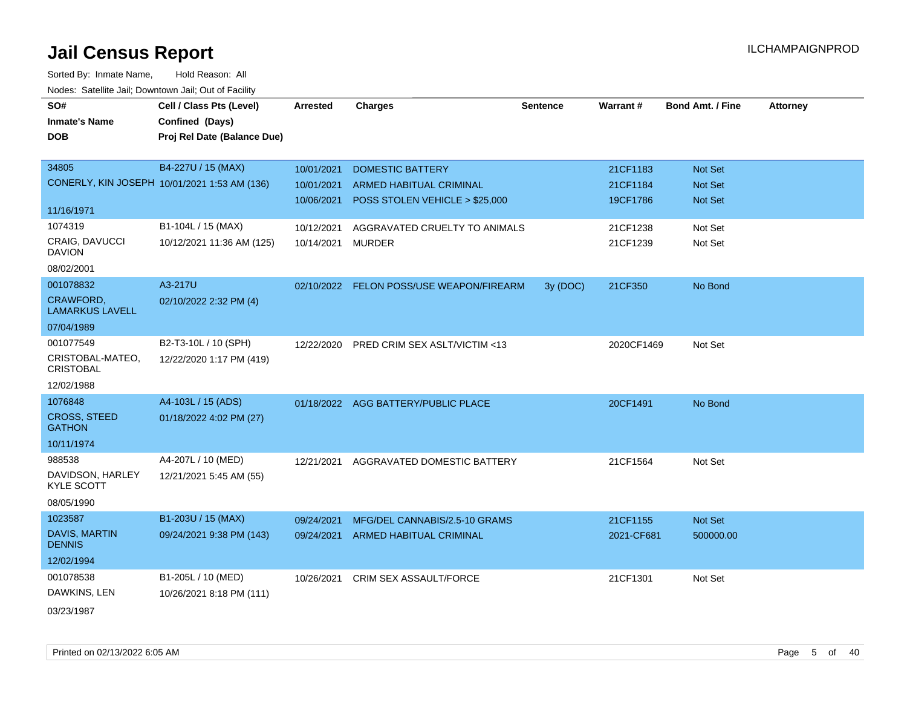| SO#                                    | Cell / Class Pts (Level)                     | Arrested   | <b>Charges</b>                           | <b>Sentence</b> | Warrant#   | <b>Bond Amt. / Fine</b> | <b>Attorney</b> |
|----------------------------------------|----------------------------------------------|------------|------------------------------------------|-----------------|------------|-------------------------|-----------------|
| <b>Inmate's Name</b>                   | Confined (Days)                              |            |                                          |                 |            |                         |                 |
| <b>DOB</b>                             | Proj Rel Date (Balance Due)                  |            |                                          |                 |            |                         |                 |
|                                        |                                              |            |                                          |                 |            |                         |                 |
| 34805                                  | B4-227U / 15 (MAX)                           | 10/01/2021 | <b>DOMESTIC BATTERY</b>                  |                 | 21CF1183   | Not Set                 |                 |
|                                        | CONERLY, KIN JOSEPH 10/01/2021 1:53 AM (136) | 10/01/2021 | <b>ARMED HABITUAL CRIMINAL</b>           |                 | 21CF1184   | Not Set                 |                 |
|                                        |                                              | 10/06/2021 | POSS STOLEN VEHICLE > \$25,000           |                 | 19CF1786   | Not Set                 |                 |
| 11/16/1971                             |                                              |            |                                          |                 |            |                         |                 |
| 1074319                                | B1-104L / 15 (MAX)                           | 10/12/2021 | AGGRAVATED CRUELTY TO ANIMALS            |                 | 21CF1238   | Not Set                 |                 |
| <b>CRAIG, DAVUCCI</b><br><b>DAVION</b> | 10/12/2021 11:36 AM (125)                    | 10/14/2021 | <b>MURDER</b>                            |                 | 21CF1239   | Not Set                 |                 |
| 08/02/2001                             |                                              |            |                                          |                 |            |                         |                 |
| 001078832                              | A3-217U                                      |            | 02/10/2022 FELON POSS/USE WEAPON/FIREARM | 3y (DOC)        | 21CF350    | No Bond                 |                 |
| CRAWFORD,<br><b>LAMARKUS LAVELL</b>    | 02/10/2022 2:32 PM (4)                       |            |                                          |                 |            |                         |                 |
| 07/04/1989                             |                                              |            |                                          |                 |            |                         |                 |
| 001077549                              | B2-T3-10L / 10 (SPH)                         | 12/22/2020 | <b>PRED CRIM SEX ASLT/VICTIM &lt;13</b>  |                 | 2020CF1469 | Not Set                 |                 |
| CRISTOBAL-MATEO,<br><b>CRISTOBAL</b>   | 12/22/2020 1:17 PM (419)                     |            |                                          |                 |            |                         |                 |
| 12/02/1988                             |                                              |            |                                          |                 |            |                         |                 |
| 1076848                                | A4-103L / 15 (ADS)                           |            | 01/18/2022 AGG BATTERY/PUBLIC PLACE      |                 | 20CF1491   | No Bond                 |                 |
| <b>CROSS, STEED</b><br><b>GATHON</b>   | 01/18/2022 4:02 PM (27)                      |            |                                          |                 |            |                         |                 |
| 10/11/1974                             |                                              |            |                                          |                 |            |                         |                 |
| 988538                                 | A4-207L / 10 (MED)                           | 12/21/2021 | AGGRAVATED DOMESTIC BATTERY              |                 | 21CF1564   | Not Set                 |                 |
| DAVIDSON, HARLEY<br><b>KYLE SCOTT</b>  | 12/21/2021 5:45 AM (55)                      |            |                                          |                 |            |                         |                 |
| 08/05/1990                             |                                              |            |                                          |                 |            |                         |                 |
| 1023587                                | B1-203U / 15 (MAX)                           | 09/24/2021 | MFG/DEL CANNABIS/2.5-10 GRAMS            |                 | 21CF1155   | Not Set                 |                 |
| DAVIS, MARTIN<br><b>DENNIS</b>         | 09/24/2021 9:38 PM (143)                     | 09/24/2021 | ARMED HABITUAL CRIMINAL                  |                 | 2021-CF681 | 500000.00               |                 |
| 12/02/1994                             |                                              |            |                                          |                 |            |                         |                 |
| 001078538                              | B1-205L / 10 (MED)                           | 10/26/2021 | <b>CRIM SEX ASSAULT/FORCE</b>            |                 | 21CF1301   | Not Set                 |                 |
| DAWKINS, LEN                           | 10/26/2021 8:18 PM (111)                     |            |                                          |                 |            |                         |                 |
| 03/23/1987                             |                                              |            |                                          |                 |            |                         |                 |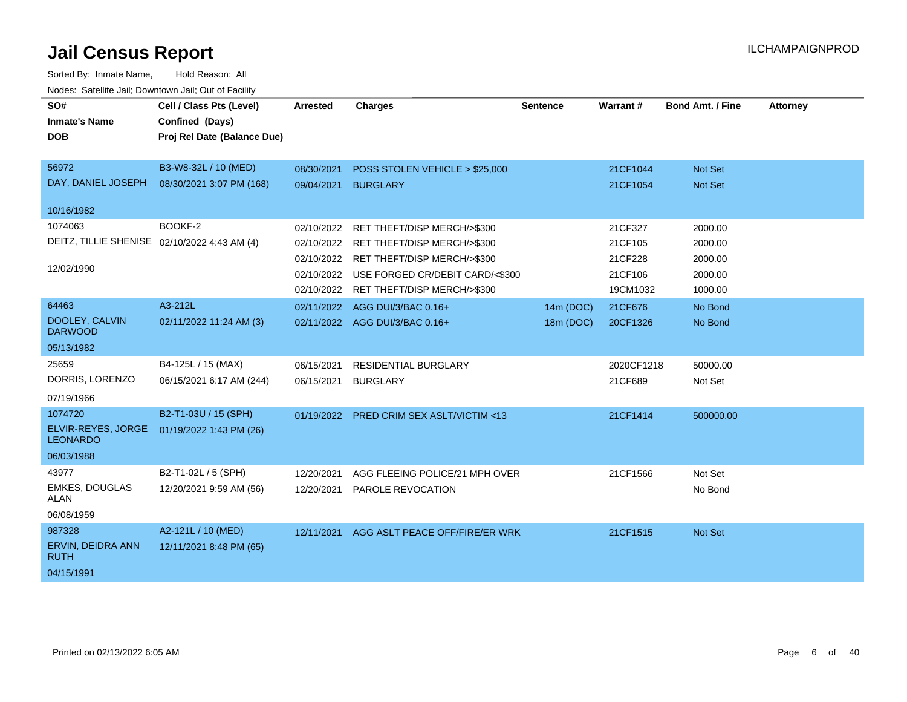| SO#<br><b>Inmate's Name</b><br><b>DOB</b>                             | Cell / Class Pts (Level)<br>Confined (Days)<br>Proj Rel Date (Balance Due) | <b>Arrested</b>                                                    | <b>Charges</b>                                                                                                                                              | <b>Sentence</b> | Warrant#                                             | <b>Bond Amt. / Fine</b>                             | <b>Attorney</b> |
|-----------------------------------------------------------------------|----------------------------------------------------------------------------|--------------------------------------------------------------------|-------------------------------------------------------------------------------------------------------------------------------------------------------------|-----------------|------------------------------------------------------|-----------------------------------------------------|-----------------|
| 56972<br>DAY, DANIEL JOSEPH                                           | B3-W8-32L / 10 (MED)<br>08/30/2021 3:07 PM (168)                           | 08/30/2021<br>09/04/2021                                           | POSS STOLEN VEHICLE > \$25,000<br><b>BURGLARY</b>                                                                                                           |                 | 21CF1044<br>21CF1054                                 | <b>Not Set</b><br><b>Not Set</b>                    |                 |
| 10/16/1982                                                            |                                                                            |                                                                    |                                                                                                                                                             |                 |                                                      |                                                     |                 |
| 1074063<br>DEITZ, TILLIE SHENISE 02/10/2022 4:43 AM (4)<br>12/02/1990 | BOOKF-2                                                                    | 02/10/2022<br>02/10/2022<br>02/10/2022<br>02/10/2022<br>02/10/2022 | RET THEFT/DISP MERCH/>\$300<br>RET THEFT/DISP MERCH/>\$300<br>RET THEFT/DISP MERCH/>\$300<br>USE FORGED CR/DEBIT CARD/<\$300<br>RET THEFT/DISP MERCH/>\$300 |                 | 21CF327<br>21CF105<br>21CF228<br>21CF106<br>19CM1032 | 2000.00<br>2000.00<br>2000.00<br>2000.00<br>1000.00 |                 |
| 64463                                                                 | A3-212L                                                                    | 02/11/2022                                                         | AGG DUI/3/BAC 0.16+                                                                                                                                         | 14m (DOC)       | 21CF676                                              | No Bond                                             |                 |
| DOOLEY, CALVIN<br><b>DARWOOD</b>                                      | 02/11/2022 11:24 AM (3)                                                    |                                                                    | 02/11/2022 AGG DUI/3/BAC 0.16+                                                                                                                              | 18m (DOC)       | 20CF1326                                             | No Bond                                             |                 |
| 05/13/1982                                                            |                                                                            |                                                                    |                                                                                                                                                             |                 |                                                      |                                                     |                 |
| 25659<br>DORRIS, LORENZO<br>07/19/1966                                | B4-125L / 15 (MAX)<br>06/15/2021 6:17 AM (244)                             | 06/15/2021<br>06/15/2021                                           | <b>RESIDENTIAL BURGLARY</b><br><b>BURGLARY</b>                                                                                                              |                 | 2020CF1218<br>21CF689                                | 50000.00<br>Not Set                                 |                 |
| 1074720                                                               | B2-T1-03U / 15 (SPH)                                                       |                                                                    | 01/19/2022 PRED CRIM SEX ASLT/VICTIM <13                                                                                                                    |                 | 21CF1414                                             | 500000.00                                           |                 |
| ELVIR-REYES, JORGE<br><b>LEONARDO</b>                                 | 01/19/2022 1:43 PM (26)                                                    |                                                                    |                                                                                                                                                             |                 |                                                      |                                                     |                 |
| 06/03/1988                                                            |                                                                            |                                                                    |                                                                                                                                                             |                 |                                                      |                                                     |                 |
| 43977<br><b>EMKES, DOUGLAS</b><br><b>ALAN</b>                         | B2-T1-02L / 5 (SPH)<br>12/20/2021 9:59 AM (56)                             | 12/20/2021<br>12/20/2021                                           | AGG FLEEING POLICE/21 MPH OVER<br>PAROLE REVOCATION                                                                                                         |                 | 21CF1566                                             | Not Set<br>No Bond                                  |                 |
| 06/08/1959                                                            |                                                                            |                                                                    |                                                                                                                                                             |                 |                                                      |                                                     |                 |
| 987328                                                                | A2-121L / 10 (MED)                                                         | 12/11/2021                                                         | AGG ASLT PEACE OFF/FIRE/ER WRK                                                                                                                              |                 | 21CF1515                                             | <b>Not Set</b>                                      |                 |
| ERVIN, DEIDRA ANN<br><b>RUTH</b>                                      | 12/11/2021 8:48 PM (65)                                                    |                                                                    |                                                                                                                                                             |                 |                                                      |                                                     |                 |
| 04/15/1991                                                            |                                                                            |                                                                    |                                                                                                                                                             |                 |                                                      |                                                     |                 |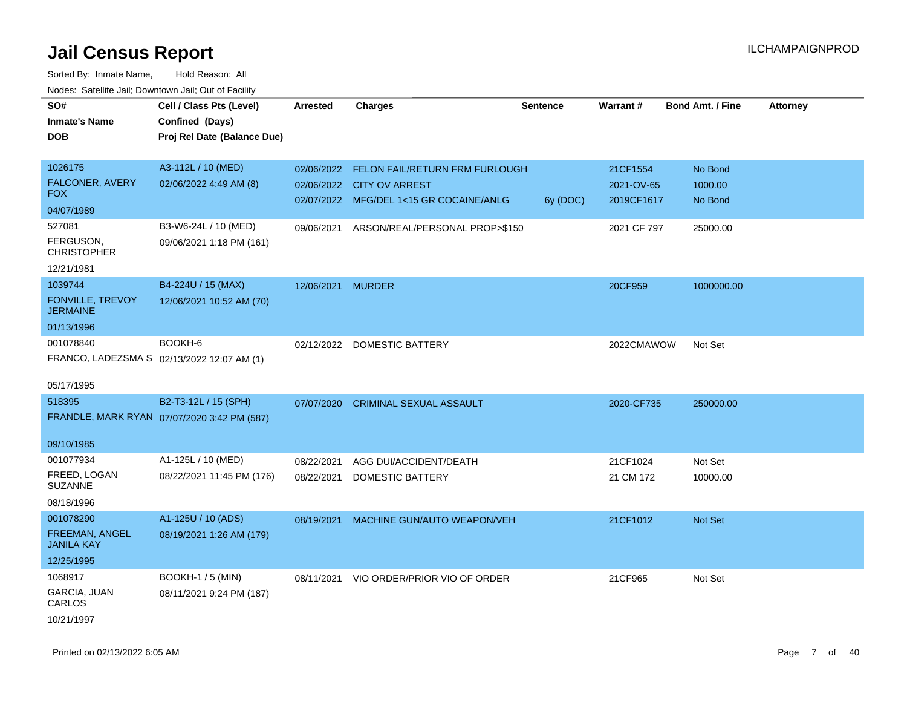| rougs. Calcing Jan, Downtown Jan, Out of Facinty |                                             |                   |                                           |                 |                 |                         |                 |
|--------------------------------------------------|---------------------------------------------|-------------------|-------------------------------------------|-----------------|-----------------|-------------------------|-----------------|
| SO#                                              | Cell / Class Pts (Level)                    | <b>Arrested</b>   | <b>Charges</b>                            | <b>Sentence</b> | <b>Warrant#</b> | <b>Bond Amt. / Fine</b> | <b>Attorney</b> |
| <b>Inmate's Name</b>                             | Confined (Days)                             |                   |                                           |                 |                 |                         |                 |
| <b>DOB</b>                                       | Proj Rel Date (Balance Due)                 |                   |                                           |                 |                 |                         |                 |
|                                                  |                                             |                   |                                           |                 |                 |                         |                 |
| 1026175                                          | A3-112L / 10 (MED)                          |                   | 02/06/2022 FELON FAIL/RETURN FRM FURLOUGH |                 | 21CF1554        | No Bond                 |                 |
| FALCONER, AVERY                                  | 02/06/2022 4:49 AM (8)                      |                   | 02/06/2022 CITY OV ARREST                 |                 | 2021-OV-65      | 1000.00                 |                 |
| <b>FOX</b>                                       |                                             |                   | 02/07/2022 MFG/DEL 1<15 GR COCAINE/ANLG   | 6y (DOC)        | 2019CF1617      | No Bond                 |                 |
| 04/07/1989                                       |                                             |                   |                                           |                 |                 |                         |                 |
| 527081                                           | B3-W6-24L / 10 (MED)                        | 09/06/2021        | ARSON/REAL/PERSONAL PROP>\$150            |                 | 2021 CF 797     | 25000.00                |                 |
| FERGUSON,<br><b>CHRISTOPHER</b>                  | 09/06/2021 1:18 PM (161)                    |                   |                                           |                 |                 |                         |                 |
| 12/21/1981                                       |                                             |                   |                                           |                 |                 |                         |                 |
| 1039744                                          | B4-224U / 15 (MAX)                          | 12/06/2021 MURDER |                                           |                 | 20CF959         | 1000000.00              |                 |
| FONVILLE, TREVOY<br><b>JERMAINE</b>              | 12/06/2021 10:52 AM (70)                    |                   |                                           |                 |                 |                         |                 |
| 01/13/1996                                       |                                             |                   |                                           |                 |                 |                         |                 |
| 001078840                                        | BOOKH-6                                     |                   | 02/12/2022 DOMESTIC BATTERY               |                 | 2022CMAWOW      | Not Set                 |                 |
| FRANCO, LADEZSMA S 02/13/2022 12:07 AM (1)       |                                             |                   |                                           |                 |                 |                         |                 |
|                                                  |                                             |                   |                                           |                 |                 |                         |                 |
| 05/17/1995                                       |                                             |                   |                                           |                 |                 |                         |                 |
| 518395                                           | B2-T3-12L / 15 (SPH)                        | 07/07/2020        | <b>CRIMINAL SEXUAL ASSAULT</b>            |                 | 2020-CF735      | 250000.00               |                 |
|                                                  | FRANDLE, MARK RYAN 07/07/2020 3:42 PM (587) |                   |                                           |                 |                 |                         |                 |
|                                                  |                                             |                   |                                           |                 |                 |                         |                 |
| 09/10/1985                                       |                                             |                   |                                           |                 |                 |                         |                 |
| 001077934                                        | A1-125L / 10 (MED)                          | 08/22/2021        | AGG DUI/ACCIDENT/DEATH                    |                 | 21CF1024        | Not Set                 |                 |
| FREED, LOGAN                                     | 08/22/2021 11:45 PM (176)                   | 08/22/2021        | <b>DOMESTIC BATTERY</b>                   |                 | 21 CM 172       | 10000.00                |                 |
| <b>SUZANNE</b>                                   |                                             |                   |                                           |                 |                 |                         |                 |
| 08/18/1996                                       |                                             |                   |                                           |                 |                 |                         |                 |
| 001078290                                        | A1-125U / 10 (ADS)                          |                   | 08/19/2021 MACHINE GUN/AUTO WEAPON/VEH    |                 | 21CF1012        | <b>Not Set</b>          |                 |
| FREEMAN, ANGEL<br><b>JANILA KAY</b>              | 08/19/2021 1:26 AM (179)                    |                   |                                           |                 |                 |                         |                 |
| 12/25/1995                                       |                                             |                   |                                           |                 |                 |                         |                 |
| 1068917                                          | <b>BOOKH-1 / 5 (MIN)</b>                    | 08/11/2021        | VIO ORDER/PRIOR VIO OF ORDER              |                 | 21CF965         | Not Set                 |                 |
| GARCIA, JUAN<br>CARLOS                           | 08/11/2021 9:24 PM (187)                    |                   |                                           |                 |                 |                         |                 |
| 10/21/1997                                       |                                             |                   |                                           |                 |                 |                         |                 |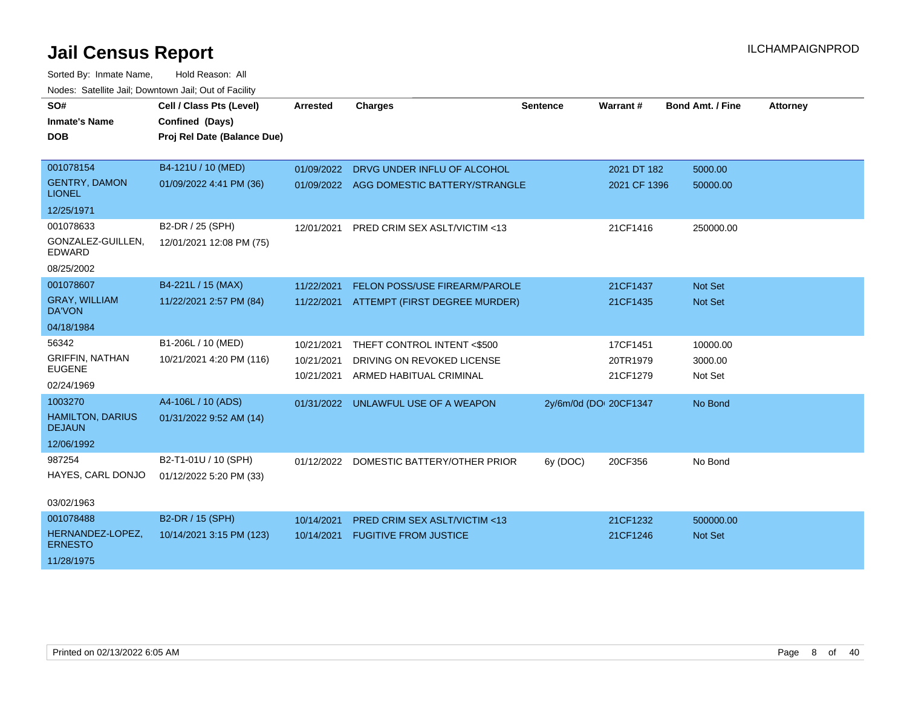| SO#                                      | Cell / Class Pts (Level)    | <b>Arrested</b> | <b>Charges</b>                           | <b>Sentence</b>        | Warrant#     | <b>Bond Amt. / Fine</b> | <b>Attorney</b> |
|------------------------------------------|-----------------------------|-----------------|------------------------------------------|------------------------|--------------|-------------------------|-----------------|
| <b>Inmate's Name</b>                     | Confined (Days)             |                 |                                          |                        |              |                         |                 |
| <b>DOB</b>                               | Proj Rel Date (Balance Due) |                 |                                          |                        |              |                         |                 |
|                                          |                             |                 |                                          |                        |              |                         |                 |
| 001078154                                | B4-121U / 10 (MED)          | 01/09/2022      | DRVG UNDER INFLU OF ALCOHOL              |                        | 2021 DT 182  | 5000.00                 |                 |
| <b>GENTRY, DAMON</b><br><b>LIONEL</b>    | 01/09/2022 4:41 PM (36)     |                 | 01/09/2022 AGG DOMESTIC BATTERY/STRANGLE |                        | 2021 CF 1396 | 50000.00                |                 |
| 12/25/1971                               |                             |                 |                                          |                        |              |                         |                 |
| 001078633                                | B2-DR / 25 (SPH)            | 12/01/2021      | PRED CRIM SEX ASLT/VICTIM <13            |                        | 21CF1416     | 250000.00               |                 |
| GONZALEZ-GUILLEN,<br><b>EDWARD</b>       | 12/01/2021 12:08 PM (75)    |                 |                                          |                        |              |                         |                 |
| 08/25/2002                               |                             |                 |                                          |                        |              |                         |                 |
| 001078607                                | B4-221L / 15 (MAX)          | 11/22/2021      | <b>FELON POSS/USE FIREARM/PAROLE</b>     |                        | 21CF1437     | Not Set                 |                 |
| <b>GRAY, WILLIAM</b><br><b>DA'VON</b>    | 11/22/2021 2:57 PM (84)     |                 | 11/22/2021 ATTEMPT (FIRST DEGREE MURDER) |                        | 21CF1435     | <b>Not Set</b>          |                 |
| 04/18/1984                               |                             |                 |                                          |                        |              |                         |                 |
| 56342                                    | B1-206L / 10 (MED)          | 10/21/2021      | THEFT CONTROL INTENT <\$500              |                        | 17CF1451     | 10000.00                |                 |
| <b>GRIFFIN, NATHAN</b>                   | 10/21/2021 4:20 PM (116)    | 10/21/2021      | DRIVING ON REVOKED LICENSE               |                        | 20TR1979     | 3000.00                 |                 |
| <b>EUGENE</b>                            |                             | 10/21/2021      | ARMED HABITUAL CRIMINAL                  |                        | 21CF1279     | Not Set                 |                 |
| 02/24/1969                               |                             |                 |                                          |                        |              |                         |                 |
| 1003270                                  | A4-106L / 10 (ADS)          | 01/31/2022      | UNLAWFUL USE OF A WEAPON                 | 2y/6m/0d (DOI 20CF1347 |              | No Bond                 |                 |
| <b>HAMILTON, DARIUS</b><br><b>DEJAUN</b> | 01/31/2022 9:52 AM (14)     |                 |                                          |                        |              |                         |                 |
| 12/06/1992                               |                             |                 |                                          |                        |              |                         |                 |
| 987254                                   | B2-T1-01U / 10 (SPH)        |                 | 01/12/2022 DOMESTIC BATTERY/OTHER PRIOR  | 6y (DOC)               | 20CF356      | No Bond                 |                 |
| HAYES, CARL DONJO                        | 01/12/2022 5:20 PM (33)     |                 |                                          |                        |              |                         |                 |
|                                          |                             |                 |                                          |                        |              |                         |                 |
| 03/02/1963                               |                             |                 |                                          |                        |              |                         |                 |
| 001078488                                | B2-DR / 15 (SPH)            | 10/14/2021      | <b>PRED CRIM SEX ASLT/VICTIM &lt;13</b>  |                        | 21CF1232     | 500000.00               |                 |
| HERNANDEZ-LOPEZ,<br><b>ERNESTO</b>       | 10/14/2021 3:15 PM (123)    | 10/14/2021      | <b>FUGITIVE FROM JUSTICE</b>             |                        | 21CF1246     | <b>Not Set</b>          |                 |
| 11/28/1975                               |                             |                 |                                          |                        |              |                         |                 |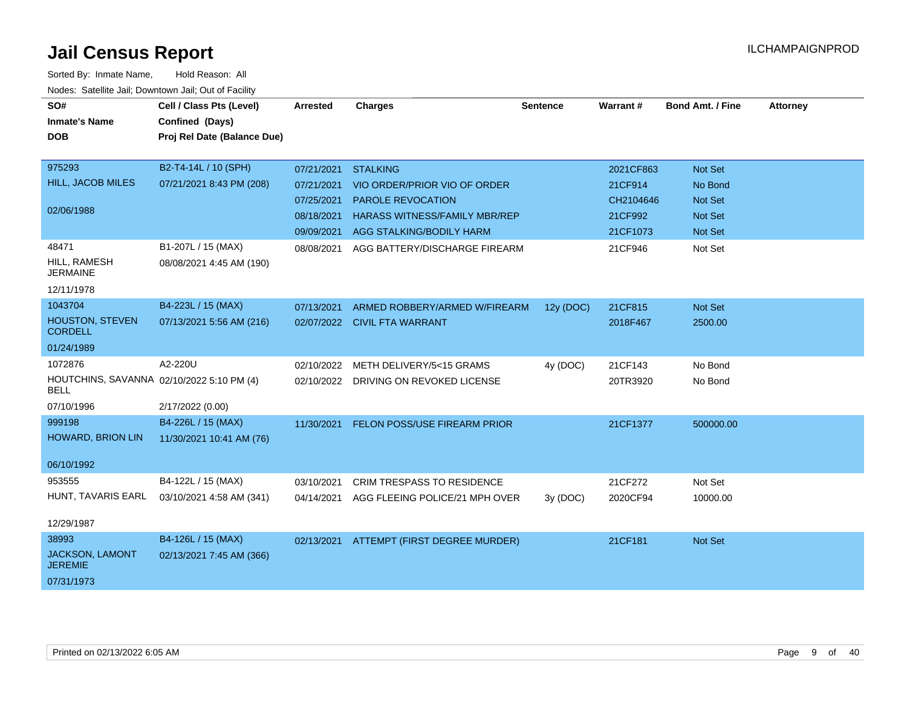| SO#                                                      | Cell / Class Pts (Level)    | <b>Arrested</b> | <b>Charges</b>                           | <b>Sentence</b> | Warrant#  | <b>Bond Amt. / Fine</b> | <b>Attorney</b> |
|----------------------------------------------------------|-----------------------------|-----------------|------------------------------------------|-----------------|-----------|-------------------------|-----------------|
| <b>Inmate's Name</b>                                     | Confined (Days)             |                 |                                          |                 |           |                         |                 |
| <b>DOB</b>                                               | Proj Rel Date (Balance Due) |                 |                                          |                 |           |                         |                 |
|                                                          |                             |                 |                                          |                 |           |                         |                 |
| 975293                                                   | B2-T4-14L / 10 (SPH)        | 07/21/2021      | <b>STALKING</b>                          |                 | 2021CF863 | <b>Not Set</b>          |                 |
| <b>HILL, JACOB MILES</b>                                 | 07/21/2021 8:43 PM (208)    | 07/21/2021      | VIO ORDER/PRIOR VIO OF ORDER             |                 | 21CF914   | No Bond                 |                 |
|                                                          |                             | 07/25/2021      | PAROLE REVOCATION                        |                 | CH2104646 | <b>Not Set</b>          |                 |
| 02/06/1988                                               |                             | 08/18/2021      | <b>HARASS WITNESS/FAMILY MBR/REP</b>     |                 | 21CF992   | <b>Not Set</b>          |                 |
|                                                          |                             |                 | 09/09/2021 AGG STALKING/BODILY HARM      |                 | 21CF1073  | <b>Not Set</b>          |                 |
| 48471                                                    | B1-207L / 15 (MAX)          | 08/08/2021      | AGG BATTERY/DISCHARGE FIREARM            |                 | 21CF946   | Not Set                 |                 |
| HILL, RAMESH<br><b>JERMAINE</b>                          | 08/08/2021 4:45 AM (190)    |                 |                                          |                 |           |                         |                 |
| 12/11/1978                                               |                             |                 |                                          |                 |           |                         |                 |
| 1043704                                                  | B4-223L / 15 (MAX)          | 07/13/2021      | ARMED ROBBERY/ARMED W/FIREARM            | 12y (DOC)       | 21CF815   | Not Set                 |                 |
| <b>HOUSTON, STEVEN</b><br><b>CORDELL</b>                 | 07/13/2021 5:56 AM (216)    |                 | 02/07/2022 CIVIL FTA WARRANT             |                 | 2018F467  | 2500.00                 |                 |
| 01/24/1989                                               |                             |                 |                                          |                 |           |                         |                 |
| 1072876                                                  | A2-220U                     | 02/10/2022      | METH DELIVERY/5<15 GRAMS                 | 4y (DOC)        | 21CF143   | No Bond                 |                 |
| HOUTCHINS, SAVANNA 02/10/2022 5:10 PM (4)<br><b>BELL</b> |                             |                 | 02/10/2022 DRIVING ON REVOKED LICENSE    |                 | 20TR3920  | No Bond                 |                 |
| 07/10/1996                                               | 2/17/2022 (0.00)            |                 |                                          |                 |           |                         |                 |
| 999198                                                   | B4-226L / 15 (MAX)          |                 | 11/30/2021 FELON POSS/USE FIREARM PRIOR  |                 | 21CF1377  | 500000.00               |                 |
| <b>HOWARD, BRION LIN</b>                                 | 11/30/2021 10:41 AM (76)    |                 |                                          |                 |           |                         |                 |
| 06/10/1992                                               |                             |                 |                                          |                 |           |                         |                 |
| 953555                                                   | B4-122L / 15 (MAX)          | 03/10/2021      | <b>CRIM TRESPASS TO RESIDENCE</b>        |                 | 21CF272   | Not Set                 |                 |
| HUNT, TAVARIS EARL                                       | 03/10/2021 4:58 AM (341)    | 04/14/2021      | AGG FLEEING POLICE/21 MPH OVER           | 3y(DOC)         | 2020CF94  | 10000.00                |                 |
| 12/29/1987                                               |                             |                 |                                          |                 |           |                         |                 |
| 38993                                                    | B4-126L / 15 (MAX)          |                 | 02/13/2021 ATTEMPT (FIRST DEGREE MURDER) |                 | 21CF181   | <b>Not Set</b>          |                 |
| JACKSON, LAMONT<br><b>JEREMIE</b>                        | 02/13/2021 7:45 AM (366)    |                 |                                          |                 |           |                         |                 |
| 07/31/1973                                               |                             |                 |                                          |                 |           |                         |                 |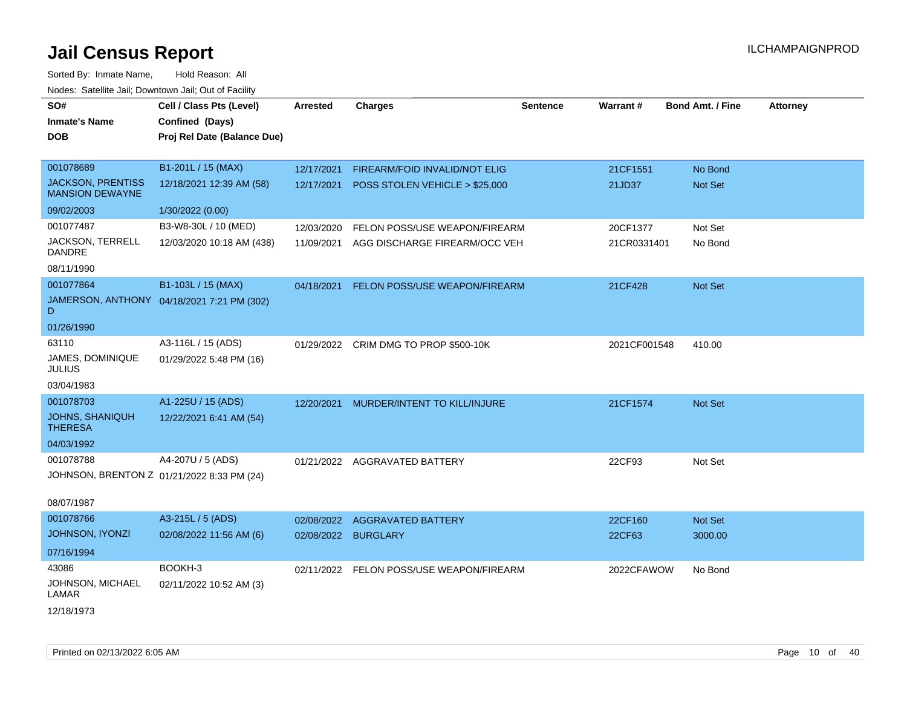| soupois catomic can, Dominomii can, Cat or I domt<br>SO# | Cell / Class Pts (Level)                       | <b>Arrested</b> | <b>Charges</b>                            | <b>Sentence</b> | <b>Warrant#</b> | <b>Bond Amt. / Fine</b> | <b>Attorney</b> |
|----------------------------------------------------------|------------------------------------------------|-----------------|-------------------------------------------|-----------------|-----------------|-------------------------|-----------------|
| <b>Inmate's Name</b><br><b>DOB</b>                       | Confined (Days)<br>Proj Rel Date (Balance Due) |                 |                                           |                 |                 |                         |                 |
|                                                          |                                                |                 |                                           |                 |                 |                         |                 |
| 001078689                                                | B1-201L / 15 (MAX)                             | 12/17/2021      | FIREARM/FOID INVALID/NOT ELIG             |                 | 21CF1551        | No Bond                 |                 |
| <b>JACKSON, PRENTISS</b><br><b>MANSION DEWAYNE</b>       | 12/18/2021 12:39 AM (58)                       |                 | 12/17/2021 POSS STOLEN VEHICLE > \$25,000 |                 | 21JD37          | <b>Not Set</b>          |                 |
| 09/02/2003                                               | 1/30/2022 (0.00)                               |                 |                                           |                 |                 |                         |                 |
| 001077487                                                | B3-W8-30L / 10 (MED)                           | 12/03/2020      | FELON POSS/USE WEAPON/FIREARM             |                 | 20CF1377        | Not Set                 |                 |
| JACKSON, TERRELL<br><b>DANDRE</b>                        | 12/03/2020 10:18 AM (438)                      | 11/09/2021      | AGG DISCHARGE FIREARM/OCC VEH             |                 | 21CR0331401     | No Bond                 |                 |
| 08/11/1990                                               |                                                |                 |                                           |                 |                 |                         |                 |
| 001077864                                                | B1-103L / 15 (MAX)                             |                 | 04/18/2021 FELON POSS/USE WEAPON/FIREARM  |                 | 21CF428         | Not Set                 |                 |
| D                                                        | JAMERSON, ANTHONY 04/18/2021 7:21 PM (302)     |                 |                                           |                 |                 |                         |                 |
| 01/26/1990                                               |                                                |                 |                                           |                 |                 |                         |                 |
| 63110                                                    | A3-116L / 15 (ADS)                             |                 | 01/29/2022 CRIM DMG TO PROP \$500-10K     |                 | 2021CF001548    | 410.00                  |                 |
| JAMES, DOMINIQUE<br><b>JULIUS</b>                        | 01/29/2022 5:48 PM (16)                        |                 |                                           |                 |                 |                         |                 |
| 03/04/1983                                               |                                                |                 |                                           |                 |                 |                         |                 |
| 001078703                                                | A1-225U / 15 (ADS)                             | 12/20/2021      | MURDER/INTENT TO KILL/INJURE              |                 | 21CF1574        | Not Set                 |                 |
| <b>JOHNS, SHANIQUH</b><br><b>THERESA</b>                 | 12/22/2021 6:41 AM (54)                        |                 |                                           |                 |                 |                         |                 |
| 04/03/1992                                               |                                                |                 |                                           |                 |                 |                         |                 |
| 001078788                                                | A4-207U / 5 (ADS)                              |                 | 01/21/2022 AGGRAVATED BATTERY             |                 | 22CF93          | Not Set                 |                 |
|                                                          | JOHNSON, BRENTON Z 01/21/2022 8:33 PM (24)     |                 |                                           |                 |                 |                         |                 |
| 08/07/1987                                               |                                                |                 |                                           |                 |                 |                         |                 |
| 001078766                                                | A3-215L / 5 (ADS)                              | 02/08/2022      | <b>AGGRAVATED BATTERY</b>                 |                 | 22CF160         | Not Set                 |                 |
| JOHNSON, IYONZI                                          | 02/08/2022 11:56 AM (6)                        |                 | 02/08/2022 BURGLARY                       |                 | 22CF63          | 3000.00                 |                 |
| 07/16/1994                                               |                                                |                 |                                           |                 |                 |                         |                 |
| 43086                                                    | BOOKH-3                                        |                 | 02/11/2022 FELON POSS/USE WEAPON/FIREARM  |                 | 2022CFAWOW      | No Bond                 |                 |
| JOHNSON, MICHAEL<br>LAMAR                                | 02/11/2022 10:52 AM (3)                        |                 |                                           |                 |                 |                         |                 |
| 12/18/1973                                               |                                                |                 |                                           |                 |                 |                         |                 |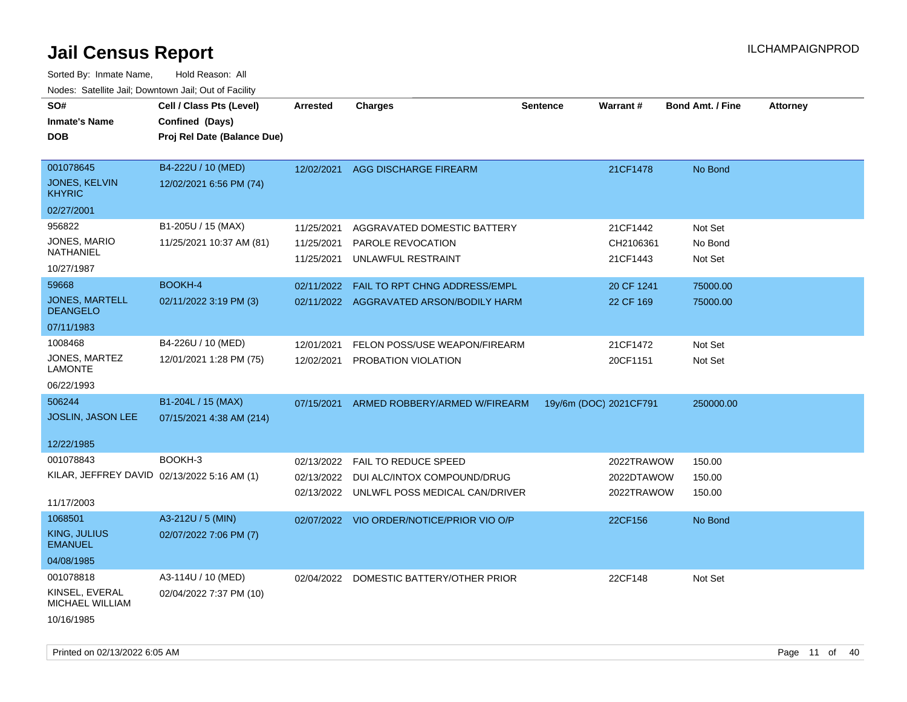| SO#                                         | Cell / Class Pts (Level)    | <b>Arrested</b> | <b>Charges</b>                            | <b>Sentence</b> | Warrant#               | <b>Bond Amt. / Fine</b> | <b>Attorney</b> |
|---------------------------------------------|-----------------------------|-----------------|-------------------------------------------|-----------------|------------------------|-------------------------|-----------------|
| <b>Inmate's Name</b>                        | Confined (Days)             |                 |                                           |                 |                        |                         |                 |
| DOB                                         | Proj Rel Date (Balance Due) |                 |                                           |                 |                        |                         |                 |
|                                             |                             |                 |                                           |                 |                        |                         |                 |
| 001078645                                   | B4-222U / 10 (MED)          | 12/02/2021      | AGG DISCHARGE FIREARM                     |                 | 21CF1478               | No Bond                 |                 |
| <b>JONES, KELVIN</b><br><b>KHYRIC</b>       | 12/02/2021 6:56 PM (74)     |                 |                                           |                 |                        |                         |                 |
| 02/27/2001                                  |                             |                 |                                           |                 |                        |                         |                 |
| 956822                                      | B1-205U / 15 (MAX)          | 11/25/2021      | AGGRAVATED DOMESTIC BATTERY               |                 | 21CF1442               | Not Set                 |                 |
| JONES, MARIO                                | 11/25/2021 10:37 AM (81)    | 11/25/2021      | PAROLE REVOCATION                         |                 | CH2106361              | No Bond                 |                 |
| NATHANIEL                                   |                             | 11/25/2021      | UNLAWFUL RESTRAINT                        |                 | 21CF1443               | Not Set                 |                 |
| 10/27/1987                                  |                             |                 |                                           |                 |                        |                         |                 |
| 59668                                       | BOOKH-4                     | 02/11/2022      | FAIL TO RPT CHNG ADDRESS/EMPL             |                 | 20 CF 1241             | 75000.00                |                 |
| JONES, MARTELL<br><b>DEANGELO</b>           | 02/11/2022 3:19 PM (3)      |                 | 02/11/2022 AGGRAVATED ARSON/BODILY HARM   |                 | 22 CF 169              | 75000.00                |                 |
| 07/11/1983                                  |                             |                 |                                           |                 |                        |                         |                 |
| 1008468                                     | B4-226U / 10 (MED)          | 12/01/2021      | FELON POSS/USE WEAPON/FIREARM             |                 | 21CF1472               | Not Set                 |                 |
| JONES, MARTEZ<br><b>LAMONTE</b>             | 12/01/2021 1:28 PM (75)     | 12/02/2021      | PROBATION VIOLATION                       |                 | 20CF1151               | Not Set                 |                 |
| 06/22/1993                                  |                             |                 |                                           |                 |                        |                         |                 |
| 506244                                      | B1-204L / 15 (MAX)          | 07/15/2021      | ARMED ROBBERY/ARMED W/FIREARM             |                 | 19y/6m (DOC) 2021CF791 | 250000.00               |                 |
| <b>JOSLIN, JASON LEE</b>                    | 07/15/2021 4:38 AM (214)    |                 |                                           |                 |                        |                         |                 |
|                                             |                             |                 |                                           |                 |                        |                         |                 |
| 12/22/1985                                  |                             |                 |                                           |                 |                        |                         |                 |
| 001078843                                   | BOOKH-3                     | 02/13/2022      | FAIL TO REDUCE SPEED                      |                 | 2022TRAWOW             | 150.00                  |                 |
| KILAR, JEFFREY DAVID 02/13/2022 5:16 AM (1) |                             | 02/13/2022      | DUI ALC/INTOX COMPOUND/DRUG               |                 | 2022DTAWOW             | 150.00                  |                 |
|                                             |                             | 02/13/2022      | UNLWFL POSS MEDICAL CAN/DRIVER            |                 | 2022TRAWOW             | 150.00                  |                 |
| 11/17/2003                                  |                             |                 |                                           |                 |                        |                         |                 |
| 1068501                                     | A3-212U / 5 (MIN)           |                 | 02/07/2022 VIO ORDER/NOTICE/PRIOR VIO O/P |                 | 22CF156                | No Bond                 |                 |
| KING, JULIUS<br><b>EMANUEL</b>              | 02/07/2022 7:06 PM (7)      |                 |                                           |                 |                        |                         |                 |
| 04/08/1985                                  |                             |                 |                                           |                 |                        |                         |                 |
| 001078818                                   | A3-114U / 10 (MED)          | 02/04/2022      | DOMESTIC BATTERY/OTHER PRIOR              |                 | 22CF148                | Not Set                 |                 |
| KINSEL, EVERAL<br>MICHAEL WILLIAM           | 02/04/2022 7:37 PM (10)     |                 |                                           |                 |                        |                         |                 |
| 10/16/1985                                  |                             |                 |                                           |                 |                        |                         |                 |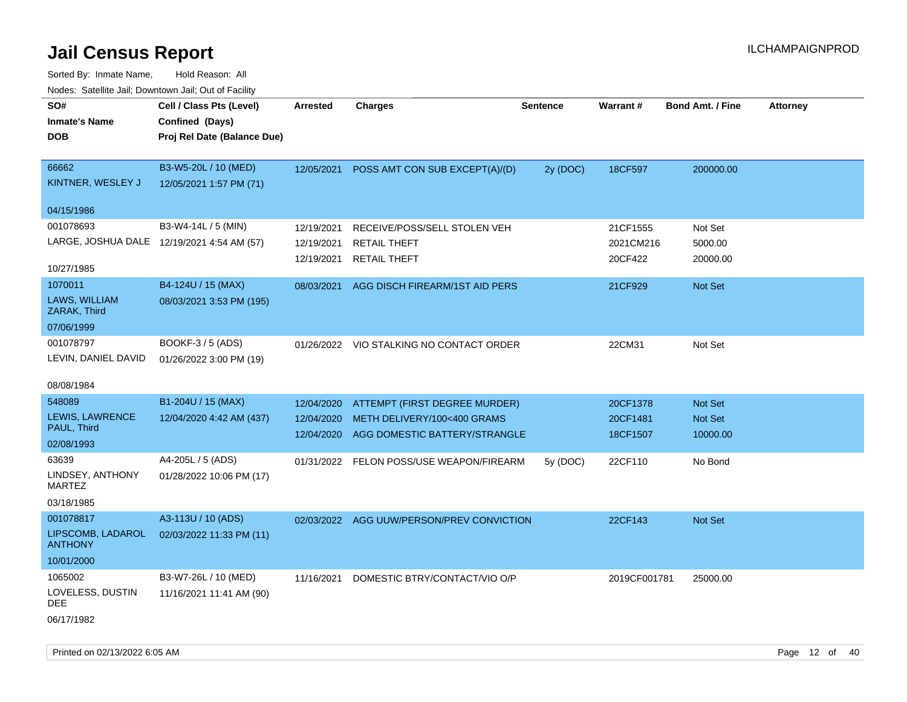Sorted By: Inmate Name, Hold Reason: All Nodes: Satellite Jail; Downtown Jail; Out of Facility

| SO#                                          | Cell / Class Pts (Level)                       | Arrested   | <b>Charges</b>                            | <b>Sentence</b> | Warrant#     | <b>Bond Amt. / Fine</b> | <b>Attorney</b> |
|----------------------------------------------|------------------------------------------------|------------|-------------------------------------------|-----------------|--------------|-------------------------|-----------------|
| <b>Inmate's Name</b>                         | Confined (Days)                                |            |                                           |                 |              |                         |                 |
| <b>DOB</b>                                   | Proj Rel Date (Balance Due)                    |            |                                           |                 |              |                         |                 |
|                                              |                                                |            |                                           |                 |              |                         |                 |
| 66662                                        | B3-W5-20L / 10 (MED)                           | 12/05/2021 | POSS AMT CON SUB EXCEPT(A)/(D)            | 2y (DOC)        | 18CF597      | 200000.00               |                 |
| KINTNER, WESLEY J                            | 12/05/2021 1:57 PM (71)                        |            |                                           |                 |              |                         |                 |
|                                              |                                                |            |                                           |                 |              |                         |                 |
| 04/15/1986                                   |                                                |            |                                           |                 |              |                         |                 |
| 001078693                                    | B3-W4-14L / 5 (MIN)                            | 12/19/2021 | RECEIVE/POSS/SELL STOLEN VEH              |                 | 21CF1555     | Not Set                 |                 |
| LARGE, JOSHUA DALE 12/19/2021 4:54 AM (57)   |                                                | 12/19/2021 | <b>RETAIL THEFT</b>                       |                 | 2021CM216    | 5000.00                 |                 |
|                                              |                                                | 12/19/2021 | <b>RETAIL THEFT</b>                       |                 | 20CF422      | 20000.00                |                 |
| 10/27/1985                                   |                                                |            |                                           |                 |              |                         |                 |
| 1070011                                      | B4-124U / 15 (MAX)                             | 08/03/2021 | AGG DISCH FIREARM/1ST AID PERS            |                 | 21CF929      | Not Set                 |                 |
| LAWS, WILLIAM<br>ZARAK, Third                | 08/03/2021 3:53 PM (195)                       |            |                                           |                 |              |                         |                 |
| 07/06/1999                                   |                                                |            |                                           |                 |              |                         |                 |
| 001078797                                    | BOOKF-3 / 5 (ADS)                              |            | 01/26/2022 VIO STALKING NO CONTACT ORDER  |                 | 22CM31       | Not Set                 |                 |
| LEVIN, DANIEL DAVID                          | 01/26/2022 3:00 PM (19)                        |            |                                           |                 |              |                         |                 |
|                                              |                                                |            |                                           |                 |              |                         |                 |
| 08/08/1984                                   |                                                |            |                                           |                 |              |                         |                 |
| 548089                                       | B1-204U / 15 (MAX)                             | 12/04/2020 | ATTEMPT (FIRST DEGREE MURDER)             |                 | 20CF1378     | <b>Not Set</b>          |                 |
| LEWIS, LAWRENCE                              | 12/04/2020 4:42 AM (437)                       | 12/04/2020 | METH DELIVERY/100<400 GRAMS               |                 | 20CF1481     | Not Set                 |                 |
| PAUL, Third                                  |                                                | 12/04/2020 | AGG DOMESTIC BATTERY/STRANGLE             |                 | 18CF1507     | 10000.00                |                 |
| 02/08/1993                                   |                                                |            |                                           |                 |              |                         |                 |
| 63639                                        | A4-205L / 5 (ADS)                              |            | 01/31/2022 FELON POSS/USE WEAPON/FIREARM  | 5y (DOC)        | 22CF110      | No Bond                 |                 |
| LINDSEY, ANTHONY<br><b>MARTEZ</b>            | 01/28/2022 10:06 PM (17)                       |            |                                           |                 |              |                         |                 |
|                                              |                                                |            |                                           |                 |              |                         |                 |
|                                              |                                                |            |                                           |                 |              |                         |                 |
|                                              |                                                |            |                                           |                 |              |                         |                 |
| <b>ANTHONY</b>                               |                                                |            |                                           |                 |              |                         |                 |
| 10/01/2000                                   |                                                |            |                                           |                 |              |                         |                 |
| 1065002                                      | B3-W7-26L / 10 (MED)                           | 11/16/2021 | DOMESTIC BTRY/CONTACT/VIO O/P             |                 | 2019CF001781 | 25000.00                |                 |
| LOVELESS, DUSTIN<br>DEE                      | 11/16/2021 11:41 AM (90)                       |            |                                           |                 |              |                         |                 |
| 06/17/1982                                   |                                                |            |                                           |                 |              |                         |                 |
| 03/18/1985<br>001078817<br>LIPSCOMB, LADAROL | A3-113U / 10 (ADS)<br>02/03/2022 11:33 PM (11) |            | 02/03/2022 AGG UUW/PERSON/PREV CONVICTION |                 | 22CF143      | <b>Not Set</b>          |                 |

Printed on 02/13/2022 6:05 AM Page 12 of 40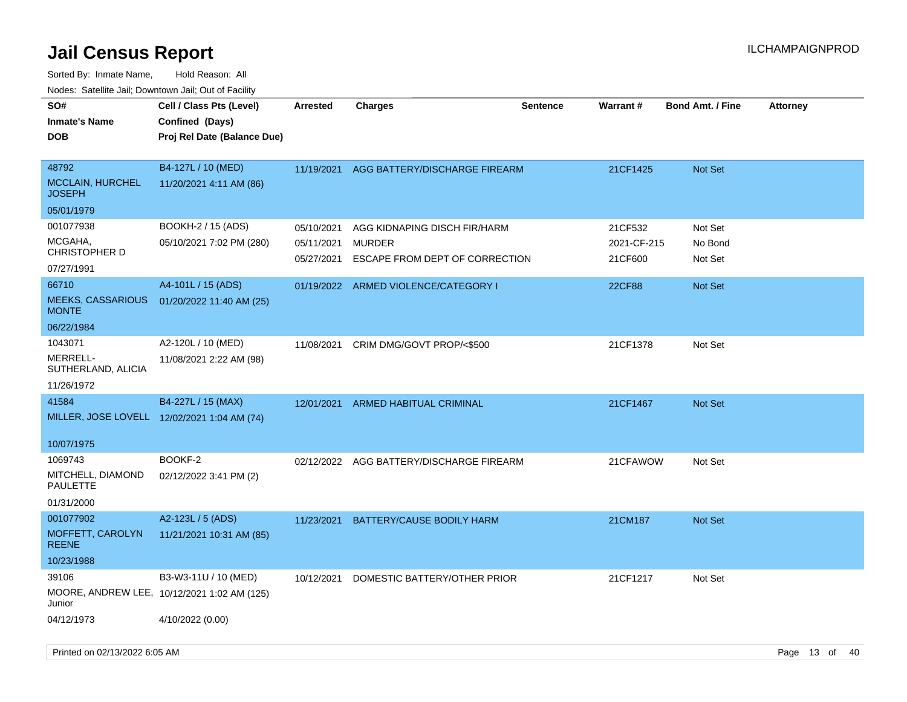| SO#<br><b>Inmate's Name</b><br><b>DOB</b>                     | Cell / Class Pts (Level)<br>Confined (Days)<br>Proj Rel Date (Balance Due) | Arrested                               | <b>Charges</b>                                                                  | <b>Sentence</b> | <b>Warrant#</b>                   | <b>Bond Amt. / Fine</b>       | <b>Attorney</b> |
|---------------------------------------------------------------|----------------------------------------------------------------------------|----------------------------------------|---------------------------------------------------------------------------------|-----------------|-----------------------------------|-------------------------------|-----------------|
| 48792<br><b>MCCLAIN, HURCHEL</b><br><b>JOSEPH</b>             | B4-127L / 10 (MED)<br>11/20/2021 4:11 AM (86)                              |                                        | 11/19/2021 AGG BATTERY/DISCHARGE FIREARM                                        |                 | 21CF1425                          | Not Set                       |                 |
| 05/01/1979                                                    |                                                                            |                                        |                                                                                 |                 |                                   |                               |                 |
| 001077938<br>MCGAHA,<br><b>CHRISTOPHER D</b>                  | BOOKH-2 / 15 (ADS)<br>05/10/2021 7:02 PM (280)                             | 05/10/2021<br>05/11/2021<br>05/27/2021 | AGG KIDNAPING DISCH FIR/HARM<br><b>MURDER</b><br>ESCAPE FROM DEPT OF CORRECTION |                 | 21CF532<br>2021-CF-215<br>21CF600 | Not Set<br>No Bond<br>Not Set |                 |
| 07/27/1991                                                    |                                                                            |                                        |                                                                                 |                 |                                   |                               |                 |
| 66710<br><b>MEEKS, CASSARIOUS</b><br><b>MONTE</b>             | A4-101L / 15 (ADS)<br>01/20/2022 11:40 AM (25)                             |                                        | 01/19/2022 ARMED VIOLENCE/CATEGORY I                                            |                 | <b>22CF88</b>                     | Not Set                       |                 |
| 06/22/1984                                                    |                                                                            |                                        |                                                                                 |                 |                                   |                               |                 |
| 1043071<br>MERRELL-<br>SUTHERLAND, ALICIA                     | A2-120L / 10 (MED)<br>11/08/2021 2:22 AM (98)                              | 11/08/2021                             | CRIM DMG/GOVT PROP/<\$500                                                       |                 | 21CF1378                          | Not Set                       |                 |
| 11/26/1972<br>41584                                           | B4-227L / 15 (MAX)                                                         |                                        |                                                                                 |                 |                                   |                               |                 |
|                                                               | MILLER, JOSE LOVELL 12/02/2021 1:04 AM (74)                                |                                        | 12/01/2021 ARMED HABITUAL CRIMINAL                                              |                 | 21CF1467                          | Not Set                       |                 |
| 10/07/1975                                                    |                                                                            |                                        |                                                                                 |                 |                                   |                               |                 |
| 1069743<br>MITCHELL, DIAMOND<br><b>PAULETTE</b><br>01/31/2000 | BOOKF-2<br>02/12/2022 3:41 PM (2)                                          |                                        | 02/12/2022 AGG BATTERY/DISCHARGE FIREARM                                        |                 | 21CFAWOW                          | Not Set                       |                 |
| 001077902                                                     | A2-123L / 5 (ADS)                                                          | 11/23/2021                             | BATTERY/CAUSE BODILY HARM                                                       |                 | 21CM187                           | Not Set                       |                 |
| MOFFETT, CAROLYN<br><b>REENE</b>                              | 11/21/2021 10:31 AM (85)                                                   |                                        |                                                                                 |                 |                                   |                               |                 |
| 10/23/1988                                                    |                                                                            |                                        |                                                                                 |                 |                                   |                               |                 |
| 39106<br>Junior                                               | B3-W3-11U / 10 (MED)<br>MOORE, ANDREW LEE, 10/12/2021 1:02 AM (125)        | 10/12/2021                             | DOMESTIC BATTERY/OTHER PRIOR                                                    |                 | 21CF1217                          | Not Set                       |                 |
| 04/12/1973                                                    | 4/10/2022 (0.00)                                                           |                                        |                                                                                 |                 |                                   |                               |                 |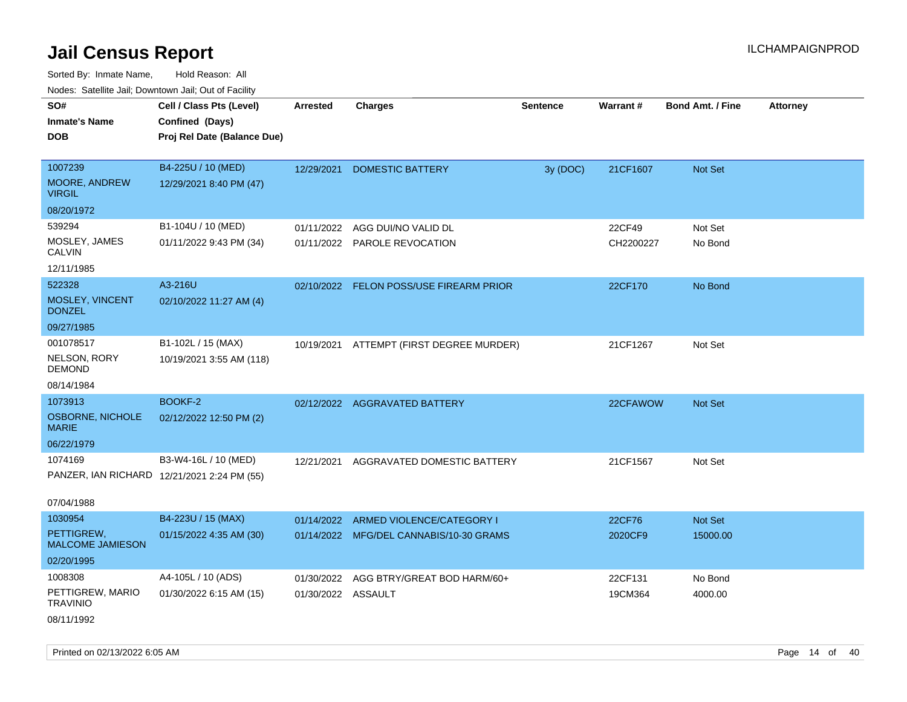Sorted By: Inmate Name, Hold Reason: All

| Nodes: Satellite Jail; Downtown Jail; Out of Facility |                                             |                    |                                         |                 |           |                         |                 |  |  |
|-------------------------------------------------------|---------------------------------------------|--------------------|-----------------------------------------|-----------------|-----------|-------------------------|-----------------|--|--|
| SO#                                                   | Cell / Class Pts (Level)                    | <b>Arrested</b>    | <b>Charges</b>                          | <b>Sentence</b> | Warrant#  | <b>Bond Amt. / Fine</b> | <b>Attorney</b> |  |  |
| <b>Inmate's Name</b>                                  | Confined (Days)                             |                    |                                         |                 |           |                         |                 |  |  |
| <b>DOB</b>                                            | Proj Rel Date (Balance Due)                 |                    |                                         |                 |           |                         |                 |  |  |
|                                                       |                                             |                    |                                         |                 |           |                         |                 |  |  |
| 1007239                                               | B4-225U / 10 (MED)                          | 12/29/2021         | <b>DOMESTIC BATTERY</b>                 | 3y (DOC)        | 21CF1607  | Not Set                 |                 |  |  |
| MOORE, ANDREW<br><b>VIRGIL</b>                        | 12/29/2021 8:40 PM (47)                     |                    |                                         |                 |           |                         |                 |  |  |
| 08/20/1972                                            |                                             |                    |                                         |                 |           |                         |                 |  |  |
| 539294                                                | B1-104U / 10 (MED)                          | 01/11/2022         | AGG DUI/NO VALID DL                     |                 | 22CF49    | Not Set                 |                 |  |  |
| MOSLEY, JAMES<br><b>CALVIN</b>                        | 01/11/2022 9:43 PM (34)                     |                    | 01/11/2022 PAROLE REVOCATION            |                 | CH2200227 | No Bond                 |                 |  |  |
| 12/11/1985                                            |                                             |                    |                                         |                 |           |                         |                 |  |  |
| 522328                                                | A3-216U                                     |                    | 02/10/2022 FELON POSS/USE FIREARM PRIOR |                 | 22CF170   | No Bond                 |                 |  |  |
| MOSLEY, VINCENT<br><b>DONZEL</b>                      | 02/10/2022 11:27 AM (4)                     |                    |                                         |                 |           |                         |                 |  |  |
| 09/27/1985                                            |                                             |                    |                                         |                 |           |                         |                 |  |  |
| 001078517                                             | B1-102L / 15 (MAX)                          | 10/19/2021         | ATTEMPT (FIRST DEGREE MURDER)           |                 | 21CF1267  | Not Set                 |                 |  |  |
| NELSON, RORY<br><b>DEMOND</b>                         | 10/19/2021 3:55 AM (118)                    |                    |                                         |                 |           |                         |                 |  |  |
| 08/14/1984                                            |                                             |                    |                                         |                 |           |                         |                 |  |  |
| 1073913                                               | BOOKF-2                                     |                    | 02/12/2022 AGGRAVATED BATTERY           |                 | 22CFAWOW  | Not Set                 |                 |  |  |
| <b>OSBORNE, NICHOLE</b><br><b>MARIE</b>               | 02/12/2022 12:50 PM (2)                     |                    |                                         |                 |           |                         |                 |  |  |
| 06/22/1979                                            |                                             |                    |                                         |                 |           |                         |                 |  |  |
| 1074169                                               | B3-W4-16L / 10 (MED)                        | 12/21/2021         | AGGRAVATED DOMESTIC BATTERY             |                 | 21CF1567  | Not Set                 |                 |  |  |
|                                                       | PANZER, IAN RICHARD 12/21/2021 2:24 PM (55) |                    |                                         |                 |           |                         |                 |  |  |
|                                                       |                                             |                    |                                         |                 |           |                         |                 |  |  |
| 07/04/1988                                            |                                             |                    |                                         |                 |           |                         |                 |  |  |
| 1030954                                               | B4-223U / 15 (MAX)                          | 01/14/2022         | ARMED VIOLENCE/CATEGORY I               |                 | 22CF76    | Not Set                 |                 |  |  |
| PETTIGREW,<br><b>MALCOME JAMIESON</b>                 | 01/15/2022 4:35 AM (30)                     |                    | 01/14/2022 MFG/DEL CANNABIS/10-30 GRAMS |                 | 2020CF9   | 15000.00                |                 |  |  |
| 02/20/1995                                            |                                             |                    |                                         |                 |           |                         |                 |  |  |
| 1008308                                               | A4-105L / 10 (ADS)                          | 01/30/2022         | AGG BTRY/GREAT BOD HARM/60+             |                 | 22CF131   | No Bond                 |                 |  |  |
| PETTIGREW, MARIO<br><b>TRAVINIO</b>                   | 01/30/2022 6:15 AM (15)                     | 01/30/2022 ASSAULT |                                         |                 | 19CM364   | 4000.00                 |                 |  |  |
| 08/11/1992                                            |                                             |                    |                                         |                 |           |                         |                 |  |  |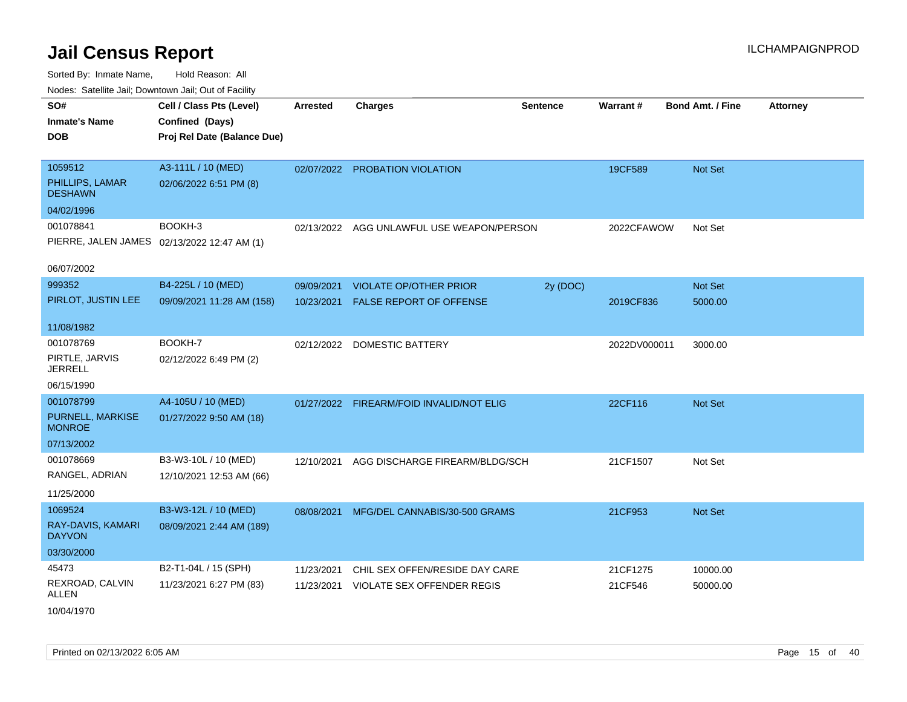| SO#<br>Inmate's Name<br><b>DOB</b>                          | Cell / Class Pts (Level)<br>Confined (Days)<br>Proj Rel Date (Balance Due) | <b>Arrested</b> | <b>Charges</b>                 | <b>Sentence</b> | Warrant#     | <b>Bond Amt. / Fine</b> | <b>Attorney</b> |
|-------------------------------------------------------------|----------------------------------------------------------------------------|-----------------|--------------------------------|-----------------|--------------|-------------------------|-----------------|
| 1059512<br>PHILLIPS, LAMAR<br><b>DESHAWN</b>                | A3-111L / 10 (MED)<br>02/06/2022 6:51 PM (8)                               |                 | 02/07/2022 PROBATION VIOLATION |                 | 19CF589      | Not Set                 |                 |
| 04/02/1996                                                  |                                                                            |                 |                                |                 |              |                         |                 |
| 001078841<br>06/07/2002                                     | BOOKH-3<br>PIERRE, JALEN JAMES 02/13/2022 12:47 AM (1)                     | 02/13/2022      | AGG UNLAWFUL USE WEAPON/PERSON |                 | 2022CFAWOW   | Not Set                 |                 |
| 999352                                                      | B4-225L / 10 (MED)                                                         | 09/09/2021      | <b>VIOLATE OP/OTHER PRIOR</b>  | 2y (DOC)        |              | Not Set                 |                 |
| PIRLOT, JUSTIN LEE                                          | 09/09/2021 11:28 AM (158)                                                  | 10/23/2021      | FALSE REPORT OF OFFENSE        |                 | 2019CF836    | 5000.00                 |                 |
| 11/08/1982                                                  |                                                                            |                 |                                |                 |              |                         |                 |
| 001078769<br>PIRTLE, JARVIS<br><b>JERRELL</b><br>06/15/1990 | BOOKH-7<br>02/12/2022 6:49 PM (2)                                          |                 | 02/12/2022 DOMESTIC BATTERY    |                 | 2022DV000011 | 3000.00                 |                 |
| 001078799                                                   | A4-105U / 10 (MED)                                                         |                 |                                |                 |              |                         |                 |
| PURNELL, MARKISE<br><b>MONROE</b>                           | 01/27/2022 9:50 AM (18)                                                    | 01/27/2022      | FIREARM/FOID INVALID/NOT ELIG  |                 | 22CF116      | Not Set                 |                 |
| 07/13/2002                                                  |                                                                            |                 |                                |                 |              |                         |                 |
| 001078669<br>RANGEL, ADRIAN<br>11/25/2000                   | B3-W3-10L / 10 (MED)<br>12/10/2021 12:53 AM (66)                           | 12/10/2021      | AGG DISCHARGE FIREARM/BLDG/SCH |                 | 21CF1507     | Not Set                 |                 |
| 1069524<br>RAY-DAVIS, KAMARI<br><b>DAYVON</b>               | B3-W3-12L / 10 (MED)<br>08/09/2021 2:44 AM (189)                           | 08/08/2021      | MFG/DEL CANNABIS/30-500 GRAMS  |                 | 21CF953      | Not Set                 |                 |
| 03/30/2000                                                  |                                                                            |                 |                                |                 |              |                         |                 |
| 45473                                                       | B2-T1-04L / 15 (SPH)                                                       | 11/23/2021      | CHIL SEX OFFEN/RESIDE DAY CARE |                 | 21CF1275     | 10000.00                |                 |
| REXROAD, CALVIN<br>ALLEN<br>10/04/1970                      | 11/23/2021 6:27 PM (83)                                                    | 11/23/2021      | VIOLATE SEX OFFENDER REGIS     |                 | 21CF546      | 50000.00                |                 |
|                                                             |                                                                            |                 |                                |                 |              |                         |                 |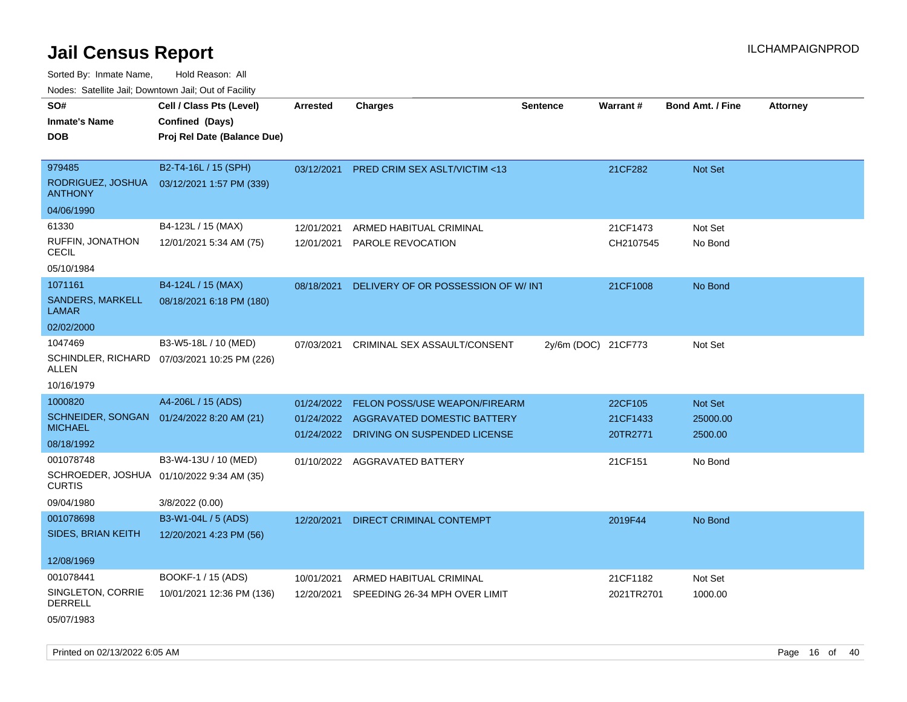Sorted By: Inmate Name, Hold Reason: All Nodes: Satellite Jail; Downtown Jail; Out of Facility

| roaco. Catolino cali, Domntonn cali, Out of Facility |                                              |            |                                         |                     |            |                         |                 |
|------------------------------------------------------|----------------------------------------------|------------|-----------------------------------------|---------------------|------------|-------------------------|-----------------|
| SO#                                                  | Cell / Class Pts (Level)                     | Arrested   | <b>Charges</b>                          | <b>Sentence</b>     | Warrant#   | <b>Bond Amt. / Fine</b> | <b>Attorney</b> |
| <b>Inmate's Name</b>                                 | Confined (Days)                              |            |                                         |                     |            |                         |                 |
| <b>DOB</b>                                           | Proj Rel Date (Balance Due)                  |            |                                         |                     |            |                         |                 |
|                                                      |                                              |            |                                         |                     |            |                         |                 |
| 979485                                               | B2-T4-16L / 15 (SPH)                         | 03/12/2021 | PRED CRIM SEX ASLT/VICTIM <13           |                     | 21CF282    | Not Set                 |                 |
| RODRIGUEZ, JOSHUA<br><b>ANTHONY</b>                  | 03/12/2021 1:57 PM (339)                     |            |                                         |                     |            |                         |                 |
| 04/06/1990                                           |                                              |            |                                         |                     |            |                         |                 |
| 61330                                                | B4-123L / 15 (MAX)                           | 12/01/2021 | ARMED HABITUAL CRIMINAL                 |                     | 21CF1473   | Not Set                 |                 |
| <b>RUFFIN, JONATHON</b><br><b>CECIL</b>              | 12/01/2021 5:34 AM (75)                      | 12/01/2021 | PAROLE REVOCATION                       |                     | CH2107545  | No Bond                 |                 |
| 05/10/1984                                           |                                              |            |                                         |                     |            |                         |                 |
| 1071161                                              | B4-124L / 15 (MAX)                           | 08/18/2021 | DELIVERY OF OR POSSESSION OF W/INT      |                     | 21CF1008   | No Bond                 |                 |
| SANDERS, MARKELL<br><b>LAMAR</b>                     | 08/18/2021 6:18 PM (180)                     |            |                                         |                     |            |                         |                 |
| 02/02/2000                                           |                                              |            |                                         |                     |            |                         |                 |
| 1047469                                              | B3-W5-18L / 10 (MED)                         | 07/03/2021 | CRIMINAL SEX ASSAULT/CONSENT            | 2y/6m (DOC) 21CF773 |            | Not Set                 |                 |
| ALLEN                                                | SCHINDLER, RICHARD 07/03/2021 10:25 PM (226) |            |                                         |                     |            |                         |                 |
| 10/16/1979                                           |                                              |            |                                         |                     |            |                         |                 |
| 1000820                                              | A4-206L / 15 (ADS)                           | 01/24/2022 | FELON POSS/USE WEAPON/FIREARM           |                     | 22CF105    | Not Set                 |                 |
|                                                      | SCHNEIDER, SONGAN 01/24/2022 8:20 AM (21)    |            | 01/24/2022 AGGRAVATED DOMESTIC BATTERY  |                     | 21CF1433   | 25000.00                |                 |
| <b>MICHAEL</b>                                       |                                              |            | 01/24/2022 DRIVING ON SUSPENDED LICENSE |                     | 20TR2771   | 2500.00                 |                 |
| 08/18/1992                                           |                                              |            |                                         |                     |            |                         |                 |
| 001078748                                            | B3-W4-13U / 10 (MED)                         |            | 01/10/2022 AGGRAVATED BATTERY           |                     | 21CF151    | No Bond                 |                 |
| <b>CURTIS</b>                                        | SCHROEDER, JOSHUA 01/10/2022 9:34 AM (35)    |            |                                         |                     |            |                         |                 |
| 09/04/1980                                           | 3/8/2022 (0.00)                              |            |                                         |                     |            |                         |                 |
| 001078698                                            | B3-W1-04L / 5 (ADS)                          | 12/20/2021 | <b>DIRECT CRIMINAL CONTEMPT</b>         |                     | 2019F44    | No Bond                 |                 |
| SIDES, BRIAN KEITH                                   | 12/20/2021 4:23 PM (56)                      |            |                                         |                     |            |                         |                 |
| 12/08/1969                                           |                                              |            |                                         |                     |            |                         |                 |
| 001078441                                            | BOOKF-1 / 15 (ADS)                           | 10/01/2021 | ARMED HABITUAL CRIMINAL                 |                     | 21CF1182   | Not Set                 |                 |
| SINGLETON, CORRIE<br><b>DERRELL</b>                  | 10/01/2021 12:36 PM (136)                    | 12/20/2021 | SPEEDING 26-34 MPH OVER LIMIT           |                     | 2021TR2701 | 1000.00                 |                 |
| 05/07/1983                                           |                                              |            |                                         |                     |            |                         |                 |

Printed on 02/13/2022 6:05 AM Page 16 of 40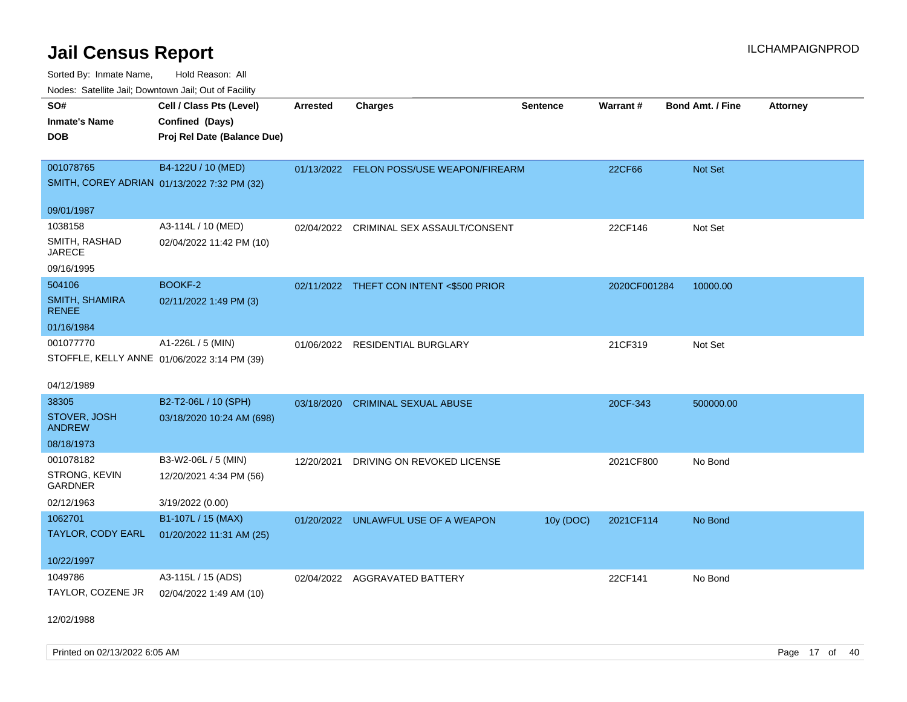Sorted By: Inmate Name, Hold Reason: All Nodes: Satellite Jail; Downtown Jail; Out of Facility

| roaco. Odichile Jan, Downtown Jan, Out of Facility |                             |                 |                                          |                 |              |                         |                 |
|----------------------------------------------------|-----------------------------|-----------------|------------------------------------------|-----------------|--------------|-------------------------|-----------------|
| SO#                                                | Cell / Class Pts (Level)    | <b>Arrested</b> | <b>Charges</b>                           | <b>Sentence</b> | Warrant#     | <b>Bond Amt. / Fine</b> | <b>Attorney</b> |
| <b>Inmate's Name</b>                               | Confined (Days)             |                 |                                          |                 |              |                         |                 |
| <b>DOB</b>                                         | Proj Rel Date (Balance Due) |                 |                                          |                 |              |                         |                 |
|                                                    |                             |                 |                                          |                 |              |                         |                 |
| 001078765                                          | B4-122U / 10 (MED)          |                 | 01/13/2022 FELON POSS/USE WEAPON/FIREARM |                 | 22CF66       | Not Set                 |                 |
| SMITH, COREY ADRIAN 01/13/2022 7:32 PM (32)        |                             |                 |                                          |                 |              |                         |                 |
|                                                    |                             |                 |                                          |                 |              |                         |                 |
| 09/01/1987                                         |                             |                 |                                          |                 |              |                         |                 |
| 1038158                                            | A3-114L / 10 (MED)          |                 | 02/04/2022 CRIMINAL SEX ASSAULT/CONSENT  |                 | 22CF146      | Not Set                 |                 |
| SMITH, RASHAD<br><b>JARECE</b>                     | 02/04/2022 11:42 PM (10)    |                 |                                          |                 |              |                         |                 |
| 09/16/1995                                         |                             |                 |                                          |                 |              |                         |                 |
| 504106                                             | <b>BOOKF-2</b>              |                 | 02/11/2022 THEFT CON INTENT <\$500 PRIOR |                 | 2020CF001284 | 10000.00                |                 |
| <b>SMITH, SHAMIRA</b><br><b>RENEE</b>              | 02/11/2022 1:49 PM (3)      |                 |                                          |                 |              |                         |                 |
| 01/16/1984                                         |                             |                 |                                          |                 |              |                         |                 |
| 001077770                                          | A1-226L / 5 (MIN)           |                 | 01/06/2022 RESIDENTIAL BURGLARY          |                 | 21CF319      | Not Set                 |                 |
| STOFFLE, KELLY ANNE 01/06/2022 3:14 PM (39)        |                             |                 |                                          |                 |              |                         |                 |
|                                                    |                             |                 |                                          |                 |              |                         |                 |
| 04/12/1989                                         |                             |                 |                                          |                 |              |                         |                 |
| 38305                                              | B2-T2-06L / 10 (SPH)        | 03/18/2020      | <b>CRIMINAL SEXUAL ABUSE</b>             |                 | 20CF-343     | 500000.00               |                 |
| STOVER, JOSH<br><b>ANDREW</b>                      | 03/18/2020 10:24 AM (698)   |                 |                                          |                 |              |                         |                 |
| 08/18/1973                                         |                             |                 |                                          |                 |              |                         |                 |
| 001078182                                          | B3-W2-06L / 5 (MIN)         | 12/20/2021      | DRIVING ON REVOKED LICENSE               |                 | 2021CF800    | No Bond                 |                 |
| STRONG, KEVIN<br><b>GARDNER</b>                    | 12/20/2021 4:34 PM (56)     |                 |                                          |                 |              |                         |                 |
| 02/12/1963                                         | 3/19/2022 (0.00)            |                 |                                          |                 |              |                         |                 |
| 1062701                                            | B1-107L / 15 (MAX)          |                 | 01/20/2022 UNLAWFUL USE OF A WEAPON      | 10y (DOC)       | 2021CF114    | No Bond                 |                 |
| TAYLOR, CODY EARL                                  | 01/20/2022 11:31 AM (25)    |                 |                                          |                 |              |                         |                 |
|                                                    |                             |                 |                                          |                 |              |                         |                 |
| 10/22/1997                                         |                             |                 |                                          |                 |              |                         |                 |
| 1049786                                            | A3-115L / 15 (ADS)          |                 | 02/04/2022 AGGRAVATED BATTERY            |                 | 22CF141      | No Bond                 |                 |
| TAYLOR, COZENE JR                                  | 02/04/2022 1:49 AM (10)     |                 |                                          |                 |              |                         |                 |
| 12/02/1988                                         |                             |                 |                                          |                 |              |                         |                 |

Printed on 02/13/2022 6:05 AM Page 17 of 40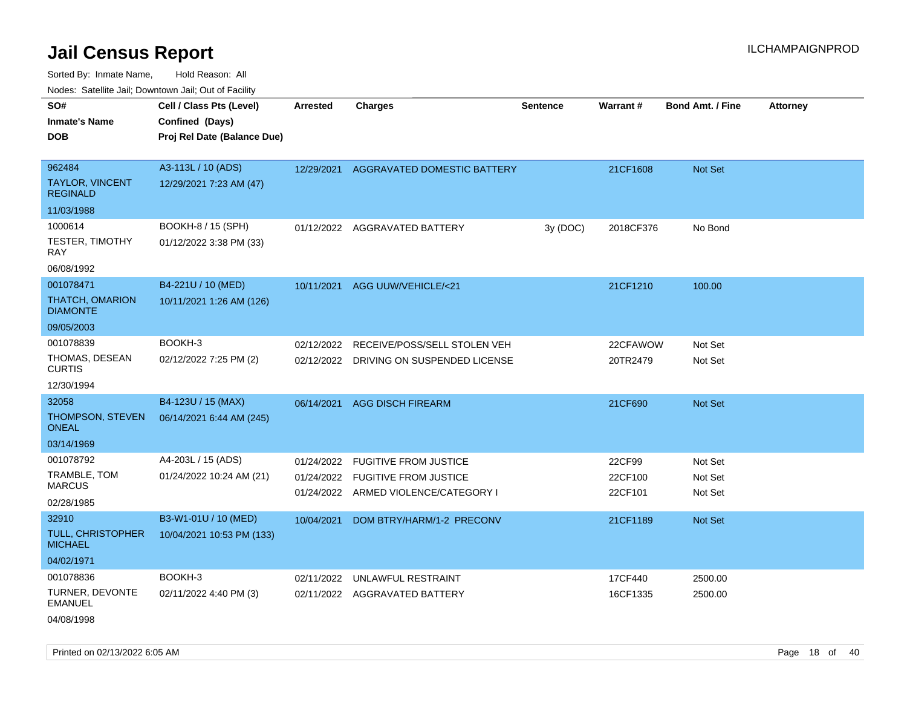Sorted By: Inmate Name, Hold Reason: All Nodes: Satellite Jail; Downtown Jail; Out of Facility

| Noues. Salenne Jan, Downtown Jan, Out of Facility |                             |                 |                                         |                 |           |                         |                 |
|---------------------------------------------------|-----------------------------|-----------------|-----------------------------------------|-----------------|-----------|-------------------------|-----------------|
| SO#                                               | Cell / Class Pts (Level)    | <b>Arrested</b> | <b>Charges</b>                          | <b>Sentence</b> | Warrant#  | <b>Bond Amt. / Fine</b> | <b>Attorney</b> |
| <b>Inmate's Name</b>                              | Confined (Days)             |                 |                                         |                 |           |                         |                 |
| <b>DOB</b>                                        | Proj Rel Date (Balance Due) |                 |                                         |                 |           |                         |                 |
|                                                   |                             |                 |                                         |                 |           |                         |                 |
| 962484                                            | A3-113L / 10 (ADS)          | 12/29/2021      | AGGRAVATED DOMESTIC BATTERY             |                 | 21CF1608  | Not Set                 |                 |
| <b>TAYLOR, VINCENT</b><br><b>REGINALD</b>         | 12/29/2021 7:23 AM (47)     |                 |                                         |                 |           |                         |                 |
| 11/03/1988                                        |                             |                 |                                         |                 |           |                         |                 |
| 1000614                                           | BOOKH-8 / 15 (SPH)          |                 | 01/12/2022 AGGRAVATED BATTERY           | 3y (DOC)        | 2018CF376 | No Bond                 |                 |
| TESTER, TIMOTHY<br>RAY                            | 01/12/2022 3:38 PM (33)     |                 |                                         |                 |           |                         |                 |
| 06/08/1992                                        |                             |                 |                                         |                 |           |                         |                 |
| 001078471                                         | B4-221U / 10 (MED)          | 10/11/2021      | AGG UUW/VEHICLE/<21                     |                 | 21CF1210  | 100.00                  |                 |
| <b>THATCH, OMARION</b><br><b>DIAMONTE</b>         | 10/11/2021 1:26 AM (126)    |                 |                                         |                 |           |                         |                 |
| 09/05/2003                                        |                             |                 |                                         |                 |           |                         |                 |
| 001078839                                         | BOOKH-3                     | 02/12/2022      | RECEIVE/POSS/SELL STOLEN VEH            |                 | 22CFAWOW  | Not Set                 |                 |
| THOMAS, DESEAN<br><b>CURTIS</b>                   | 02/12/2022 7:25 PM (2)      |                 | 02/12/2022 DRIVING ON SUSPENDED LICENSE |                 | 20TR2479  | Not Set                 |                 |
| 12/30/1994                                        |                             |                 |                                         |                 |           |                         |                 |
| 32058                                             | B4-123U / 15 (MAX)          | 06/14/2021      | <b>AGG DISCH FIREARM</b>                |                 | 21CF690   | Not Set                 |                 |
| THOMPSON, STEVEN<br><b>ONEAL</b>                  | 06/14/2021 6:44 AM (245)    |                 |                                         |                 |           |                         |                 |
| 03/14/1969                                        |                             |                 |                                         |                 |           |                         |                 |
| 001078792                                         | A4-203L / 15 (ADS)          | 01/24/2022      | <b>FUGITIVE FROM JUSTICE</b>            |                 | 22CF99    | Not Set                 |                 |
| TRAMBLE, TOM                                      | 01/24/2022 10:24 AM (21)    | 01/24/2022      | <b>FUGITIVE FROM JUSTICE</b>            |                 | 22CF100   | Not Set                 |                 |
| <b>MARCUS</b>                                     |                             |                 | 01/24/2022 ARMED VIOLENCE/CATEGORY I    |                 | 22CF101   | Not Set                 |                 |
| 02/28/1985                                        |                             |                 |                                         |                 |           |                         |                 |
| 32910                                             | B3-W1-01U / 10 (MED)        | 10/04/2021      | DOM BTRY/HARM/1-2 PRECONV               |                 | 21CF1189  | Not Set                 |                 |
| <b>TULL, CHRISTOPHER</b><br><b>MICHAEL</b>        | 10/04/2021 10:53 PM (133)   |                 |                                         |                 |           |                         |                 |
| 04/02/1971                                        |                             |                 |                                         |                 |           |                         |                 |
| 001078836                                         | BOOKH-3                     | 02/11/2022      | UNLAWFUL RESTRAINT                      |                 | 17CF440   | 2500.00                 |                 |
| TURNER, DEVONTE<br>EMANUEL                        | 02/11/2022 4:40 PM (3)      |                 | 02/11/2022 AGGRAVATED BATTERY           |                 | 16CF1335  | 2500.00                 |                 |

04/08/1998

Printed on 02/13/2022 6:05 AM **Page 18** of 40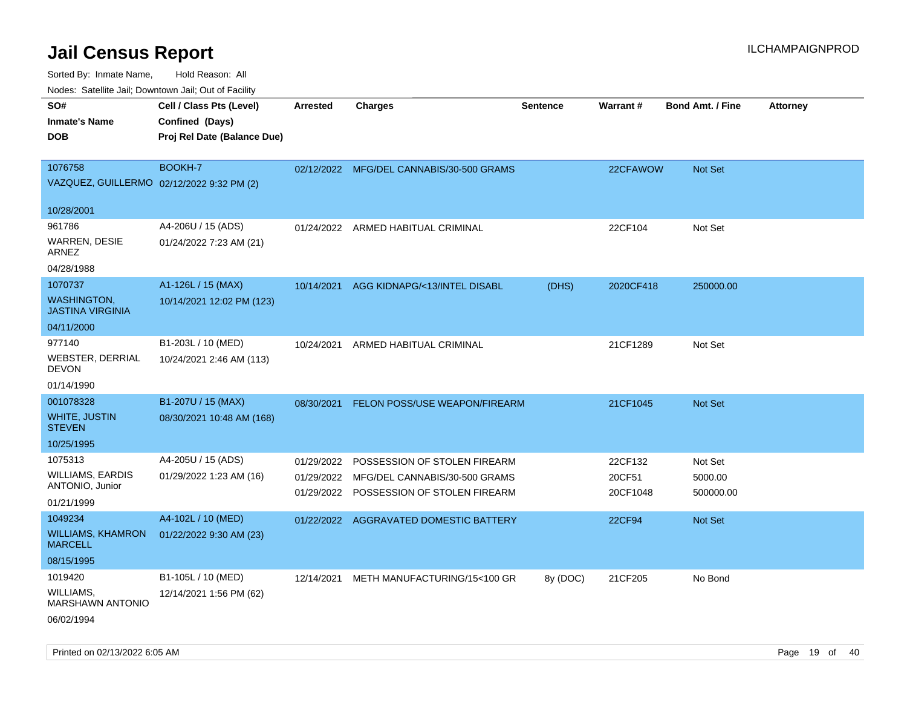| ivouss. Saleling Jali, Downtown Jali, Out of Facility |                             |                 |                                          |                 |           |                         |                 |
|-------------------------------------------------------|-----------------------------|-----------------|------------------------------------------|-----------------|-----------|-------------------------|-----------------|
| SO#                                                   | Cell / Class Pts (Level)    | <b>Arrested</b> | <b>Charges</b>                           | <b>Sentence</b> | Warrant#  | <b>Bond Amt. / Fine</b> | <b>Attorney</b> |
| <b>Inmate's Name</b>                                  | Confined (Days)             |                 |                                          |                 |           |                         |                 |
| <b>DOB</b>                                            | Proj Rel Date (Balance Due) |                 |                                          |                 |           |                         |                 |
|                                                       |                             |                 |                                          |                 |           |                         |                 |
| 1076758                                               | BOOKH-7                     |                 | 02/12/2022 MFG/DEL CANNABIS/30-500 GRAMS |                 | 22CFAWOW  | Not Set                 |                 |
| VAZQUEZ, GUILLERMO 02/12/2022 9:32 PM (2)             |                             |                 |                                          |                 |           |                         |                 |
|                                                       |                             |                 |                                          |                 |           |                         |                 |
| 10/28/2001                                            |                             |                 |                                          |                 |           |                         |                 |
| 961786                                                | A4-206U / 15 (ADS)          |                 | 01/24/2022 ARMED HABITUAL CRIMINAL       |                 | 22CF104   | Not Set                 |                 |
| WARREN, DESIE<br>ARNEZ                                | 01/24/2022 7:23 AM (21)     |                 |                                          |                 |           |                         |                 |
| 04/28/1988                                            |                             |                 |                                          |                 |           |                         |                 |
| 1070737                                               | A1-126L / 15 (MAX)          | 10/14/2021      | AGG KIDNAPG/<13/INTEL DISABL             | (DHS)           | 2020CF418 | 250000.00               |                 |
| <b>WASHINGTON,</b><br><b>JASTINA VIRGINIA</b>         | 10/14/2021 12:02 PM (123)   |                 |                                          |                 |           |                         |                 |
| 04/11/2000                                            |                             |                 |                                          |                 |           |                         |                 |
| 977140                                                | B1-203L / 10 (MED)          | 10/24/2021      | ARMED HABITUAL CRIMINAL                  |                 | 21CF1289  | Not Set                 |                 |
| <b>WEBSTER, DERRIAL</b><br><b>DEVON</b>               | 10/24/2021 2:46 AM (113)    |                 |                                          |                 |           |                         |                 |
| 01/14/1990                                            |                             |                 |                                          |                 |           |                         |                 |
| 001078328                                             | B1-207U / 15 (MAX)          | 08/30/2021      | FELON POSS/USE WEAPON/FIREARM            |                 | 21CF1045  | <b>Not Set</b>          |                 |
| <b>WHITE, JUSTIN</b><br><b>STEVEN</b>                 | 08/30/2021 10:48 AM (168)   |                 |                                          |                 |           |                         |                 |
| 10/25/1995                                            |                             |                 |                                          |                 |           |                         |                 |
| 1075313                                               | A4-205U / 15 (ADS)          | 01/29/2022      | POSSESSION OF STOLEN FIREARM             |                 | 22CF132   | Not Set                 |                 |
| <b>WILLIAMS, EARDIS</b>                               | 01/29/2022 1:23 AM (16)     | 01/29/2022      | MFG/DEL CANNABIS/30-500 GRAMS            |                 | 20CF51    | 5000.00                 |                 |
| ANTONIO, Junior                                       |                             |                 | 01/29/2022 POSSESSION OF STOLEN FIREARM  |                 | 20CF1048  | 500000.00               |                 |
| 01/21/1999                                            |                             |                 |                                          |                 |           |                         |                 |
| 1049234                                               | A4-102L / 10 (MED)          |                 | 01/22/2022 AGGRAVATED DOMESTIC BATTERY   |                 | 22CF94    | <b>Not Set</b>          |                 |
| <b>WILLIAMS, KHAMRON</b><br><b>MARCELL</b>            | 01/22/2022 9:30 AM (23)     |                 |                                          |                 |           |                         |                 |
| 08/15/1995                                            |                             |                 |                                          |                 |           |                         |                 |
| 1019420                                               | B1-105L / 10 (MED)          | 12/14/2021      | METH MANUFACTURING/15<100 GR             | 8y (DOC)        | 21CF205   | No Bond                 |                 |
| WILLIAMS,<br><b>MARSHAWN ANTONIO</b>                  | 12/14/2021 1:56 PM (62)     |                 |                                          |                 |           |                         |                 |
| 06/02/1994                                            |                             |                 |                                          |                 |           |                         |                 |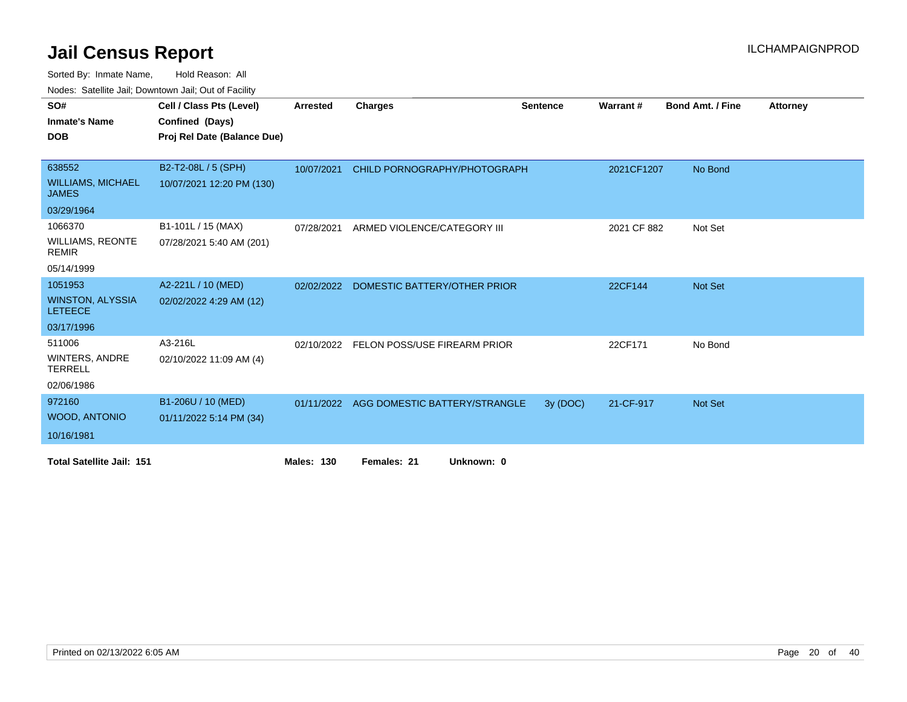| SO#                                       | Cell / Class Pts (Level)    | Arrested          | <b>Charges</b>                           | <b>Sentence</b> | <b>Warrant#</b> | <b>Bond Amt. / Fine</b> | <b>Attorney</b> |
|-------------------------------------------|-----------------------------|-------------------|------------------------------------------|-----------------|-----------------|-------------------------|-----------------|
| <b>Inmate's Name</b>                      | Confined (Days)             |                   |                                          |                 |                 |                         |                 |
| <b>DOB</b>                                | Proj Rel Date (Balance Due) |                   |                                          |                 |                 |                         |                 |
|                                           |                             |                   |                                          |                 |                 |                         |                 |
| 638552                                    | B2-T2-08L / 5 (SPH)         | 10/07/2021        | CHILD PORNOGRAPHY/PHOTOGRAPH             |                 | 2021CF1207      | No Bond                 |                 |
| <b>WILLIAMS, MICHAEL</b><br><b>JAMES</b>  | 10/07/2021 12:20 PM (130)   |                   |                                          |                 |                 |                         |                 |
| 03/29/1964                                |                             |                   |                                          |                 |                 |                         |                 |
| 1066370                                   | B1-101L / 15 (MAX)          | 07/28/2021        | ARMED VIOLENCE/CATEGORY III              |                 | 2021 CF 882     | Not Set                 |                 |
| <b>WILLIAMS, REONTE</b><br><b>REMIR</b>   | 07/28/2021 5:40 AM (201)    |                   |                                          |                 |                 |                         |                 |
| 05/14/1999                                |                             |                   |                                          |                 |                 |                         |                 |
| 1051953                                   | A2-221L / 10 (MED)          | 02/02/2022        | DOMESTIC BATTERY/OTHER PRIOR             |                 | 22CF144         | <b>Not Set</b>          |                 |
| <b>WINSTON, ALYSSIA</b><br><b>LETEECE</b> | 02/02/2022 4:29 AM (12)     |                   |                                          |                 |                 |                         |                 |
| 03/17/1996                                |                             |                   |                                          |                 |                 |                         |                 |
| 511006                                    | A3-216L                     | 02/10/2022        | FELON POSS/USE FIREARM PRIOR             |                 | 22CF171         | No Bond                 |                 |
| <b>WINTERS, ANDRE</b><br><b>TERRELL</b>   | 02/10/2022 11:09 AM (4)     |                   |                                          |                 |                 |                         |                 |
| 02/06/1986                                |                             |                   |                                          |                 |                 |                         |                 |
| 972160                                    | B1-206U / 10 (MED)          |                   | 01/11/2022 AGG DOMESTIC BATTERY/STRANGLE | 3y (DOC)        | 21-CF-917       | Not Set                 |                 |
| <b>WOOD, ANTONIO</b>                      | 01/11/2022 5:14 PM (34)     |                   |                                          |                 |                 |                         |                 |
| 10/16/1981                                |                             |                   |                                          |                 |                 |                         |                 |
| <b>Total Satellite Jail: 151</b>          |                             | <b>Males: 130</b> | Females: 21<br>Unknown: 0                |                 |                 |                         |                 |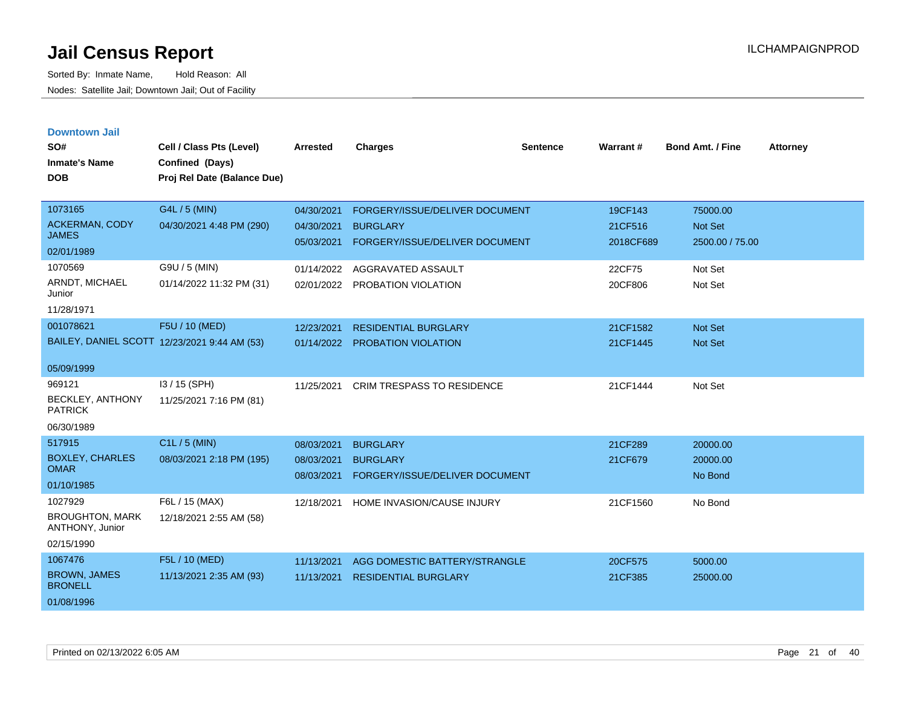| <b>Downtown Jail</b> |  |
|----------------------|--|
|                      |  |
|                      |  |

| SO#<br><b>Inmate's Name</b><br><b>DOB</b> | Cell / Class Pts (Level)<br>Confined (Days)<br>Proj Rel Date (Balance Due) | <b>Arrested</b> | <b>Charges</b>                    | <b>Sentence</b> | <b>Warrant#</b> | <b>Bond Amt. / Fine</b> | <b>Attorney</b> |
|-------------------------------------------|----------------------------------------------------------------------------|-----------------|-----------------------------------|-----------------|-----------------|-------------------------|-----------------|
| 1073165                                   | G4L / 5 (MIN)                                                              | 04/30/2021      | FORGERY/ISSUE/DELIVER DOCUMENT    |                 | 19CF143         | 75000.00                |                 |
| <b>ACKERMAN, CODY</b><br><b>JAMES</b>     | 04/30/2021 4:48 PM (290)                                                   | 04/30/2021      | <b>BURGLARY</b>                   |                 | 21CF516         | <b>Not Set</b>          |                 |
| 02/01/1989                                |                                                                            | 05/03/2021      | FORGERY/ISSUE/DELIVER DOCUMENT    |                 | 2018CF689       | 2500.00 / 75.00         |                 |
| 1070569                                   | G9U / 5 (MIN)                                                              | 01/14/2022      | AGGRAVATED ASSAULT                |                 | 22CF75          | Not Set                 |                 |
| ARNDT, MICHAEL<br>Junior                  | 01/14/2022 11:32 PM (31)                                                   | 02/01/2022      | PROBATION VIOLATION               |                 | 20CF806         | Not Set                 |                 |
| 11/28/1971                                |                                                                            |                 |                                   |                 |                 |                         |                 |
| 001078621                                 | F5U / 10 (MED)                                                             | 12/23/2021      | <b>RESIDENTIAL BURGLARY</b>       |                 | 21CF1582        | Not Set                 |                 |
|                                           | BAILEY, DANIEL SCOTT 12/23/2021 9:44 AM (53)                               | 01/14/2022      | <b>PROBATION VIOLATION</b>        |                 | 21CF1445        | Not Set                 |                 |
| 05/09/1999                                |                                                                            |                 |                                   |                 |                 |                         |                 |
| 969121                                    | I3 / 15 (SPH)                                                              | 11/25/2021      | <b>CRIM TRESPASS TO RESIDENCE</b> |                 | 21CF1444        | Not Set                 |                 |
| BECKLEY, ANTHONY<br><b>PATRICK</b>        | 11/25/2021 7:16 PM (81)                                                    |                 |                                   |                 |                 |                         |                 |
| 06/30/1989                                |                                                                            |                 |                                   |                 |                 |                         |                 |
| 517915                                    | C1L / 5 (MIN)                                                              | 08/03/2021      | <b>BURGLARY</b>                   |                 | 21CF289         | 20000.00                |                 |
| <b>BOXLEY, CHARLES</b><br><b>OMAR</b>     | 08/03/2021 2:18 PM (195)                                                   | 08/03/2021      | <b>BURGLARY</b>                   |                 | 21CF679         | 20000.00                |                 |
| 01/10/1985                                |                                                                            | 08/03/2021      | FORGERY/ISSUE/DELIVER DOCUMENT    |                 |                 | No Bond                 |                 |
| 1027929                                   | F6L / 15 (MAX)                                                             | 12/18/2021      | HOME INVASION/CAUSE INJURY        |                 | 21CF1560        | No Bond                 |                 |
| <b>BROUGHTON, MARK</b><br>ANTHONY, Junior | 12/18/2021 2:55 AM (58)                                                    |                 |                                   |                 |                 |                         |                 |
| 02/15/1990                                |                                                                            |                 |                                   |                 |                 |                         |                 |
| 1067476                                   | F5L / 10 (MED)                                                             | 11/13/2021      | AGG DOMESTIC BATTERY/STRANGLE     |                 | 20CF575         | 5000.00                 |                 |
| <b>BROWN, JAMES</b><br><b>BRONELL</b>     | 11/13/2021 2:35 AM (93)                                                    | 11/13/2021      | <b>RESIDENTIAL BURGLARY</b>       |                 | 21CF385         | 25000.00                |                 |
| 01/08/1996                                |                                                                            |                 |                                   |                 |                 |                         |                 |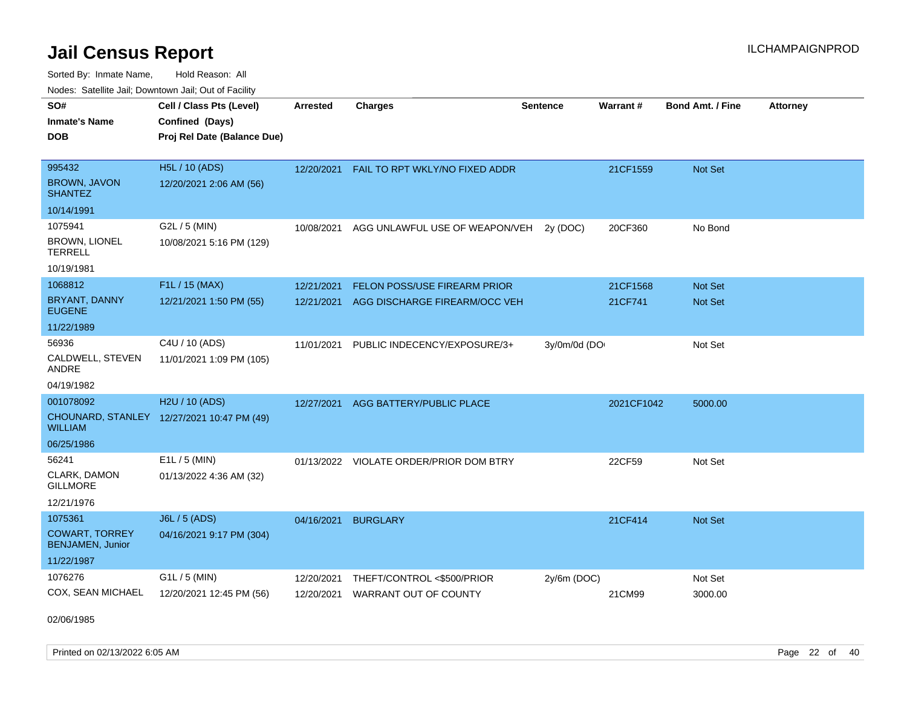Sorted By: Inmate Name, Hold Reason: All Nodes: Satellite Jail; Downtown Jail; Out of Facility

| SO#                                              | Cell / Class Pts (Level)                   | <b>Arrested</b> | <b>Charges</b>                          | <b>Sentence</b> | <b>Warrant#</b> | <b>Bond Amt. / Fine</b> | <b>Attorney</b> |
|--------------------------------------------------|--------------------------------------------|-----------------|-----------------------------------------|-----------------|-----------------|-------------------------|-----------------|
| Inmate's Name                                    | Confined (Days)                            |                 |                                         |                 |                 |                         |                 |
| <b>DOB</b>                                       | Proj Rel Date (Balance Due)                |                 |                                         |                 |                 |                         |                 |
|                                                  |                                            |                 |                                         |                 |                 |                         |                 |
| 995432                                           | <b>H5L / 10 (ADS)</b>                      | 12/20/2021      | FAIL TO RPT WKLY/NO FIXED ADDR          |                 | 21CF1559        | <b>Not Set</b>          |                 |
| <b>BROWN, JAVON</b><br>SHANTEZ                   | 12/20/2021 2:06 AM (56)                    |                 |                                         |                 |                 |                         |                 |
| 10/14/1991                                       |                                            |                 |                                         |                 |                 |                         |                 |
| 1075941                                          | G2L / 5 (MIN)                              | 10/08/2021      | AGG UNLAWFUL USE OF WEAPON/VEH          | 2v(DOC)         | 20CF360         | No Bond                 |                 |
| <b>BROWN, LIONEL</b><br><b>TERRELL</b>           | 10/08/2021 5:16 PM (129)                   |                 |                                         |                 |                 |                         |                 |
| 10/19/1981                                       |                                            |                 |                                         |                 |                 |                         |                 |
| 1068812                                          | F1L / 15 (MAX)                             | 12/21/2021      | FELON POSS/USE FIREARM PRIOR            |                 | 21CF1568        | <b>Not Set</b>          |                 |
| <b>BRYANT, DANNY</b><br>EUGENE                   | 12/21/2021 1:50 PM (55)                    | 12/21/2021      | AGG DISCHARGE FIREARM/OCC VEH           |                 | 21CF741         | <b>Not Set</b>          |                 |
| 11/22/1989                                       |                                            |                 |                                         |                 |                 |                         |                 |
| 56936                                            | C4U / 10 (ADS)                             | 11/01/2021      | PUBLIC INDECENCY/EXPOSURE/3+            | 3y/0m/0d (DO    |                 | Not Set                 |                 |
| CALDWELL, STEVEN<br>ANDRE                        | 11/01/2021 1:09 PM (105)                   |                 |                                         |                 |                 |                         |                 |
| 04/19/1982                                       |                                            |                 |                                         |                 |                 |                         |                 |
| 001078092                                        | H2U / 10 (ADS)                             | 12/27/2021      | AGG BATTERY/PUBLIC PLACE                |                 | 2021CF1042      | 5000.00                 |                 |
| WILLIAM                                          | CHOUNARD, STANLEY 12/27/2021 10:47 PM (49) |                 |                                         |                 |                 |                         |                 |
| 06/25/1986                                       |                                            |                 |                                         |                 |                 |                         |                 |
| 56241                                            | $E1L / 5$ (MIN)                            |                 | 01/13/2022 VIOLATE ORDER/PRIOR DOM BTRY |                 | 22CF59          | Not Set                 |                 |
| CLARK, DAMON<br><b>GILLMORE</b>                  | 01/13/2022 4:36 AM (32)                    |                 |                                         |                 |                 |                         |                 |
| 12/21/1976                                       |                                            |                 |                                         |                 |                 |                         |                 |
| 1075361                                          | <b>J6L / 5 (ADS)</b>                       | 04/16/2021      | <b>BURGLARY</b>                         |                 | 21CF414         | <b>Not Set</b>          |                 |
| <b>COWART, TORREY</b><br><b>BENJAMEN, Junior</b> | 04/16/2021 9:17 PM (304)                   |                 |                                         |                 |                 |                         |                 |
| 11/22/1987                                       |                                            |                 |                                         |                 |                 |                         |                 |
| 1076276                                          | $G1L / 5$ (MIN)                            | 12/20/2021      | THEFT/CONTROL <\$500/PRIOR              | $2y/6m$ (DOC)   |                 | Not Set                 |                 |
| COX, SEAN MICHAEL                                | 12/20/2021 12:45 PM (56)                   | 12/20/2021      | <b>WARRANT OUT OF COUNTY</b>            |                 | 21CM99          | 3000.00                 |                 |

02/06/1985

Printed on 02/13/2022 6:05 AM Page 22 of 40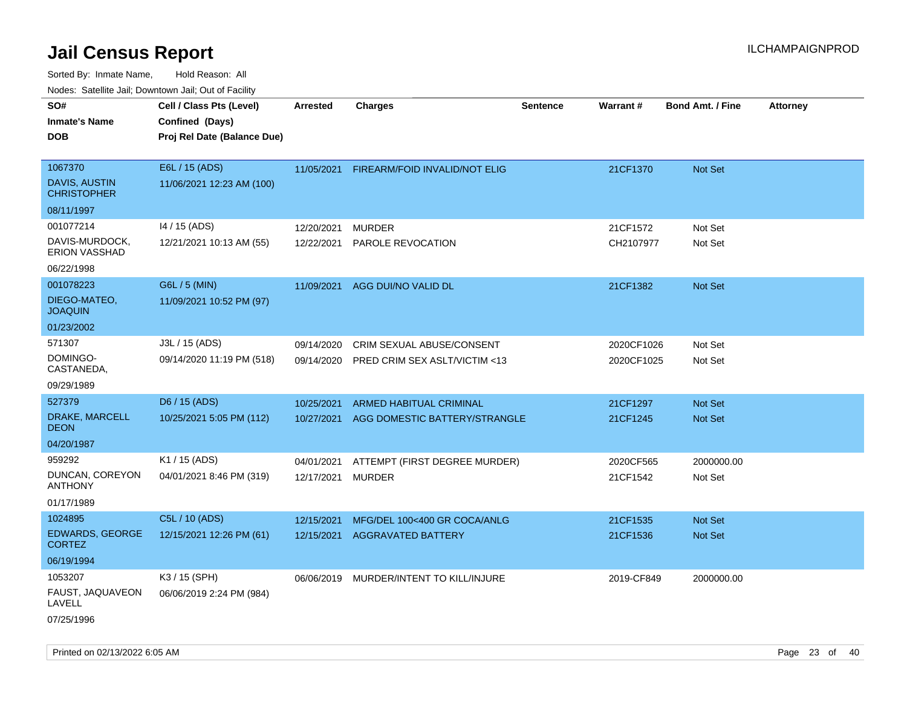|                                                                                 | rouco. Calcillo Jali, Downtown Jali, Out of Facility                       |                          |                                                                   |                 |                          |                                  |                 |
|---------------------------------------------------------------------------------|----------------------------------------------------------------------------|--------------------------|-------------------------------------------------------------------|-----------------|--------------------------|----------------------------------|-----------------|
| SO#<br>Inmate's Name<br><b>DOB</b>                                              | Cell / Class Pts (Level)<br>Confined (Days)<br>Proj Rel Date (Balance Due) | <b>Arrested</b>          | <b>Charges</b>                                                    | <b>Sentence</b> | Warrant#                 | <b>Bond Amt. / Fine</b>          | <b>Attorney</b> |
| 1067370<br>DAVIS, AUSTIN<br><b>CHRISTOPHER</b>                                  | E6L / 15 (ADS)<br>11/06/2021 12:23 AM (100)                                | 11/05/2021               | FIREARM/FOID INVALID/NOT ELIG                                     |                 | 21CF1370                 | Not Set                          |                 |
| 08/11/1997<br>001077214<br>DAVIS-MURDOCK,<br><b>ERION VASSHAD</b><br>06/22/1998 | 14 / 15 (ADS)<br>12/21/2021 10:13 AM (55)                                  | 12/20/2021<br>12/22/2021 | <b>MURDER</b><br>PAROLE REVOCATION                                |                 | 21CF1572<br>CH2107977    | Not Set<br>Not Set               |                 |
| 001078223<br>DIEGO-MATEO,<br><b>JOAQUIN</b><br>01/23/2002                       | G6L / 5 (MIN)<br>11/09/2021 10:52 PM (97)                                  | 11/09/2021               | AGG DUI/NO VALID DL                                               |                 | 21CF1382                 | Not Set                          |                 |
| 571307<br>DOMINGO-<br>CASTANEDA,<br>09/29/1989                                  | J3L / 15 (ADS)<br>09/14/2020 11:19 PM (518)                                | 09/14/2020<br>09/14/2020 | <b>CRIM SEXUAL ABUSE/CONSENT</b><br>PRED CRIM SEX ASLT/VICTIM <13 |                 | 2020CF1026<br>2020CF1025 | Not Set<br>Not Set               |                 |
| 527379<br>DRAKE, MARCELL<br>DEON<br>04/20/1987                                  | D6 / 15 (ADS)<br>10/25/2021 5:05 PM (112)                                  | 10/25/2021<br>10/27/2021 | <b>ARMED HABITUAL CRIMINAL</b><br>AGG DOMESTIC BATTERY/STRANGLE   |                 | 21CF1297<br>21CF1245     | <b>Not Set</b><br><b>Not Set</b> |                 |
| 959292<br>DUNCAN, COREYON<br>ANTHONY<br>01/17/1989                              | K1 / 15 (ADS)<br>04/01/2021 8:46 PM (319)                                  | 04/01/2021<br>12/17/2021 | ATTEMPT (FIRST DEGREE MURDER)<br><b>MURDER</b>                    |                 | 2020CF565<br>21CF1542    | 2000000.00<br>Not Set            |                 |
| 1024895<br><b>EDWARDS, GEORGE</b><br>CORTEZ<br>06/19/1994                       | C5L / 10 (ADS)<br>12/15/2021 12:26 PM (61)                                 | 12/15/2021<br>12/15/2021 | MFG/DEL 100<400 GR COCA/ANLG<br>AGGRAVATED BATTERY                |                 | 21CF1535<br>21CF1536     | <b>Not Set</b><br><b>Not Set</b> |                 |
| 1053207<br>FAUST, JAQUAVEON<br>LAVELL<br>07/25/1996                             | K3 / 15 (SPH)<br>06/06/2019 2:24 PM (984)                                  |                          | 06/06/2019 MURDER/INTENT TO KILL/INJURE                           |                 | 2019-CF849               | 2000000.00                       |                 |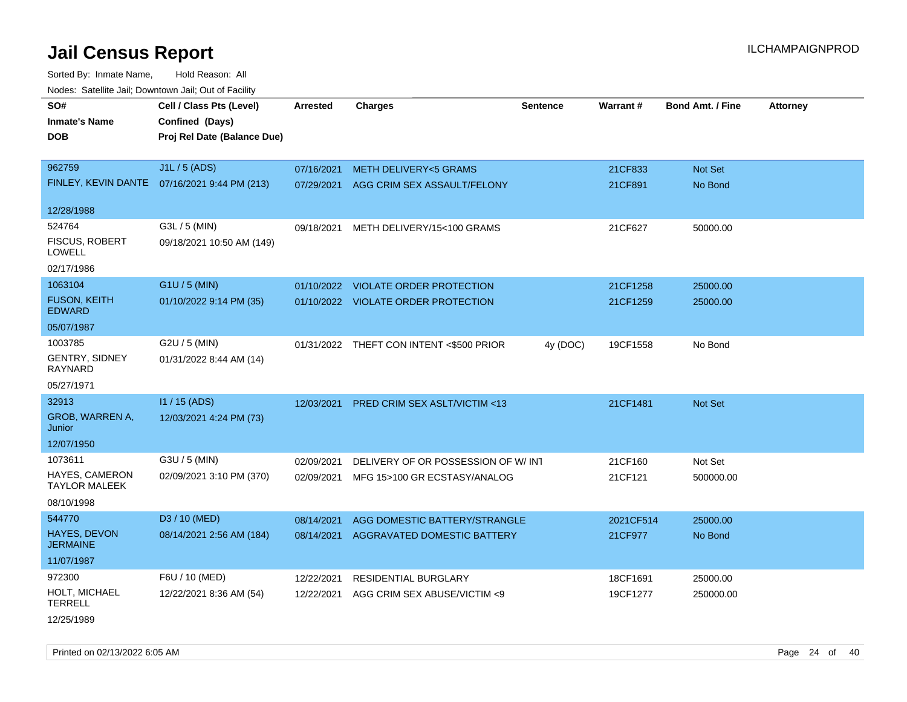Sorted By: Inmate Name, Hold Reason: All Nodes: Satellite Jail; Downtown Jail; Out of Facility

| rouce. Calcinic Jan, Downtown Jan, Out or Facility |                                              |                 |                                          |                 |           |                         |                 |
|----------------------------------------------------|----------------------------------------------|-----------------|------------------------------------------|-----------------|-----------|-------------------------|-----------------|
| SO#<br><b>Inmate's Name</b>                        | Cell / Class Pts (Level)<br>Confined (Days)  | <b>Arrested</b> | <b>Charges</b>                           | <b>Sentence</b> | Warrant#  | <b>Bond Amt. / Fine</b> | <b>Attorney</b> |
| <b>DOB</b>                                         | Proj Rel Date (Balance Due)                  |                 |                                          |                 |           |                         |                 |
| 962759                                             | J1L / 5 (ADS)                                | 07/16/2021      | <b>METH DELIVERY&lt;5 GRAMS</b>          |                 | 21CF833   | Not Set                 |                 |
|                                                    | FINLEY, KEVIN DANTE 07/16/2021 9:44 PM (213) | 07/29/2021      | AGG CRIM SEX ASSAULT/FELONY              |                 | 21CF891   | No Bond                 |                 |
| 12/28/1988                                         |                                              |                 |                                          |                 |           |                         |                 |
| 524764                                             | G3L / 5 (MIN)                                | 09/18/2021      | METH DELIVERY/15<100 GRAMS               |                 | 21CF627   | 50000.00                |                 |
| <b>FISCUS, ROBERT</b><br><b>LOWELL</b>             | 09/18/2021 10:50 AM (149)                    |                 |                                          |                 |           |                         |                 |
| 02/17/1986                                         |                                              |                 |                                          |                 |           |                         |                 |
| 1063104                                            | G1U / 5 (MIN)                                |                 | 01/10/2022 VIOLATE ORDER PROTECTION      |                 | 21CF1258  | 25000.00                |                 |
| <b>FUSON, KEITH</b><br><b>EDWARD</b>               | 01/10/2022 9:14 PM (35)                      |                 | 01/10/2022 VIOLATE ORDER PROTECTION      |                 | 21CF1259  | 25000.00                |                 |
| 05/07/1987                                         |                                              |                 |                                          |                 |           |                         |                 |
| 1003785                                            | G2U / 5 (MIN)                                |                 | 01/31/2022 THEFT CON INTENT <\$500 PRIOR | 4y (DOC)        | 19CF1558  | No Bond                 |                 |
| <b>GENTRY, SIDNEY</b><br>RAYNARD                   | 01/31/2022 8:44 AM (14)                      |                 |                                          |                 |           |                         |                 |
| 05/27/1971                                         |                                              |                 |                                          |                 |           |                         |                 |
| 32913                                              | I1 / 15 (ADS)                                | 12/03/2021      | PRED CRIM SEX ASLT/VICTIM <13            |                 | 21CF1481  | <b>Not Set</b>          |                 |
| GROB, WARREN A,<br>Junior                          | 12/03/2021 4:24 PM (73)                      |                 |                                          |                 |           |                         |                 |
| 12/07/1950                                         |                                              |                 |                                          |                 |           |                         |                 |
| 1073611                                            | G3U / 5 (MIN)                                | 02/09/2021      | DELIVERY OF OR POSSESSION OF W/INT       |                 | 21CF160   | Not Set                 |                 |
| <b>HAYES, CAMERON</b><br><b>TAYLOR MALEEK</b>      | 02/09/2021 3:10 PM (370)                     | 02/09/2021      | MFG 15>100 GR ECSTASY/ANALOG             |                 | 21CF121   | 500000.00               |                 |
| 08/10/1998                                         |                                              |                 |                                          |                 |           |                         |                 |
| 544770                                             | D3 / 10 (MED)                                | 08/14/2021      | AGG DOMESTIC BATTERY/STRANGLE            |                 | 2021CF514 | 25000.00                |                 |
| <b>HAYES, DEVON</b><br><b>JERMAINE</b>             | 08/14/2021 2:56 AM (184)                     | 08/14/2021      | <b>AGGRAVATED DOMESTIC BATTERY</b>       |                 | 21CF977   | No Bond                 |                 |
| 11/07/1987                                         |                                              |                 |                                          |                 |           |                         |                 |
| 972300                                             | F6U / 10 (MED)                               | 12/22/2021      | <b>RESIDENTIAL BURGLARY</b>              |                 | 18CF1691  | 25000.00                |                 |
| HOLT, MICHAEL<br><b>TERRELL</b>                    | 12/22/2021 8:36 AM (54)                      | 12/22/2021      | AGG CRIM SEX ABUSE/VICTIM <9             |                 | 19CF1277  | 250000.00               |                 |
|                                                    |                                              |                 |                                          |                 |           |                         |                 |

12/25/1989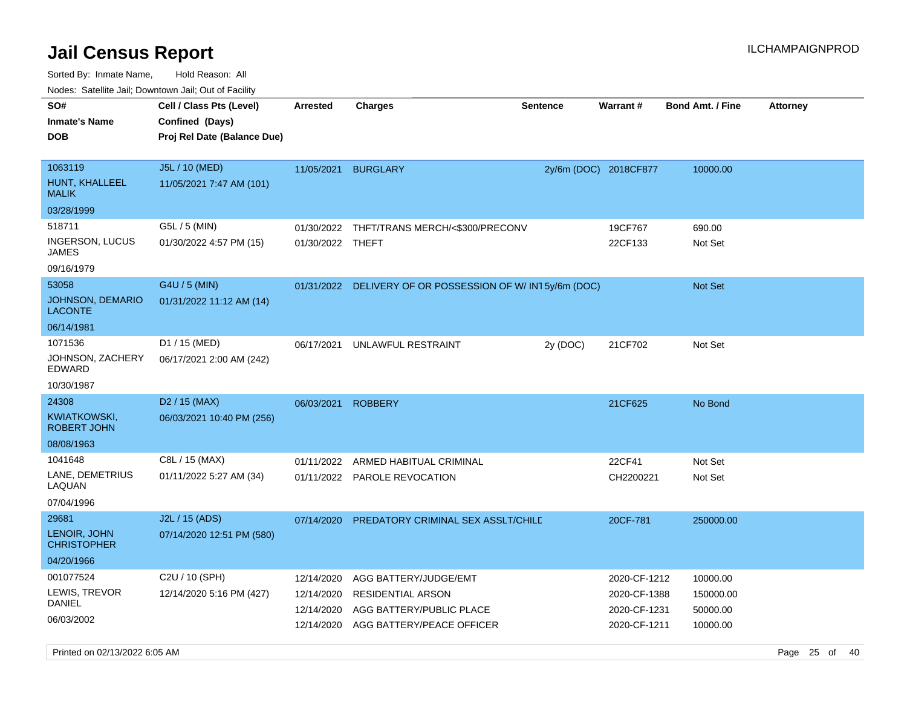Sorted By: Inmate Name, Hold Reason: All Nodes: Satellite Jail; Downtown Jail; Out of Facility

| SO#<br><b>Inmate's Name</b><br><b>DOB</b>        | Cell / Class Pts (Level)<br>Confined (Days)<br>Proj Rel Date (Balance Due) | <b>Arrested</b>    | <b>Charges</b>                                           | <b>Sentence</b> | <b>Warrant#</b>       | <b>Bond Amt. / Fine</b> | <b>Attorney</b> |
|--------------------------------------------------|----------------------------------------------------------------------------|--------------------|----------------------------------------------------------|-----------------|-----------------------|-------------------------|-----------------|
| 1063119<br>HUNT, KHALLEEL<br><b>MALIK</b>        | J5L / 10 (MED)<br>11/05/2021 7:47 AM (101)                                 |                    | 11/05/2021 BURGLARY                                      |                 | 2y/6m (DOC) 2018CF877 | 10000.00                |                 |
| 03/28/1999                                       |                                                                            |                    |                                                          |                 |                       |                         |                 |
| 518711<br><b>INGERSON, LUCUS</b><br><b>JAMES</b> | G5L / 5 (MIN)<br>01/30/2022 4:57 PM (15)                                   | 01/30/2022 THEFT   | 01/30/2022 THFT/TRANS MERCH/<\$300/PRECONV               |                 | 19CF767<br>22CF133    | 690.00<br>Not Set       |                 |
| 09/16/1979                                       |                                                                            |                    |                                                          |                 |                       |                         |                 |
| 53058<br>JOHNSON, DEMARIO<br><b>LACONTE</b>      | G4U / 5 (MIN)<br>01/31/2022 11:12 AM (14)                                  |                    | 01/31/2022 DELIVERY OF OR POSSESSION OF W/IN15y/6m (DOC) |                 |                       | Not Set                 |                 |
| 06/14/1981                                       |                                                                            |                    |                                                          |                 |                       |                         |                 |
| 1071536<br>JOHNSON, ZACHERY<br><b>EDWARD</b>     | D1 / 15 (MED)<br>06/17/2021 2:00 AM (242)                                  | 06/17/2021         | UNLAWFUL RESTRAINT                                       | 2y (DOC)        | 21CF702               | Not Set                 |                 |
| 10/30/1987                                       |                                                                            |                    |                                                          |                 |                       |                         |                 |
| 24308                                            | D <sub>2</sub> / 15 (MAX)                                                  | 06/03/2021 ROBBERY |                                                          |                 | 21CF625               | No Bond                 |                 |
| <b>KWIATKOWSKI,</b><br><b>ROBERT JOHN</b>        | 06/03/2021 10:40 PM (256)                                                  |                    |                                                          |                 |                       |                         |                 |
| 08/08/1963                                       |                                                                            |                    |                                                          |                 |                       |                         |                 |
| 1041648                                          | C8L / 15 (MAX)                                                             | 01/11/2022         | ARMED HABITUAL CRIMINAL                                  |                 | 22CF41                | Not Set                 |                 |
| LANE, DEMETRIUS<br>LAQUAN                        | 01/11/2022 5:27 AM (34)                                                    |                    | 01/11/2022 PAROLE REVOCATION                             |                 | CH2200221             | Not Set                 |                 |
| 07/04/1996                                       |                                                                            |                    |                                                          |                 |                       |                         |                 |
| 29681<br>LENOIR, JOHN                            | J2L / 15 (ADS)<br>07/14/2020 12:51 PM (580)                                | 07/14/2020         | PREDATORY CRIMINAL SEX ASSLT/CHILE                       |                 | 20CF-781              | 250000.00               |                 |
| <b>CHRISTOPHER</b>                               |                                                                            |                    |                                                          |                 |                       |                         |                 |
| 04/20/1966                                       |                                                                            |                    |                                                          |                 |                       |                         |                 |
| 001077524                                        | C2U / 10 (SPH)                                                             | 12/14/2020         | AGG BATTERY/JUDGE/EMT                                    |                 | 2020-CF-1212          | 10000.00                |                 |
| LEWIS, TREVOR<br><b>DANIEL</b>                   | 12/14/2020 5:16 PM (427)                                                   | 12/14/2020         | RESIDENTIAL ARSON                                        |                 | 2020-CF-1388          | 150000.00               |                 |
| 06/03/2002                                       |                                                                            | 12/14/2020         | AGG BATTERY/PUBLIC PLACE                                 |                 | 2020-CF-1231          | 50000.00                |                 |
|                                                  |                                                                            | 12/14/2020         | AGG BATTERY/PEACE OFFICER                                |                 | 2020-CF-1211          | 10000.00                |                 |

Printed on 02/13/2022 6:05 AM Page 25 of 40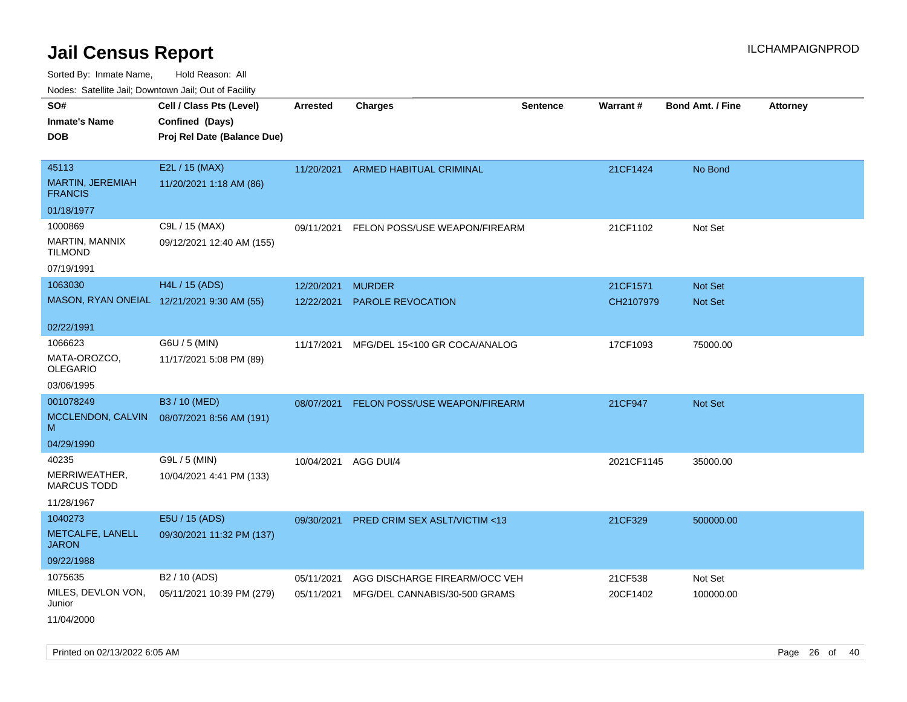Sorted By: Inmate Name, Hold Reason: All Nodes: Satellite Jail; Downtown Jail; Out of Facility

|                                                           | Todoo. Catolino can, Bowritown can, Oat or I domt                          |                 |                                      |                 |            |                         |                 |
|-----------------------------------------------------------|----------------------------------------------------------------------------|-----------------|--------------------------------------|-----------------|------------|-------------------------|-----------------|
| SO#<br><b>Inmate's Name</b><br><b>DOB</b>                 | Cell / Class Pts (Level)<br>Confined (Days)<br>Proj Rel Date (Balance Due) | <b>Arrested</b> | <b>Charges</b>                       | <b>Sentence</b> | Warrant#   | <b>Bond Amt. / Fine</b> | <b>Attorney</b> |
| 45113<br>MARTIN, JEREMIAH<br><b>FRANCIS</b>               | E2L / 15 (MAX)<br>11/20/2021 1:18 AM (86)                                  |                 | 11/20/2021 ARMED HABITUAL CRIMINAL   |                 | 21CF1424   | No Bond                 |                 |
| 01/18/1977                                                |                                                                            |                 |                                      |                 |            |                         |                 |
| 1000869<br>MARTIN, MANNIX<br><b>TILMOND</b><br>07/19/1991 | C9L / 15 (MAX)<br>09/12/2021 12:40 AM (155)                                | 09/11/2021      | FELON POSS/USE WEAPON/FIREARM        |                 | 21CF1102   | Not Set                 |                 |
| 1063030                                                   | H4L / 15 (ADS)                                                             | 12/20/2021      | <b>MURDER</b>                        |                 | 21CF1571   | <b>Not Set</b>          |                 |
| MASON, RYAN ONEIAL 12/21/2021 9:30 AM (55)                |                                                                            | 12/22/2021      | PAROLE REVOCATION                    |                 | CH2107979  | Not Set                 |                 |
| 02/22/1991                                                |                                                                            |                 |                                      |                 |            |                         |                 |
| 1066623<br>MATA-OROZCO,<br><b>OLEGARIO</b>                | G6U / 5 (MIN)<br>11/17/2021 5:08 PM (89)                                   | 11/17/2021      | MFG/DEL 15<100 GR COCA/ANALOG        |                 | 17CF1093   | 75000.00                |                 |
| 03/06/1995                                                |                                                                            |                 |                                      |                 |            |                         |                 |
| 001078249<br>MCCLENDON, CALVIN<br>M<br>04/29/1990         | B3 / 10 (MED)<br>08/07/2021 8:56 AM (191)                                  | 08/07/2021      | <b>FELON POSS/USE WEAPON/FIREARM</b> |                 | 21CF947    | <b>Not Set</b>          |                 |
| 40235                                                     | G9L / 5 (MIN)                                                              |                 |                                      |                 |            |                         |                 |
| MERRIWEATHER,<br><b>MARCUS TODD</b>                       | 10/04/2021 4:41 PM (133)                                                   | 10/04/2021      | AGG DUI/4                            |                 | 2021CF1145 | 35000.00                |                 |
| 11/28/1967                                                |                                                                            |                 |                                      |                 |            |                         |                 |
| 1040273<br>METCALFE, LANELL<br><b>JARON</b>               | E5U / 15 (ADS)<br>09/30/2021 11:32 PM (137)                                | 09/30/2021      | PRED CRIM SEX ASLT/VICTIM <13        |                 | 21CF329    | 500000.00               |                 |
| 09/22/1988                                                |                                                                            |                 |                                      |                 |            |                         |                 |
| 1075635                                                   | B <sub>2</sub> / 10 (ADS)                                                  | 05/11/2021      | AGG DISCHARGE FIREARM/OCC VEH        |                 | 21CF538    | Not Set                 |                 |
| MILES, DEVLON VON,<br>Junior<br>11/04/2000                | 05/11/2021 10:39 PM (279)                                                  | 05/11/2021      | MFG/DEL CANNABIS/30-500 GRAMS        |                 | 20CF1402   | 100000.00               |                 |

Printed on 02/13/2022 6:05 AM Page 26 of 40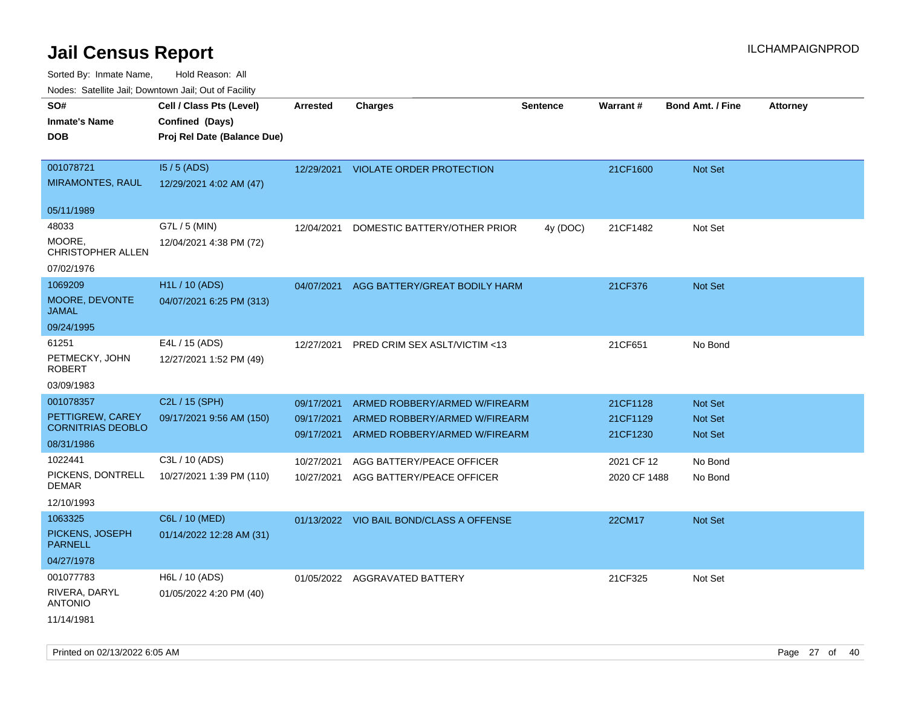Sorted By: Inmate Name, Hold Reason: All

| Nodes: Satellite Jail; Downtown Jail; Out of Facility |
|-------------------------------------------------------|
|                                                       |

| SO#<br><b>Inmate's Name</b><br><b>DOB</b>                               | Cell / Class Pts (Level)<br>Confined (Days)<br>Proj Rel Date (Balance Due) | Arrested                               | <b>Charges</b>                                                                                  | <b>Sentence</b> | Warrant#                         | <b>Bond Amt. / Fine</b>                     | Attorney |
|-------------------------------------------------------------------------|----------------------------------------------------------------------------|----------------------------------------|-------------------------------------------------------------------------------------------------|-----------------|----------------------------------|---------------------------------------------|----------|
| 001078721<br><b>MIRAMONTES, RAUL</b>                                    | $15/5$ (ADS)<br>12/29/2021 4:02 AM (47)                                    | 12/29/2021                             | <b>VIOLATE ORDER PROTECTION</b>                                                                 |                 | 21CF1600                         | Not Set                                     |          |
| 05/11/1989                                                              |                                                                            |                                        |                                                                                                 |                 |                                  |                                             |          |
| 48033<br>MOORE.<br><b>CHRISTOPHER ALLEN</b><br>07/02/1976               | G7L / 5 (MIN)<br>12/04/2021 4:38 PM (72)                                   | 12/04/2021                             | DOMESTIC BATTERY/OTHER PRIOR                                                                    | 4y (DOC)        | 21CF1482                         | Not Set                                     |          |
| 1069209<br>MOORE, DEVONTE<br><b>JAMAL</b>                               | <b>H1L / 10 (ADS)</b><br>04/07/2021 6:25 PM (313)                          | 04/07/2021                             | AGG BATTERY/GREAT BODILY HARM                                                                   |                 | 21CF376                          | Not Set                                     |          |
| 09/24/1995                                                              |                                                                            |                                        |                                                                                                 |                 |                                  |                                             |          |
| 61251<br>PETMECKY, JOHN<br><b>ROBERT</b>                                | E4L / 15 (ADS)<br>12/27/2021 1:52 PM (49)                                  | 12/27/2021                             | PRED CRIM SEX ASLT/VICTIM <13                                                                   |                 | 21CF651                          | No Bond                                     |          |
| 03/09/1983                                                              |                                                                            |                                        |                                                                                                 |                 |                                  |                                             |          |
| 001078357<br>PETTIGREW, CAREY<br><b>CORNITRIAS DEOBLO</b><br>08/31/1986 | C2L / 15 (SPH)<br>09/17/2021 9:56 AM (150)                                 | 09/17/2021<br>09/17/2021<br>09/17/2021 | ARMED ROBBERY/ARMED W/FIREARM<br>ARMED ROBBERY/ARMED W/FIREARM<br>ARMED ROBBERY/ARMED W/FIREARM |                 | 21CF1128<br>21CF1129<br>21CF1230 | Not Set<br><b>Not Set</b><br><b>Not Set</b> |          |
| 1022441                                                                 | C3L / 10 (ADS)                                                             | 10/27/2021                             | AGG BATTERY/PEACE OFFICER                                                                       |                 | 2021 CF 12                       | No Bond                                     |          |
| PICKENS, DONTRELL<br><b>DEMAR</b><br>12/10/1993                         | 10/27/2021 1:39 PM (110)                                                   | 10/27/2021                             | AGG BATTERY/PEACE OFFICER                                                                       |                 | 2020 CF 1488                     | No Bond                                     |          |
| 1063325<br>PICKENS, JOSEPH<br><b>PARNELL</b><br>04/27/1978              | C6L / 10 (MED)<br>01/14/2022 12:28 AM (31)                                 |                                        | 01/13/2022 VIO BAIL BOND/CLASS A OFFENSE                                                        |                 | 22CM17                           | Not Set                                     |          |
| 001077783<br>RIVERA, DARYL<br><b>ANTONIO</b><br>11/14/1981              | H6L / 10 (ADS)<br>01/05/2022 4:20 PM (40)                                  |                                        | 01/05/2022 AGGRAVATED BATTERY                                                                   |                 | 21CF325                          | Not Set                                     |          |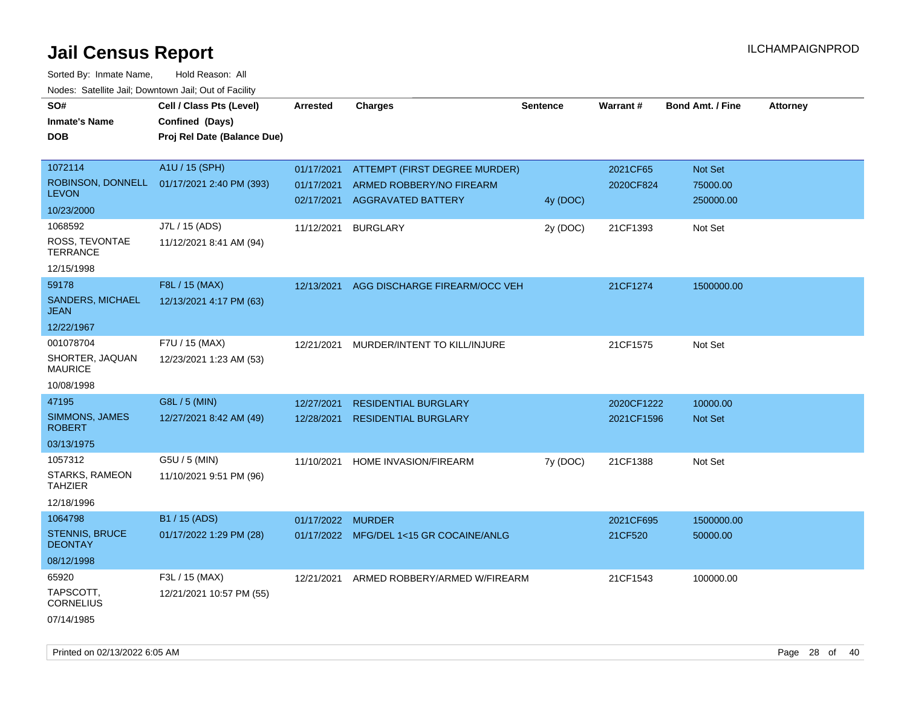Sorted By: Inmate Name, Hold Reason: All Nodes: Satellite Jail; Downtown Jail; Out of Facility

| <b>DOB</b>                                           | Proj Rel Date (Balance Due)                |                   |                                                           |          |                      |                        |  |
|------------------------------------------------------|--------------------------------------------|-------------------|-----------------------------------------------------------|----------|----------------------|------------------------|--|
|                                                      |                                            |                   |                                                           |          |                      |                        |  |
| 1072114<br>ROBINSON, DONNELL                         | A1U / 15 (SPH)                             | 01/17/2021        | <b>ATTEMPT (FIRST DEGREE MURDER)</b>                      |          | 2021CF65             | Not Set                |  |
| <b>LEVON</b>                                         | 01/17/2021 2:40 PM (393)                   | 01/17/2021        | ARMED ROBBERY/NO FIREARM<br>02/17/2021 AGGRAVATED BATTERY | 4y (DOC) | 2020CF824            | 75000.00<br>250000.00  |  |
| 10/23/2000                                           |                                            |                   |                                                           |          |                      |                        |  |
| 1068592<br>ROSS, TEVONTAE<br><b>TERRANCE</b>         | J7L / 15 (ADS)<br>11/12/2021 8:41 AM (94)  | 11/12/2021        | <b>BURGLARY</b>                                           | 2y (DOC) | 21CF1393             | Not Set                |  |
| 12/15/1998                                           |                                            |                   |                                                           |          |                      |                        |  |
| 59178<br><b>SANDERS, MICHAEL</b><br><b>JEAN</b>      | F8L / 15 (MAX)<br>12/13/2021 4:17 PM (63)  | 12/13/2021        | AGG DISCHARGE FIREARM/OCC VEH                             |          | 21CF1274             | 1500000.00             |  |
| 12/22/1967                                           |                                            |                   |                                                           |          |                      |                        |  |
| 001078704<br>SHORTER, JAQUAN<br><b>MAURICE</b>       | F7U / 15 (MAX)<br>12/23/2021 1:23 AM (53)  | 12/21/2021        | MURDER/INTENT TO KILL/INJURE                              |          | 21CF1575             | Not Set                |  |
| 10/08/1998                                           |                                            |                   |                                                           |          |                      |                        |  |
| 47195                                                | G8L / 5 (MIN)                              | 12/27/2021        | <b>RESIDENTIAL BURGLARY</b>                               |          | 2020CF1222           | 10000.00               |  |
| SIMMONS, JAMES<br><b>ROBERT</b>                      | 12/27/2021 8:42 AM (49)                    | 12/28/2021        | <b>RESIDENTIAL BURGLARY</b>                               |          | 2021CF1596           | Not Set                |  |
| 03/13/1975                                           |                                            |                   |                                                           |          |                      |                        |  |
| 1057312                                              | G5U / 5 (MIN)                              | 11/10/2021        | HOME INVASION/FIREARM                                     | 7y (DOC) | 21CF1388             | Not Set                |  |
| STARKS, RAMEON<br><b>TAHZIER</b>                     | 11/10/2021 9:51 PM (96)                    |                   |                                                           |          |                      |                        |  |
| 12/18/1996                                           |                                            |                   |                                                           |          |                      |                        |  |
| 1064798<br><b>STENNIS, BRUCE</b><br><b>DEONTAY</b>   | B1 / 15 (ADS)<br>01/17/2022 1:29 PM (28)   | 01/17/2022 MURDER | 01/17/2022 MFG/DEL 1<15 GR COCAINE/ANLG                   |          | 2021CF695<br>21CF520 | 1500000.00<br>50000.00 |  |
| 08/12/1998                                           |                                            |                   |                                                           |          |                      |                        |  |
| 65920<br>TAPSCOTT,<br><b>CORNELIUS</b><br>07/14/1985 | F3L / 15 (MAX)<br>12/21/2021 10:57 PM (55) | 12/21/2021        | ARMED ROBBERY/ARMED W/FIREARM                             |          | 21CF1543             | 100000.00              |  |

Printed on 02/13/2022 6:05 AM Page 28 of 40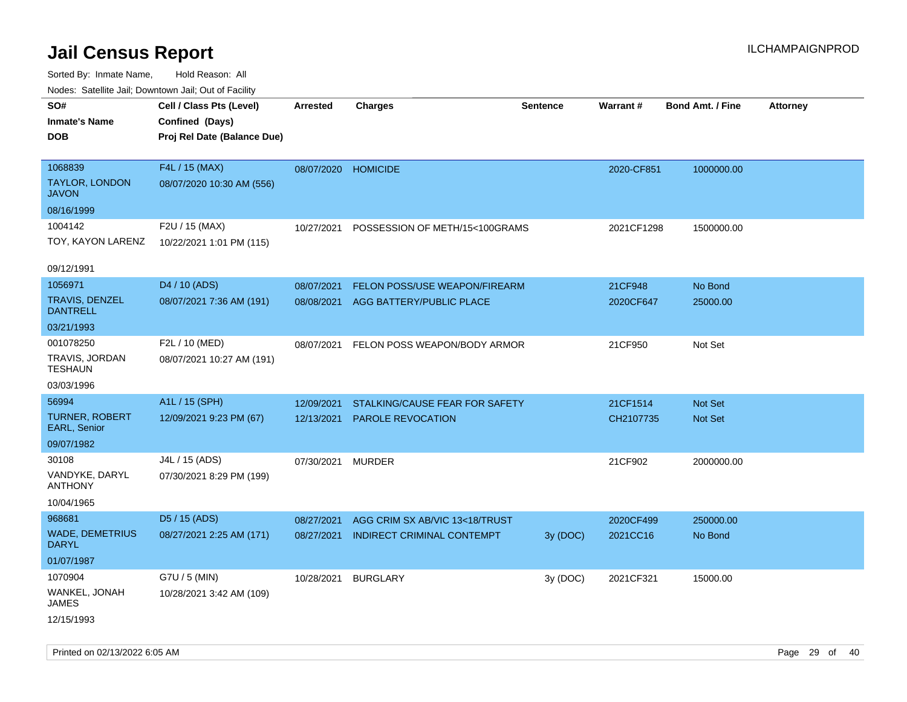| roaco. Catolino cali, Downtown cali, Out of Facility |                             |                     |                                   |                 |            |                         |                 |
|------------------------------------------------------|-----------------------------|---------------------|-----------------------------------|-----------------|------------|-------------------------|-----------------|
| SO#                                                  | Cell / Class Pts (Level)    | <b>Arrested</b>     | <b>Charges</b>                    | <b>Sentence</b> | Warrant#   | <b>Bond Amt. / Fine</b> | <b>Attorney</b> |
| <b>Inmate's Name</b>                                 | Confined (Days)             |                     |                                   |                 |            |                         |                 |
| DOB                                                  | Proj Rel Date (Balance Due) |                     |                                   |                 |            |                         |                 |
|                                                      |                             |                     |                                   |                 |            |                         |                 |
| 1068839                                              | F4L / 15 (MAX)              | 08/07/2020 HOMICIDE |                                   |                 | 2020-CF851 | 1000000.00              |                 |
| <b>TAYLOR, LONDON</b><br><b>JAVON</b>                | 08/07/2020 10:30 AM (556)   |                     |                                   |                 |            |                         |                 |
| 08/16/1999                                           |                             |                     |                                   |                 |            |                         |                 |
| 1004142                                              | F2U / 15 (MAX)              | 10/27/2021          | POSSESSION OF METH/15<100GRAMS    |                 | 2021CF1298 | 1500000.00              |                 |
| TOY, KAYON LARENZ                                    | 10/22/2021 1:01 PM (115)    |                     |                                   |                 |            |                         |                 |
|                                                      |                             |                     |                                   |                 |            |                         |                 |
| 09/12/1991                                           |                             |                     |                                   |                 |            |                         |                 |
| 1056971                                              | D4 / 10 (ADS)               | 08/07/2021          | FELON POSS/USE WEAPON/FIREARM     |                 | 21CF948    | No Bond                 |                 |
| TRAVIS, DENZEL<br><b>DANTRELL</b>                    | 08/07/2021 7:36 AM (191)    | 08/08/2021          | AGG BATTERY/PUBLIC PLACE          |                 | 2020CF647  | 25000.00                |                 |
| 03/21/1993                                           |                             |                     |                                   |                 |            |                         |                 |
| 001078250                                            | F2L / 10 (MED)              | 08/07/2021          | FELON POSS WEAPON/BODY ARMOR      |                 | 21CF950    | Not Set                 |                 |
| TRAVIS, JORDAN<br><b>TESHAUN</b>                     | 08/07/2021 10:27 AM (191)   |                     |                                   |                 |            |                         |                 |
| 03/03/1996                                           |                             |                     |                                   |                 |            |                         |                 |
| 56994                                                | A1L / 15 (SPH)              | 12/09/2021          | STALKING/CAUSE FEAR FOR SAFETY    |                 | 21CF1514   | <b>Not Set</b>          |                 |
| <b>TURNER, ROBERT</b><br>EARL, Senior                | 12/09/2021 9:23 PM (67)     | 12/13/2021          | <b>PAROLE REVOCATION</b>          |                 | CH2107735  | Not Set                 |                 |
| 09/07/1982                                           |                             |                     |                                   |                 |            |                         |                 |
| 30108                                                | J4L / 15 (ADS)              | 07/30/2021          | <b>MURDER</b>                     |                 | 21CF902    | 2000000.00              |                 |
| VANDYKE, DARYL<br>ANTHONY                            | 07/30/2021 8:29 PM (199)    |                     |                                   |                 |            |                         |                 |
| 10/04/1965                                           |                             |                     |                                   |                 |            |                         |                 |
| 968681                                               | D5 / 15 (ADS)               | 08/27/2021          | AGG CRIM SX AB/VIC 13<18/TRUST    |                 | 2020CF499  | 250000.00               |                 |
| <b>WADE, DEMETRIUS</b><br><b>DARYL</b>               | 08/27/2021 2:25 AM (171)    | 08/27/2021          | <b>INDIRECT CRIMINAL CONTEMPT</b> | 3y (DOC)        | 2021CC16   | No Bond                 |                 |
| 01/07/1987                                           |                             |                     |                                   |                 |            |                         |                 |
| 1070904                                              | G7U / 5 (MIN)               | 10/28/2021          | <b>BURGLARY</b>                   | 3y (DOC)        | 2021CF321  | 15000.00                |                 |
| WANKEL, JONAH<br>JAMES                               | 10/28/2021 3:42 AM (109)    |                     |                                   |                 |            |                         |                 |
| 12/15/1993                                           |                             |                     |                                   |                 |            |                         |                 |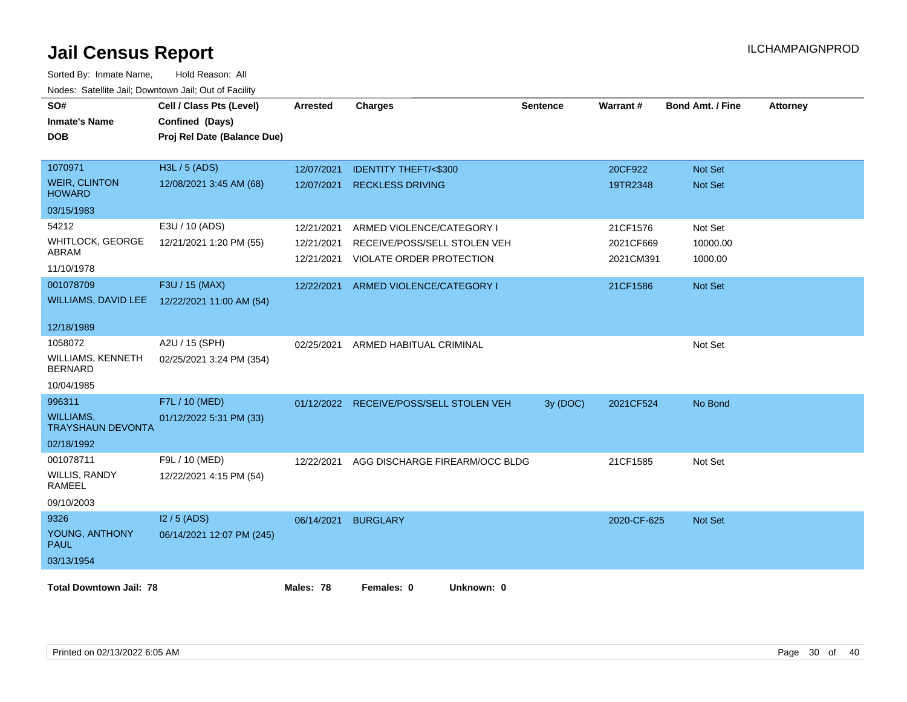| SO#<br><b>Inmate's Name</b><br><b>DOB</b>    | Cell / Class Pts (Level)<br>Confined (Days)<br>Proj Rel Date (Balance Due) | <b>Arrested</b> | <b>Charges</b>                  | <b>Sentence</b> | Warrant#    | <b>Bond Amt. / Fine</b> | <b>Attorney</b> |
|----------------------------------------------|----------------------------------------------------------------------------|-----------------|---------------------------------|-----------------|-------------|-------------------------|-----------------|
| 1070971                                      | H3L / 5 (ADS)                                                              | 12/07/2021      | <b>IDENTITY THEFT/&lt;\$300</b> |                 | 20CF922     | <b>Not Set</b>          |                 |
| <b>WEIR, CLINTON</b><br><b>HOWARD</b>        | 12/08/2021 3:45 AM (68)                                                    | 12/07/2021      | <b>RECKLESS DRIVING</b>         |                 | 19TR2348    | Not Set                 |                 |
| 03/15/1983                                   |                                                                            |                 |                                 |                 |             |                         |                 |
| 54212                                        | E3U / 10 (ADS)                                                             | 12/21/2021      | ARMED VIOLENCE/CATEGORY I       |                 | 21CF1576    | Not Set                 |                 |
| <b>WHITLOCK, GEORGE</b>                      | 12/21/2021 1:20 PM (55)                                                    | 12/21/2021      | RECEIVE/POSS/SELL STOLEN VEH    |                 | 2021CF669   | 10000.00                |                 |
| ABRAM<br>11/10/1978                          |                                                                            | 12/21/2021      | <b>VIOLATE ORDER PROTECTION</b> |                 | 2021CM391   | 1000.00                 |                 |
| 001078709                                    | F3U / 15 (MAX)                                                             | 12/22/2021      | ARMED VIOLENCE/CATEGORY I       |                 | 21CF1586    | Not Set                 |                 |
| <b>WILLIAMS, DAVID LEE</b>                   | 12/22/2021 11:00 AM (54)                                                   |                 |                                 |                 |             |                         |                 |
| 12/18/1989                                   |                                                                            |                 |                                 |                 |             |                         |                 |
| 1058072                                      | A2U / 15 (SPH)                                                             | 02/25/2021      | ARMED HABITUAL CRIMINAL         |                 |             | Not Set                 |                 |
| <b>WILLIAMS, KENNETH</b><br><b>BERNARD</b>   | 02/25/2021 3:24 PM (354)                                                   |                 |                                 |                 |             |                         |                 |
| 10/04/1985                                   |                                                                            |                 |                                 |                 |             |                         |                 |
| 996311                                       | F7L / 10 (MED)                                                             | 01/12/2022      | RECEIVE/POSS/SELL STOLEN VEH    | 3y (DOC)        | 2021CF524   | No Bond                 |                 |
| <b>WILLIAMS,</b><br><b>TRAYSHAUN DEVONTA</b> | 01/12/2022 5:31 PM (33)                                                    |                 |                                 |                 |             |                         |                 |
| 02/18/1992                                   |                                                                            |                 |                                 |                 |             |                         |                 |
| 001078711                                    | F9L / 10 (MED)                                                             | 12/22/2021      | AGG DISCHARGE FIREARM/OCC BLDG  |                 | 21CF1585    | Not Set                 |                 |
| WILLIS, RANDY<br>RAMEEL                      | 12/22/2021 4:15 PM (54)                                                    |                 |                                 |                 |             |                         |                 |
| 09/10/2003                                   |                                                                            |                 |                                 |                 |             |                         |                 |
| 9326                                         | I2 / 5 (ADS)                                                               | 06/14/2021      | <b>BURGLARY</b>                 |                 | 2020-CF-625 | <b>Not Set</b>          |                 |
| YOUNG, ANTHONY<br><b>PAUL</b>                | 06/14/2021 12:07 PM (245)                                                  |                 |                                 |                 |             |                         |                 |
| 03/13/1954                                   |                                                                            |                 |                                 |                 |             |                         |                 |
| <b>Total Downtown Jail: 78</b>               |                                                                            | Males: 78       | Females: 0<br>Unknown: 0        |                 |             |                         |                 |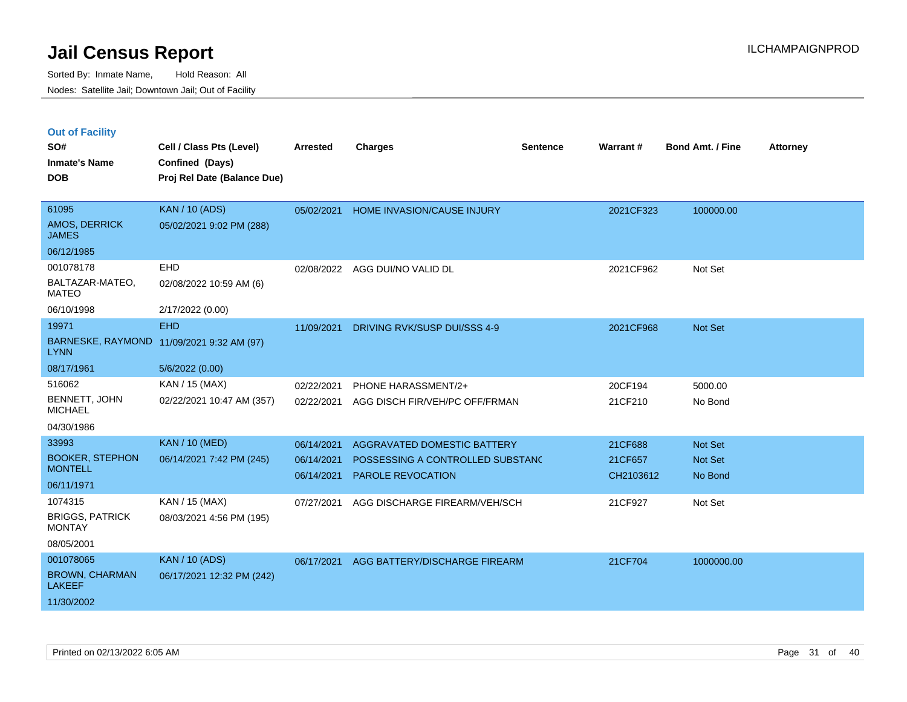|  |  |  | <b>Out of Facility</b> |  |
|--|--|--|------------------------|--|
|--|--|--|------------------------|--|

| SO#<br><b>Inmate's Name</b>              | Cell / Class Pts (Level)                       | <b>Arrested</b> | <b>Charges</b>                   | <b>Sentence</b> | Warrant#  | <b>Bond Amt. / Fine</b> | <b>Attorney</b> |
|------------------------------------------|------------------------------------------------|-----------------|----------------------------------|-----------------|-----------|-------------------------|-----------------|
| <b>DOB</b>                               | Confined (Days)<br>Proj Rel Date (Balance Due) |                 |                                  |                 |           |                         |                 |
|                                          |                                                |                 |                                  |                 |           |                         |                 |
| 61095                                    | <b>KAN / 10 (ADS)</b>                          | 05/02/2021      | HOME INVASION/CAUSE INJURY       |                 | 2021CF323 | 100000.00               |                 |
| AMOS, DERRICK<br><b>JAMES</b>            | 05/02/2021 9:02 PM (288)                       |                 |                                  |                 |           |                         |                 |
| 06/12/1985                               |                                                |                 |                                  |                 |           |                         |                 |
| 001078178                                | <b>EHD</b>                                     |                 | 02/08/2022 AGG DUI/NO VALID DL   |                 | 2021CF962 | Not Set                 |                 |
| BALTAZAR-MATEO,<br><b>MATEO</b>          | 02/08/2022 10:59 AM (6)                        |                 |                                  |                 |           |                         |                 |
| 06/10/1998                               | 2/17/2022 (0.00)                               |                 |                                  |                 |           |                         |                 |
| 19971                                    | <b>EHD</b>                                     | 11/09/2021      | DRIVING RVK/SUSP DUI/SSS 4-9     |                 | 2021CF968 | Not Set                 |                 |
| <b>LYNN</b>                              | BARNESKE, RAYMOND 11/09/2021 9:32 AM (97)      |                 |                                  |                 |           |                         |                 |
| 08/17/1961                               | 5/6/2022 (0.00)                                |                 |                                  |                 |           |                         |                 |
| 516062                                   | KAN / 15 (MAX)                                 | 02/22/2021      | PHONE HARASSMENT/2+              |                 | 20CF194   | 5000.00                 |                 |
| BENNETT, JOHN<br><b>MICHAEL</b>          | 02/22/2021 10:47 AM (357)                      | 02/22/2021      | AGG DISCH FIR/VEH/PC OFF/FRMAN   |                 | 21CF210   | No Bond                 |                 |
| 04/30/1986                               |                                                |                 |                                  |                 |           |                         |                 |
| 33993                                    | <b>KAN / 10 (MED)</b>                          | 06/14/2021      | AGGRAVATED DOMESTIC BATTERY      |                 | 21CF688   | <b>Not Set</b>          |                 |
| <b>BOOKER, STEPHON</b><br><b>MONTELL</b> | 06/14/2021 7:42 PM (245)                       | 06/14/2021      | POSSESSING A CONTROLLED SUBSTAND |                 | 21CF657   | <b>Not Set</b>          |                 |
| 06/11/1971                               |                                                | 06/14/2021      | <b>PAROLE REVOCATION</b>         |                 | CH2103612 | No Bond                 |                 |
| 1074315                                  | KAN / 15 (MAX)                                 |                 |                                  |                 |           |                         |                 |
| <b>BRIGGS, PATRICK</b>                   | 08/03/2021 4:56 PM (195)                       | 07/27/2021      | AGG DISCHARGE FIREARM/VEH/SCH    |                 | 21CF927   | Not Set                 |                 |
| <b>MONTAY</b>                            |                                                |                 |                                  |                 |           |                         |                 |
| 08/05/2001                               |                                                |                 |                                  |                 |           |                         |                 |
| 001078065                                | <b>KAN / 10 (ADS)</b>                          | 06/17/2021      | AGG BATTERY/DISCHARGE FIREARM    |                 | 21CF704   | 1000000.00              |                 |
| <b>BROWN, CHARMAN</b><br><b>LAKEEF</b>   | 06/17/2021 12:32 PM (242)                      |                 |                                  |                 |           |                         |                 |
| 11/30/2002                               |                                                |                 |                                  |                 |           |                         |                 |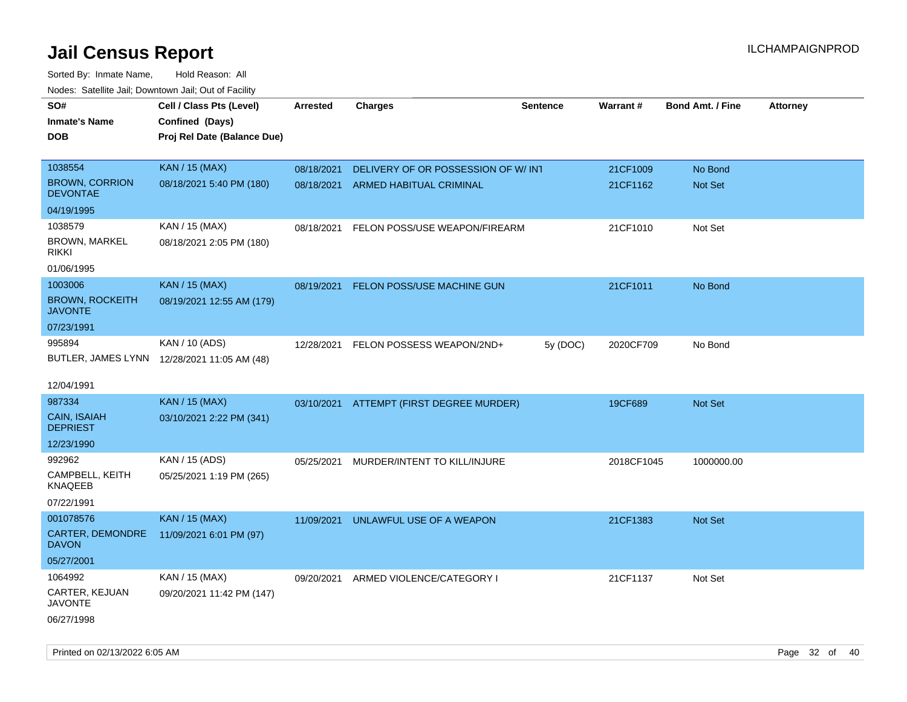| roaco. Odichile Jan, Downtown Jan, Out of Facility |                                             |                 |                                    |                 |            |                         |                 |
|----------------------------------------------------|---------------------------------------------|-----------------|------------------------------------|-----------------|------------|-------------------------|-----------------|
| SO#                                                | Cell / Class Pts (Level)                    | <b>Arrested</b> | <b>Charges</b>                     | <b>Sentence</b> | Warrant#   | <b>Bond Amt. / Fine</b> | <b>Attorney</b> |
| <b>Inmate's Name</b>                               | Confined (Days)                             |                 |                                    |                 |            |                         |                 |
| <b>DOB</b>                                         | Proj Rel Date (Balance Due)                 |                 |                                    |                 |            |                         |                 |
|                                                    |                                             |                 |                                    |                 |            |                         |                 |
| 1038554                                            | <b>KAN / 15 (MAX)</b>                       | 08/18/2021      | DELIVERY OF OR POSSESSION OF W/INT |                 | 21CF1009   | No Bond                 |                 |
| <b>BROWN, CORRION</b><br><b>DEVONTAE</b>           | 08/18/2021 5:40 PM (180)                    | 08/18/2021      | ARMED HABITUAL CRIMINAL            |                 | 21CF1162   | <b>Not Set</b>          |                 |
| 04/19/1995                                         |                                             |                 |                                    |                 |            |                         |                 |
| 1038579                                            | KAN / 15 (MAX)                              | 08/18/2021      | FELON POSS/USE WEAPON/FIREARM      |                 | 21CF1010   | Not Set                 |                 |
| BROWN, MARKEL<br><b>RIKKI</b>                      | 08/18/2021 2:05 PM (180)                    |                 |                                    |                 |            |                         |                 |
| 01/06/1995                                         |                                             |                 |                                    |                 |            |                         |                 |
| 1003006                                            | <b>KAN / 15 (MAX)</b>                       | 08/19/2021      | FELON POSS/USE MACHINE GUN         |                 | 21CF1011   | No Bond                 |                 |
| <b>BROWN, ROCKEITH</b><br><b>JAVONTE</b>           | 08/19/2021 12:55 AM (179)                   |                 |                                    |                 |            |                         |                 |
| 07/23/1991                                         |                                             |                 |                                    |                 |            |                         |                 |
| 995894                                             | KAN / 10 (ADS)                              | 12/28/2021      | FELON POSSESS WEAPON/2ND+          | 5y (DOC)        | 2020CF709  | No Bond                 |                 |
|                                                    | BUTLER, JAMES LYNN 12/28/2021 11:05 AM (48) |                 |                                    |                 |            |                         |                 |
|                                                    |                                             |                 |                                    |                 |            |                         |                 |
| 12/04/1991                                         |                                             |                 |                                    |                 |            |                         |                 |
| 987334                                             | <b>KAN / 15 (MAX)</b>                       | 03/10/2021      | ATTEMPT (FIRST DEGREE MURDER)      |                 | 19CF689    | <b>Not Set</b>          |                 |
| CAIN, ISAIAH<br><b>DEPRIEST</b>                    | 03/10/2021 2:22 PM (341)                    |                 |                                    |                 |            |                         |                 |
| 12/23/1990                                         |                                             |                 |                                    |                 |            |                         |                 |
| 992962                                             | KAN / 15 (ADS)                              | 05/25/2021      | MURDER/INTENT TO KILL/INJURE       |                 | 2018CF1045 | 1000000.00              |                 |
| CAMPBELL, KEITH<br><b>KNAQEEB</b>                  | 05/25/2021 1:19 PM (265)                    |                 |                                    |                 |            |                         |                 |
| 07/22/1991                                         |                                             |                 |                                    |                 |            |                         |                 |
| 001078576                                          | <b>KAN / 15 (MAX)</b>                       | 11/09/2021      | UNLAWFUL USE OF A WEAPON           |                 | 21CF1383   | Not Set                 |                 |
| CARTER, DEMONDRE<br><b>DAVON</b>                   | 11/09/2021 6:01 PM (97)                     |                 |                                    |                 |            |                         |                 |
| 05/27/2001                                         |                                             |                 |                                    |                 |            |                         |                 |
| 1064992                                            | KAN / 15 (MAX)                              | 09/20/2021      | ARMED VIOLENCE/CATEGORY I          |                 | 21CF1137   | Not Set                 |                 |
| CARTER, KEJUAN<br><b>JAVONTE</b>                   | 09/20/2021 11:42 PM (147)                   |                 |                                    |                 |            |                         |                 |
| 06/27/1998                                         |                                             |                 |                                    |                 |            |                         |                 |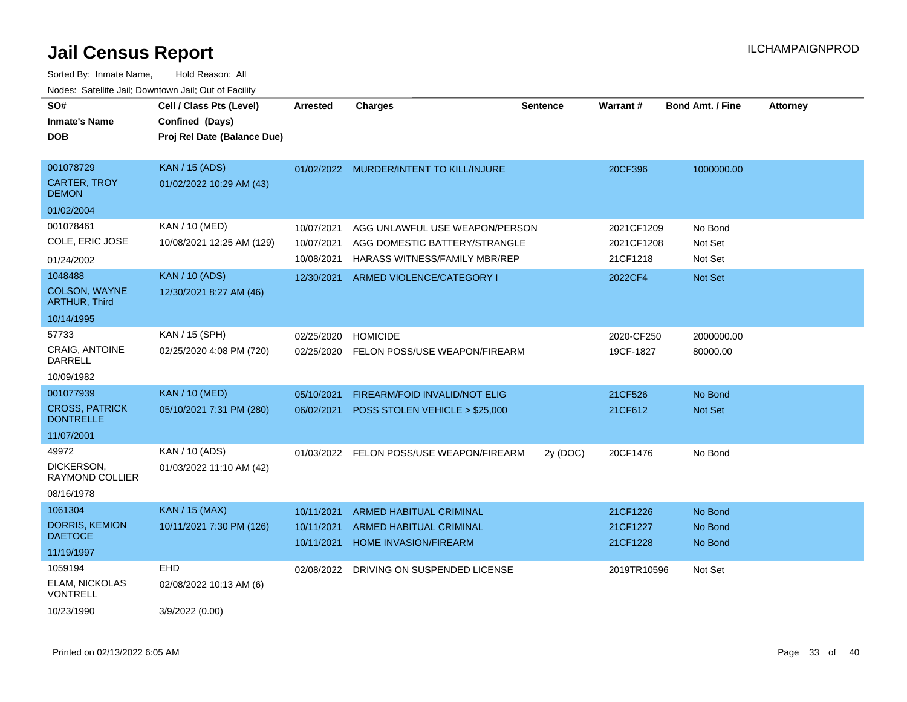| SO#<br><b>Inmate's Name</b><br><b>DOB</b>        | Cell / Class Pts (Level)<br>Confined (Days)<br>Proj Rel Date (Balance Due) | <b>Arrested</b> | <b>Charges</b>                                          | <b>Sentence</b> | <b>Warrant#</b> | <b>Bond Amt. / Fine</b> | <b>Attorney</b> |
|--------------------------------------------------|----------------------------------------------------------------------------|-----------------|---------------------------------------------------------|-----------------|-----------------|-------------------------|-----------------|
| 001078729<br><b>CARTER, TROY</b><br><b>DEMON</b> | <b>KAN / 15 (ADS)</b><br>01/02/2022 10:29 AM (43)                          |                 | 01/02/2022 MURDER/INTENT TO KILL/INJURE                 |                 | 20CF396         | 1000000.00              |                 |
| 01/02/2004                                       |                                                                            |                 |                                                         |                 |                 |                         |                 |
| 001078461                                        | KAN / 10 (MED)                                                             | 10/07/2021      | AGG UNLAWFUL USE WEAPON/PERSON                          |                 | 2021CF1209      | No Bond                 |                 |
| COLE, ERIC JOSE                                  | 10/08/2021 12:25 AM (129)                                                  | 10/07/2021      | AGG DOMESTIC BATTERY/STRANGLE                           |                 | 2021CF1208      | Not Set                 |                 |
| 01/24/2002                                       |                                                                            | 10/08/2021      | HARASS WITNESS/FAMILY MBR/REP                           |                 | 21CF1218        | Not Set                 |                 |
| 1048488                                          | <b>KAN / 10 (ADS)</b>                                                      | 12/30/2021      | ARMED VIOLENCE/CATEGORY I                               |                 | 2022CF4         | Not Set                 |                 |
| COLSON, WAYNE<br><b>ARTHUR, Third</b>            | 12/30/2021 8:27 AM (46)                                                    |                 |                                                         |                 |                 |                         |                 |
| 10/14/1995                                       |                                                                            |                 |                                                         |                 |                 |                         |                 |
| 57733                                            | KAN / 15 (SPH)                                                             | 02/25/2020      | <b>HOMICIDE</b>                                         |                 | 2020-CF250      | 2000000.00              |                 |
| <b>CRAIG, ANTOINE</b><br>DARRELL                 | 02/25/2020 4:08 PM (720)                                                   |                 | 02/25/2020 FELON POSS/USE WEAPON/FIREARM                |                 | 19CF-1827       | 80000.00                |                 |
| 10/09/1982                                       |                                                                            |                 |                                                         |                 |                 |                         |                 |
| 001077939                                        | <b>KAN / 10 (MED)</b>                                                      | 05/10/2021      | FIREARM/FOID INVALID/NOT ELIG                           |                 | 21CF526         | No Bond                 |                 |
| <b>CROSS, PATRICK</b><br><b>DONTRELLE</b>        | 05/10/2021 7:31 PM (280)                                                   | 06/02/2021      | POSS STOLEN VEHICLE > \$25,000                          |                 | 21CF612         | <b>Not Set</b>          |                 |
| 11/07/2001                                       |                                                                            |                 |                                                         |                 |                 |                         |                 |
| 49972                                            | KAN / 10 (ADS)                                                             |                 | 01/03/2022 FELON POSS/USE WEAPON/FIREARM                | 2y (DOC)        | 20CF1476        | No Bond                 |                 |
| DICKERSON,<br>RAYMOND COLLIER                    | 01/03/2022 11:10 AM (42)                                                   |                 |                                                         |                 |                 |                         |                 |
| 08/16/1978                                       |                                                                            |                 |                                                         |                 |                 |                         |                 |
| 1061304                                          | <b>KAN / 15 (MAX)</b>                                                      | 10/11/2021      | <b>ARMED HABITUAL CRIMINAL</b>                          |                 | 21CF1226        | No Bond                 |                 |
| <b>DORRIS, KEMION</b><br><b>DAETOCE</b>          | 10/11/2021 7:30 PM (126)                                                   | 10/11/2021      | ARMED HABITUAL CRIMINAL<br><b>HOME INVASION/FIREARM</b> |                 | 21CF1227        | No Bond                 |                 |
| 11/19/1997                                       |                                                                            | 10/11/2021      |                                                         |                 | 21CF1228        | No Bond                 |                 |
| 1059194                                          | <b>EHD</b>                                                                 | 02/08/2022      | DRIVING ON SUSPENDED LICENSE                            |                 | 2019TR10596     | Not Set                 |                 |
| <b>ELAM, NICKOLAS</b><br><b>VONTRELL</b>         | 02/08/2022 10:13 AM (6)                                                    |                 |                                                         |                 |                 |                         |                 |
| 10/23/1990                                       | 3/9/2022 (0.00)                                                            |                 |                                                         |                 |                 |                         |                 |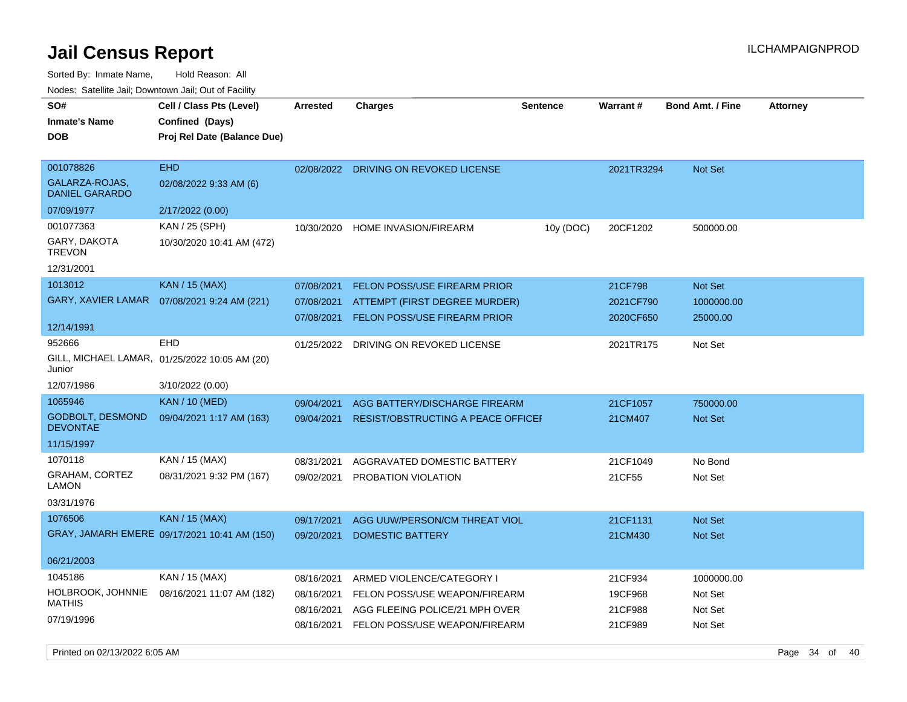| SO#<br><b>Inmate's Name</b><br><b>DOB</b>  | Cell / Class Pts (Level)<br>Confined (Days)<br>Proj Rel Date (Balance Due) | <b>Arrested</b> | <b>Charges</b>                            | <b>Sentence</b> | <b>Warrant#</b> | <b>Bond Amt. / Fine</b> | <b>Attorney</b> |
|--------------------------------------------|----------------------------------------------------------------------------|-----------------|-------------------------------------------|-----------------|-----------------|-------------------------|-----------------|
| 001078826                                  | <b>EHD</b>                                                                 |                 | 02/08/2022 DRIVING ON REVOKED LICENSE     |                 | 2021TR3294      | Not Set                 |                 |
| GALARZA-ROJAS,<br><b>DANIEL GARARDO</b>    | 02/08/2022 9:33 AM (6)                                                     |                 |                                           |                 |                 |                         |                 |
| 07/09/1977                                 | 2/17/2022 (0.00)                                                           |                 |                                           |                 |                 |                         |                 |
| 001077363                                  | KAN / 25 (SPH)                                                             | 10/30/2020      | HOME INVASION/FIREARM                     | 10y (DOC)       | 20CF1202        | 500000.00               |                 |
| GARY, DAKOTA<br><b>TREVON</b>              | 10/30/2020 10:41 AM (472)                                                  |                 |                                           |                 |                 |                         |                 |
| 12/31/2001                                 |                                                                            |                 |                                           |                 |                 |                         |                 |
| 1013012                                    | <b>KAN / 15 (MAX)</b>                                                      | 07/08/2021      | <b>FELON POSS/USE FIREARM PRIOR</b>       |                 | 21CF798         | Not Set                 |                 |
| <b>GARY, XAVIER LAMAR</b>                  | 07/08/2021 9:24 AM (221)                                                   | 07/08/2021      | ATTEMPT (FIRST DEGREE MURDER)             |                 | 2021CF790       | 1000000.00              |                 |
| 12/14/1991                                 |                                                                            | 07/08/2021      | <b>FELON POSS/USE FIREARM PRIOR</b>       |                 | 2020CF650       | 25000.00                |                 |
| 952666                                     | EHD                                                                        | 01/25/2022      | DRIVING ON REVOKED LICENSE                |                 | 2021TR175       | Not Set                 |                 |
| Junior                                     | GILL, MICHAEL LAMAR, 01/25/2022 10:05 AM (20)                              |                 |                                           |                 |                 |                         |                 |
| 12/07/1986                                 | 3/10/2022 (0.00)                                                           |                 |                                           |                 |                 |                         |                 |
| 1065946                                    | <b>KAN / 10 (MED)</b>                                                      | 09/04/2021      | AGG BATTERY/DISCHARGE FIREARM             |                 | 21CF1057        | 750000.00               |                 |
| <b>GODBOLT, DESMOND</b><br><b>DEVONTAE</b> | 09/04/2021 1:17 AM (163)                                                   | 09/04/2021      | <b>RESIST/OBSTRUCTING A PEACE OFFICEF</b> |                 | 21CM407         | Not Set                 |                 |
| 11/15/1997                                 |                                                                            |                 |                                           |                 |                 |                         |                 |
| 1070118                                    | KAN / 15 (MAX)                                                             | 08/31/2021      | AGGRAVATED DOMESTIC BATTERY               |                 | 21CF1049        | No Bond                 |                 |
| GRAHAM, CORTEZ<br><b>LAMON</b>             | 08/31/2021 9:32 PM (167)                                                   | 09/02/2021      | PROBATION VIOLATION                       |                 | 21CF55          | Not Set                 |                 |
| 03/31/1976                                 |                                                                            |                 |                                           |                 |                 |                         |                 |
| 1076506                                    | <b>KAN / 15 (MAX)</b>                                                      | 09/17/2021      | AGG UUW/PERSON/CM THREAT VIOL             |                 | 21CF1131        | <b>Not Set</b>          |                 |
|                                            | GRAY, JAMARH EMERE 09/17/2021 10:41 AM (150)                               | 09/20/2021      | <b>DOMESTIC BATTERY</b>                   |                 | 21CM430         | Not Set                 |                 |
| 06/21/2003                                 |                                                                            |                 |                                           |                 |                 |                         |                 |
| 1045186                                    | KAN / 15 (MAX)                                                             | 08/16/2021      | ARMED VIOLENCE/CATEGORY I                 |                 | 21CF934         | 1000000.00              |                 |
| HOLBROOK, JOHNNIE                          | 08/16/2021 11:07 AM (182)                                                  | 08/16/2021      | FELON POSS/USE WEAPON/FIREARM             |                 | 19CF968         | Not Set                 |                 |
| <b>MATHIS</b>                              |                                                                            | 08/16/2021      | AGG FLEEING POLICE/21 MPH OVER            |                 | 21CF988         | Not Set                 |                 |
| 07/19/1996                                 |                                                                            | 08/16/2021      | FELON POSS/USE WEAPON/FIREARM             |                 | 21CF989         | Not Set                 |                 |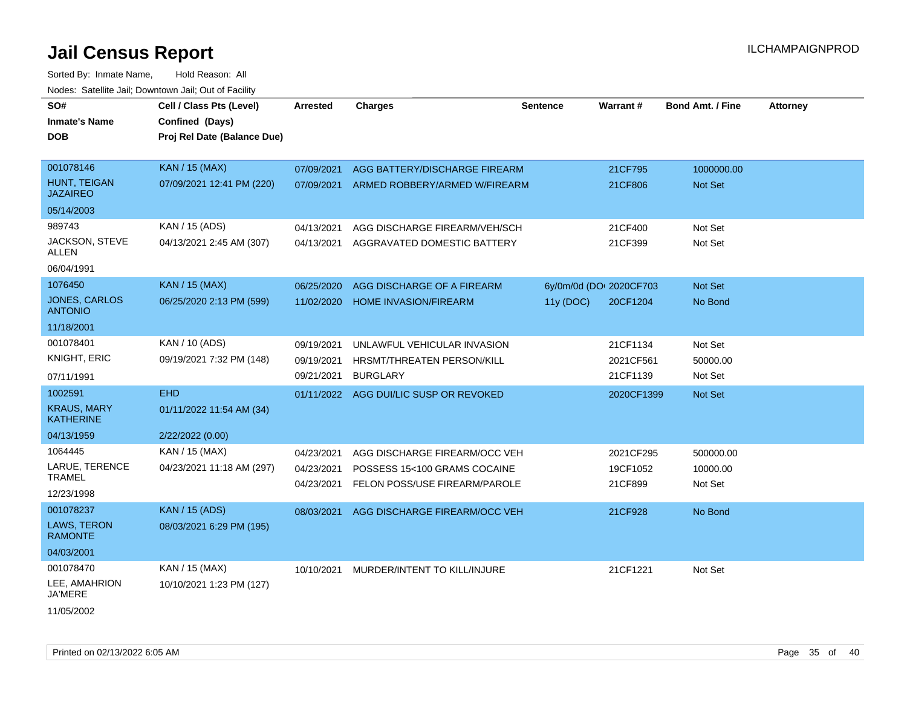| SO#<br><b>Inmate's Name</b><br><b>DOB</b> | Cell / Class Pts (Level)<br>Confined (Days)<br>Proj Rel Date (Balance Due) | <b>Arrested</b> | <b>Charges</b>                         | <b>Sentence</b> | Warrant#                | <b>Bond Amt. / Fine</b> | <b>Attorney</b> |
|-------------------------------------------|----------------------------------------------------------------------------|-----------------|----------------------------------------|-----------------|-------------------------|-------------------------|-----------------|
| 001078146                                 | <b>KAN / 15 (MAX)</b>                                                      | 07/09/2021      | AGG BATTERY/DISCHARGE FIREARM          |                 | 21CF795                 | 1000000.00              |                 |
| <b>HUNT, TEIGAN</b><br><b>JAZAIREO</b>    | 07/09/2021 12:41 PM (220)                                                  | 07/09/2021      | ARMED ROBBERY/ARMED W/FIREARM          |                 | 21CF806                 | Not Set                 |                 |
| 05/14/2003                                |                                                                            |                 |                                        |                 |                         |                         |                 |
| 989743                                    | KAN / 15 (ADS)                                                             | 04/13/2021      | AGG DISCHARGE FIREARM/VEH/SCH          |                 | 21CF400                 | Not Set                 |                 |
| JACKSON, STEVE<br>ALLEN                   | 04/13/2021 2:45 AM (307)                                                   | 04/13/2021      | AGGRAVATED DOMESTIC BATTERY            |                 | 21CF399                 | Not Set                 |                 |
| 06/04/1991                                |                                                                            |                 |                                        |                 |                         |                         |                 |
| 1076450                                   | <b>KAN / 15 (MAX)</b>                                                      | 06/25/2020      | AGG DISCHARGE OF A FIREARM             |                 | 6y/0m/0d (DOI 2020CF703 | Not Set                 |                 |
| <b>JONES, CARLOS</b><br><b>ANTONIO</b>    | 06/25/2020 2:13 PM (599)                                                   | 11/02/2020      | <b>HOME INVASION/FIREARM</b>           | 11y (DOC)       | 20CF1204                | No Bond                 |                 |
| 11/18/2001                                |                                                                            |                 |                                        |                 |                         |                         |                 |
| 001078401                                 | KAN / 10 (ADS)                                                             | 09/19/2021      | UNLAWFUL VEHICULAR INVASION            |                 | 21CF1134                | Not Set                 |                 |
| KNIGHT, ERIC                              | 09/19/2021 7:32 PM (148)                                                   | 09/19/2021      | HRSMT/THREATEN PERSON/KILL             |                 | 2021CF561               | 50000.00                |                 |
| 07/11/1991                                |                                                                            | 09/21/2021      | <b>BURGLARY</b>                        |                 | 21CF1139                | Not Set                 |                 |
| 1002591                                   | <b>EHD</b>                                                                 |                 | 01/11/2022 AGG DUI/LIC SUSP OR REVOKED |                 | 2020CF1399              | Not Set                 |                 |
| <b>KRAUS, MARY</b><br><b>KATHERINE</b>    | 01/11/2022 11:54 AM (34)                                                   |                 |                                        |                 |                         |                         |                 |
| 04/13/1959                                | 2/22/2022 (0.00)                                                           |                 |                                        |                 |                         |                         |                 |
| 1064445                                   | KAN / 15 (MAX)                                                             | 04/23/2021      | AGG DISCHARGE FIREARM/OCC VEH          |                 | 2021CF295               | 500000.00               |                 |
| LARUE, TERENCE                            | 04/23/2021 11:18 AM (297)                                                  | 04/23/2021      | POSSESS 15<100 GRAMS COCAINE           |                 | 19CF1052                | 10000.00                |                 |
| <b>TRAMEL</b>                             |                                                                            | 04/23/2021      | FELON POSS/USE FIREARM/PAROLE          |                 | 21CF899                 | Not Set                 |                 |
| 12/23/1998                                |                                                                            |                 |                                        |                 |                         |                         |                 |
| 001078237                                 | <b>KAN / 15 (ADS)</b>                                                      | 08/03/2021      | AGG DISCHARGE FIREARM/OCC VEH          |                 | 21CF928                 | No Bond                 |                 |
| <b>LAWS, TERON</b><br><b>RAMONTE</b>      | 08/03/2021 6:29 PM (195)                                                   |                 |                                        |                 |                         |                         |                 |
| 04/03/2001                                |                                                                            |                 |                                        |                 |                         |                         |                 |
| 001078470                                 | KAN / 15 (MAX)                                                             | 10/10/2021      | MURDER/INTENT TO KILL/INJURE           |                 | 21CF1221                | Not Set                 |                 |
| LEE, AMAHRION<br>JA'MERE                  | 10/10/2021 1:23 PM (127)                                                   |                 |                                        |                 |                         |                         |                 |
| 11/05/2002                                |                                                                            |                 |                                        |                 |                         |                         |                 |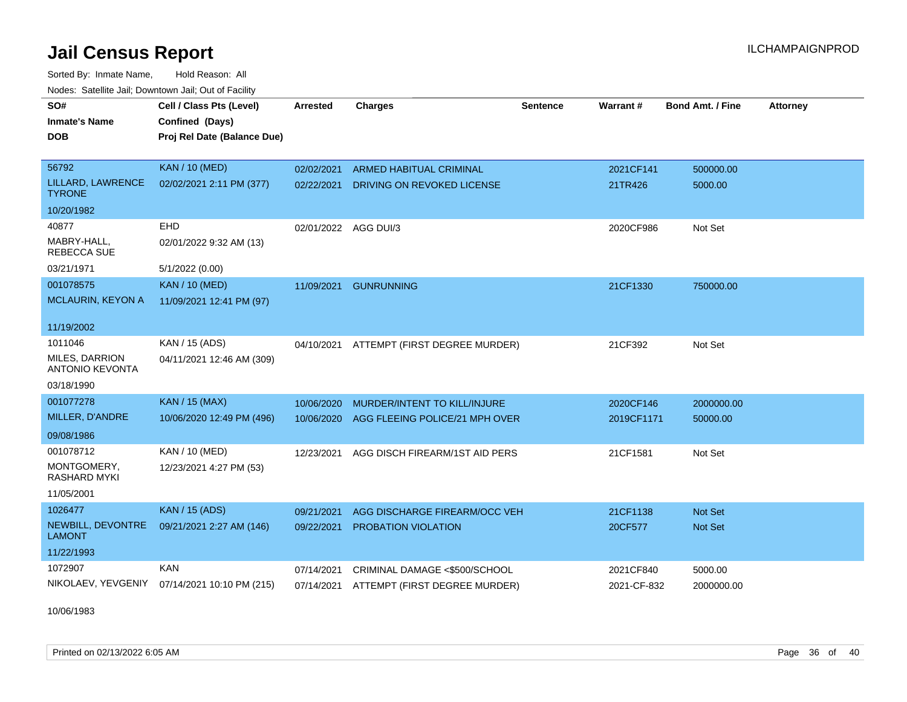Sorted By: Inmate Name, Hold Reason: All Nodes: Satellite Jail; Downtown Jail; Out of Facility

| SO#                                      | Cell / Class Pts (Level)    | <b>Arrested</b>      | <b>Charges</b>                      | <b>Sentence</b> | Warrant#    | <b>Bond Amt. / Fine</b> | <b>Attorney</b> |
|------------------------------------------|-----------------------------|----------------------|-------------------------------------|-----------------|-------------|-------------------------|-----------------|
| <b>Inmate's Name</b>                     | Confined (Days)             |                      |                                     |                 |             |                         |                 |
| <b>DOB</b>                               | Proj Rel Date (Balance Due) |                      |                                     |                 |             |                         |                 |
|                                          |                             |                      |                                     |                 |             |                         |                 |
| 56792                                    | <b>KAN / 10 (MED)</b>       | 02/02/2021           | ARMED HABITUAL CRIMINAL             |                 | 2021CF141   | 500000.00               |                 |
| LILLARD, LAWRENCE<br><b>TYRONE</b>       | 02/02/2021 2:11 PM (377)    | 02/22/2021           | DRIVING ON REVOKED LICENSE          |                 | 21TR426     | 5000.00                 |                 |
| 10/20/1982                               |                             |                      |                                     |                 |             |                         |                 |
| 40877                                    | <b>EHD</b>                  | 02/01/2022 AGG DUI/3 |                                     |                 | 2020CF986   | Not Set                 |                 |
| MABRY-HALL.<br>REBECCA SUE               | 02/01/2022 9:32 AM (13)     |                      |                                     |                 |             |                         |                 |
| 03/21/1971                               | 5/1/2022 (0.00)             |                      |                                     |                 |             |                         |                 |
| 001078575                                | <b>KAN / 10 (MED)</b>       | 11/09/2021           | <b>GUNRUNNING</b>                   |                 | 21CF1330    | 750000.00               |                 |
| <b>MCLAURIN, KEYON A</b>                 | 11/09/2021 12:41 PM (97)    |                      |                                     |                 |             |                         |                 |
| 11/19/2002                               |                             |                      |                                     |                 |             |                         |                 |
| 1011046                                  | KAN / 15 (ADS)              | 04/10/2021           | ATTEMPT (FIRST DEGREE MURDER)       |                 | 21CF392     | Not Set                 |                 |
| MILES, DARRION<br><b>ANTONIO KEVONTA</b> | 04/11/2021 12:46 AM (309)   |                      |                                     |                 |             |                         |                 |
| 03/18/1990                               |                             |                      |                                     |                 |             |                         |                 |
| 001077278                                | KAN / 15 (MAX)              | 10/06/2020           | <b>MURDER/INTENT TO KILL/INJURE</b> |                 | 2020CF146   | 2000000.00              |                 |
| MILLER, D'ANDRE                          | 10/06/2020 12:49 PM (496)   | 10/06/2020           | AGG FLEEING POLICE/21 MPH OVER      |                 | 2019CF1171  | 50000.00                |                 |
| 09/08/1986                               |                             |                      |                                     |                 |             |                         |                 |
| 001078712                                | KAN / 10 (MED)              | 12/23/2021           | AGG DISCH FIREARM/1ST AID PERS      |                 | 21CF1581    | Not Set                 |                 |
| MONTGOMERY,<br>RASHARD MYKI              | 12/23/2021 4:27 PM (53)     |                      |                                     |                 |             |                         |                 |
| 11/05/2001                               |                             |                      |                                     |                 |             |                         |                 |
| 1026477                                  | <b>KAN / 15 (ADS)</b>       | 09/21/2021           | AGG DISCHARGE FIREARM/OCC VEH       |                 | 21CF1138    | <b>Not Set</b>          |                 |
| NEWBILL, DEVONTRE<br><b>LAMONT</b>       | 09/21/2021 2:27 AM (146)    | 09/22/2021           | PROBATION VIOLATION                 |                 | 20CF577     | Not Set                 |                 |
| 11/22/1993                               |                             |                      |                                     |                 |             |                         |                 |
| 1072907                                  | <b>KAN</b>                  | 07/14/2021           | CRIMINAL DAMAGE <\$500/SCHOOL       |                 | 2021CF840   | 5000.00                 |                 |
| NIKOLAEV, YEVGENIY                       | 07/14/2021 10:10 PM (215)   | 07/14/2021           | ATTEMPT (FIRST DEGREE MURDER)       |                 | 2021-CF-832 | 2000000.00              |                 |

10/06/1983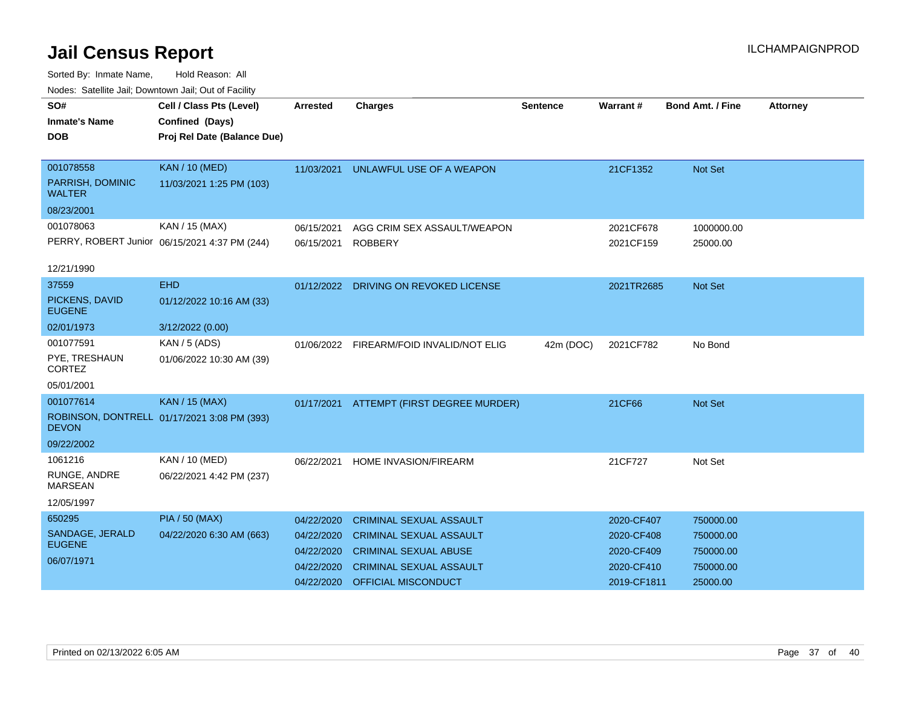| SO#<br><b>Inmate's Name</b><br><b>DOB</b>                    | Cell / Class Pts (Level)<br>Confined (Days)<br>Proj Rel Date (Balance Due) | <b>Arrested</b>                                                    | <b>Charges</b>                                                                                                                                            | <b>Sentence</b> | Warrant#                                                            | <b>Bond Amt. / Fine</b>                                      | <b>Attorney</b> |
|--------------------------------------------------------------|----------------------------------------------------------------------------|--------------------------------------------------------------------|-----------------------------------------------------------------------------------------------------------------------------------------------------------|-----------------|---------------------------------------------------------------------|--------------------------------------------------------------|-----------------|
| 001078558<br>PARRISH, DOMINIC<br><b>WALTER</b><br>08/23/2001 | <b>KAN / 10 (MED)</b><br>11/03/2021 1:25 PM (103)                          | 11/03/2021                                                         | UNLAWFUL USE OF A WEAPON                                                                                                                                  |                 | 21CF1352                                                            | <b>Not Set</b>                                               |                 |
| 001078063<br>12/21/1990                                      | KAN / 15 (MAX)<br>PERRY, ROBERT Junior 06/15/2021 4:37 PM (244)            | 06/15/2021<br>06/15/2021                                           | AGG CRIM SEX ASSAULT/WEAPON<br><b>ROBBERY</b>                                                                                                             |                 | 2021CF678<br>2021CF159                                              | 1000000.00<br>25000.00                                       |                 |
| 37559<br>PICKENS, DAVID<br><b>EUGENE</b><br>02/01/1973       | <b>EHD</b><br>01/12/2022 10:16 AM (33)<br>3/12/2022 (0.00)                 | 01/12/2022                                                         | DRIVING ON REVOKED LICENSE                                                                                                                                |                 | 2021TR2685                                                          | Not Set                                                      |                 |
| 001077591<br>PYE, TRESHAUN<br><b>CORTEZ</b><br>05/01/2001    | KAN / 5 (ADS)<br>01/06/2022 10:30 AM (39)                                  |                                                                    | 01/06/2022 FIREARM/FOID INVALID/NOT ELIG                                                                                                                  | 42m (DOC)       | 2021CF782                                                           | No Bond                                                      |                 |
| 001077614<br><b>DEVON</b><br>09/22/2002                      | <b>KAN / 15 (MAX)</b><br>ROBINSON, DONTRELL 01/17/2021 3:08 PM (393)       | 01/17/2021                                                         | ATTEMPT (FIRST DEGREE MURDER)                                                                                                                             |                 | 21CF66                                                              | Not Set                                                      |                 |
| 1061216<br>RUNGE, ANDRE<br><b>MARSEAN</b><br>12/05/1997      | KAN / 10 (MED)<br>06/22/2021 4:42 PM (237)                                 | 06/22/2021                                                         | HOME INVASION/FIREARM                                                                                                                                     |                 | 21CF727                                                             | Not Set                                                      |                 |
| 650295<br>SANDAGE, JERALD<br><b>EUGENE</b><br>06/07/1971     | <b>PIA / 50 (MAX)</b><br>04/22/2020 6:30 AM (663)                          | 04/22/2020<br>04/22/2020<br>04/22/2020<br>04/22/2020<br>04/22/2020 | <b>CRIMINAL SEXUAL ASSAULT</b><br><b>CRIMINAL SEXUAL ASSAULT</b><br><b>CRIMINAL SEXUAL ABUSE</b><br><b>CRIMINAL SEXUAL ASSAULT</b><br>OFFICIAL MISCONDUCT |                 | 2020-CF407<br>2020-CF408<br>2020-CF409<br>2020-CF410<br>2019-CF1811 | 750000.00<br>750000.00<br>750000.00<br>750000.00<br>25000.00 |                 |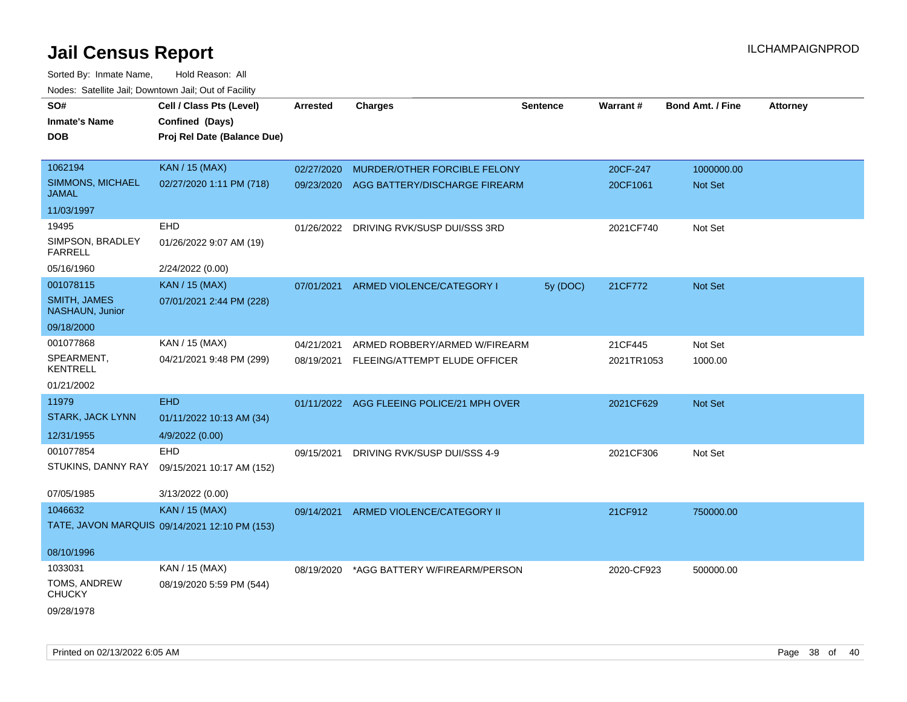| SO#                                     | Cell / Class Pts (Level)                      | <b>Arrested</b> | <b>Charges</b>                            | <b>Sentence</b> | Warrant#   | <b>Bond Amt. / Fine</b> | <b>Attorney</b> |
|-----------------------------------------|-----------------------------------------------|-----------------|-------------------------------------------|-----------------|------------|-------------------------|-----------------|
| <b>Inmate's Name</b>                    | Confined (Days)                               |                 |                                           |                 |            |                         |                 |
|                                         |                                               |                 |                                           |                 |            |                         |                 |
| <b>DOB</b>                              | Proj Rel Date (Balance Due)                   |                 |                                           |                 |            |                         |                 |
| 1062194                                 | <b>KAN / 15 (MAX)</b>                         | 02/27/2020      | MURDER/OTHER FORCIBLE FELONY              |                 | 20CF-247   | 1000000.00              |                 |
| <b>SIMMONS, MICHAEL</b><br><b>JAMAL</b> | 02/27/2020 1:11 PM (718)                      | 09/23/2020      | AGG BATTERY/DISCHARGE FIREARM             |                 | 20CF1061   | Not Set                 |                 |
| 11/03/1997                              |                                               |                 |                                           |                 |            |                         |                 |
| 19495                                   | EHD                                           | 01/26/2022      | DRIVING RVK/SUSP DUI/SSS 3RD              |                 | 2021CF740  | Not Set                 |                 |
| SIMPSON, BRADLEY<br><b>FARRELL</b>      | 01/26/2022 9:07 AM (19)                       |                 |                                           |                 |            |                         |                 |
| 05/16/1960                              | 2/24/2022 (0.00)                              |                 |                                           |                 |            |                         |                 |
| 001078115                               | KAN / 15 (MAX)                                | 07/01/2021      | ARMED VIOLENCE/CATEGORY I                 | 5y (DOC)        | 21CF772    | Not Set                 |                 |
| <b>SMITH, JAMES</b><br>NASHAUN, Junior  | 07/01/2021 2:44 PM (228)                      |                 |                                           |                 |            |                         |                 |
| 09/18/2000                              |                                               |                 |                                           |                 |            |                         |                 |
| 001077868                               | KAN / 15 (MAX)                                | 04/21/2021      | ARMED ROBBERY/ARMED W/FIREARM             |                 | 21CF445    | Not Set                 |                 |
| SPEARMENT,<br><b>KENTRELL</b>           | 04/21/2021 9:48 PM (299)                      |                 | 08/19/2021 FLEEING/ATTEMPT ELUDE OFFICER  |                 | 2021TR1053 | 1000.00                 |                 |
| 01/21/2002                              |                                               |                 |                                           |                 |            |                         |                 |
| 11979                                   | <b>EHD</b>                                    |                 | 01/11/2022 AGG FLEEING POLICE/21 MPH OVER |                 | 2021CF629  | Not Set                 |                 |
| STARK, JACK LYNN                        | 01/11/2022 10:13 AM (34)                      |                 |                                           |                 |            |                         |                 |
| 12/31/1955                              | 4/9/2022 (0.00)                               |                 |                                           |                 |            |                         |                 |
| 001077854                               | <b>EHD</b>                                    | 09/15/2021      | DRIVING RVK/SUSP DUI/SSS 4-9              |                 | 2021CF306  | Not Set                 |                 |
| STUKINS, DANNY RAY                      | 09/15/2021 10:17 AM (152)                     |                 |                                           |                 |            |                         |                 |
|                                         |                                               |                 |                                           |                 |            |                         |                 |
| 07/05/1985                              | 3/13/2022 (0.00)                              |                 |                                           |                 |            |                         |                 |
| 1046632                                 | <b>KAN / 15 (MAX)</b>                         | 09/14/2021      | ARMED VIOLENCE/CATEGORY II                |                 | 21CF912    | 750000.00               |                 |
|                                         | TATE, JAVON MARQUIS 09/14/2021 12:10 PM (153) |                 |                                           |                 |            |                         |                 |
| 08/10/1996                              |                                               |                 |                                           |                 |            |                         |                 |
| 1033031                                 | KAN / 15 (MAX)                                | 08/19/2020      | *AGG BATTERY W/FIREARM/PERSON             |                 | 2020-CF923 | 500000.00               |                 |
| TOMS, ANDREW<br><b>CHUCKY</b>           | 08/19/2020 5:59 PM (544)                      |                 |                                           |                 |            |                         |                 |
| 09/28/1978                              |                                               |                 |                                           |                 |            |                         |                 |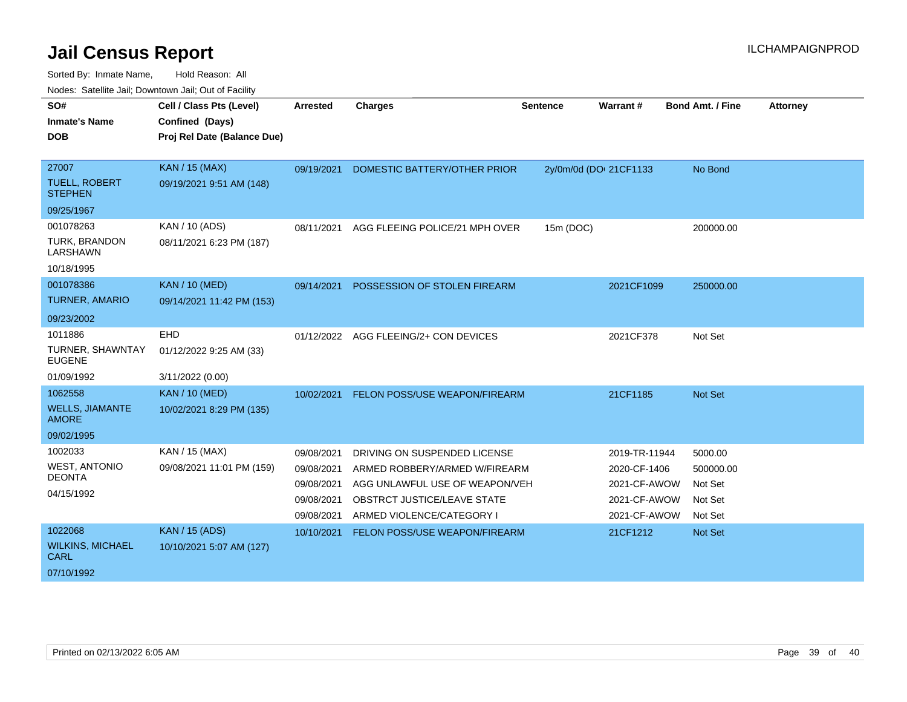| roucs. Oatchite sail, Downtown sail, Out of Facility |                             |                 |                                       |                 |                        |                         |                 |
|------------------------------------------------------|-----------------------------|-----------------|---------------------------------------|-----------------|------------------------|-------------------------|-----------------|
| SO#                                                  | Cell / Class Pts (Level)    | <b>Arrested</b> | <b>Charges</b>                        | <b>Sentence</b> | Warrant#               | <b>Bond Amt. / Fine</b> | <b>Attorney</b> |
| <b>Inmate's Name</b>                                 | Confined (Days)             |                 |                                       |                 |                        |                         |                 |
| <b>DOB</b>                                           | Proj Rel Date (Balance Due) |                 |                                       |                 |                        |                         |                 |
|                                                      |                             |                 |                                       |                 |                        |                         |                 |
| 27007                                                | <b>KAN / 15 (MAX)</b>       | 09/19/2021      | DOMESTIC BATTERY/OTHER PRIOR          |                 | 2y/0m/0d (DOI 21CF1133 | No Bond                 |                 |
| <b>TUELL, ROBERT</b><br><b>STEPHEN</b>               | 09/19/2021 9:51 AM (148)    |                 |                                       |                 |                        |                         |                 |
| 09/25/1967                                           |                             |                 |                                       |                 |                        |                         |                 |
| 001078263                                            | KAN / 10 (ADS)              | 08/11/2021      | AGG FLEEING POLICE/21 MPH OVER        | 15m (DOC)       |                        | 200000.00               |                 |
| <b>TURK, BRANDON</b><br>LARSHAWN                     | 08/11/2021 6:23 PM (187)    |                 |                                       |                 |                        |                         |                 |
| 10/18/1995                                           |                             |                 |                                       |                 |                        |                         |                 |
| 001078386                                            | <b>KAN / 10 (MED)</b>       | 09/14/2021      | POSSESSION OF STOLEN FIREARM          |                 | 2021CF1099             | 250000.00               |                 |
| <b>TURNER, AMARIO</b>                                | 09/14/2021 11:42 PM (153)   |                 |                                       |                 |                        |                         |                 |
| 09/23/2002                                           |                             |                 |                                       |                 |                        |                         |                 |
| 1011886                                              | EHD                         |                 | 01/12/2022 AGG FLEEING/2+ CON DEVICES |                 | 2021CF378              | Not Set                 |                 |
| TURNER, SHAWNTAY<br><b>EUGENE</b>                    | 01/12/2022 9:25 AM (33)     |                 |                                       |                 |                        |                         |                 |
| 01/09/1992                                           | 3/11/2022 (0.00)            |                 |                                       |                 |                        |                         |                 |
| 1062558                                              | <b>KAN / 10 (MED)</b>       | 10/02/2021      | FELON POSS/USE WEAPON/FIREARM         |                 | 21CF1185               | <b>Not Set</b>          |                 |
| <b>WELLS, JIAMANTE</b><br><b>AMORE</b>               | 10/02/2021 8:29 PM (135)    |                 |                                       |                 |                        |                         |                 |
| 09/02/1995                                           |                             |                 |                                       |                 |                        |                         |                 |
| 1002033                                              | KAN / 15 (MAX)              | 09/08/2021      | DRIVING ON SUSPENDED LICENSE          |                 | 2019-TR-11944          | 5000.00                 |                 |
| <b>WEST, ANTONIO</b>                                 | 09/08/2021 11:01 PM (159)   | 09/08/2021      | ARMED ROBBERY/ARMED W/FIREARM         |                 | 2020-CF-1406           | 500000.00               |                 |
| <b>DEONTA</b>                                        |                             | 09/08/2021      | AGG UNLAWFUL USE OF WEAPON/VEH        |                 | 2021-CF-AWOW           | Not Set                 |                 |
| 04/15/1992                                           |                             | 09/08/2021      | OBSTRCT JUSTICE/LEAVE STATE           |                 | 2021-CF-AWOW           | Not Set                 |                 |
|                                                      |                             | 09/08/2021      | ARMED VIOLENCE/CATEGORY I             |                 | 2021-CF-AWOW           | Not Set                 |                 |
| 1022068                                              | <b>KAN / 15 (ADS)</b>       | 10/10/2021      | FELON POSS/USE WEAPON/FIREARM         |                 | 21CF1212               | <b>Not Set</b>          |                 |
| <b>WILKINS, MICHAEL</b><br><b>CARL</b>               | 10/10/2021 5:07 AM (127)    |                 |                                       |                 |                        |                         |                 |
| 07/10/1992                                           |                             |                 |                                       |                 |                        |                         |                 |